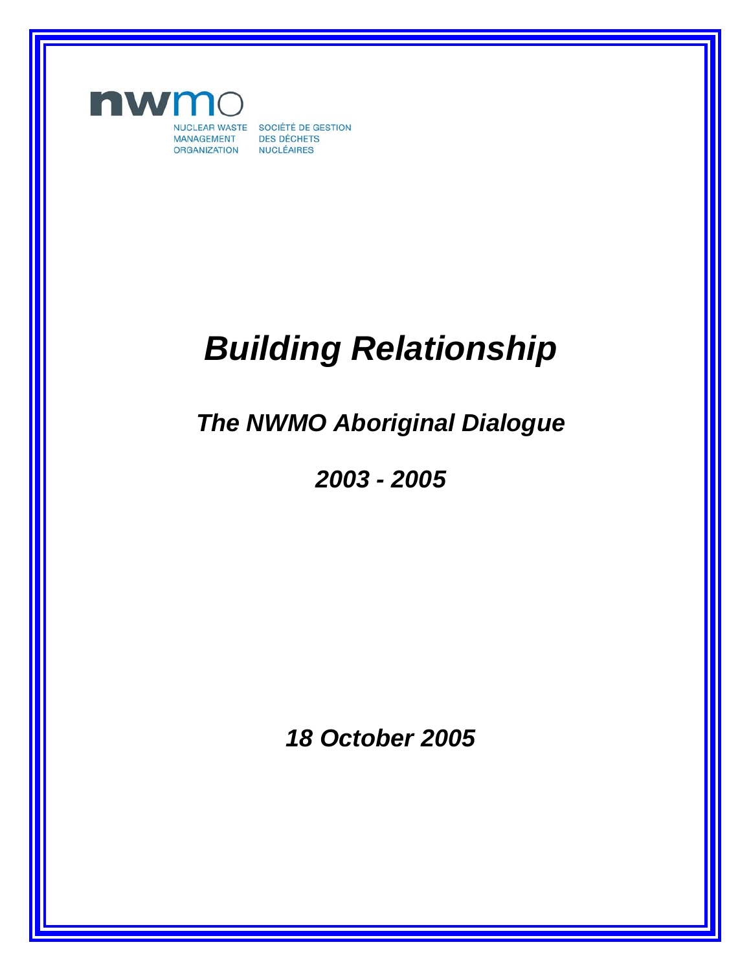

NUCLEAR WASTE SOCIÉTÉ DE GESTION **DES DÉCHETS NUCLÉAIRES** 

# *Building Relationship*

*The NWMO Aboriginal Dialogue* 

*2003 - 2005* 

*18 October 2005*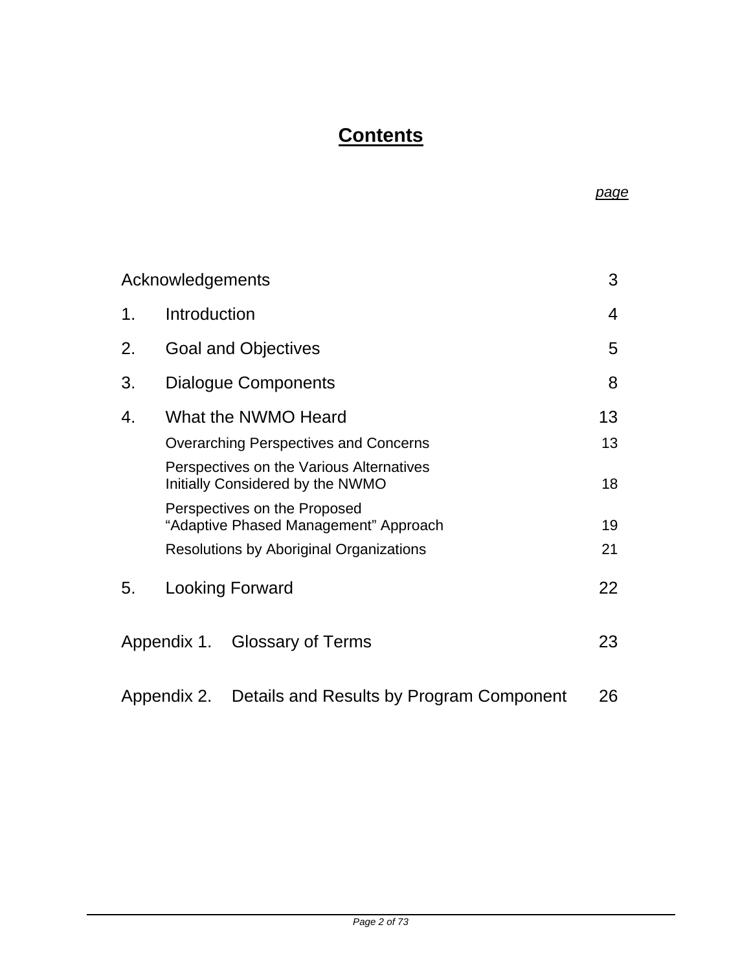# **Contents**

| Acknowledgements                                        |                                                                              | 3              |
|---------------------------------------------------------|------------------------------------------------------------------------------|----------------|
| 1.                                                      | Introduction                                                                 | $\overline{4}$ |
| 2.                                                      | <b>Goal and Objectives</b>                                                   | 5              |
| 3.                                                      | <b>Dialogue Components</b>                                                   | 8              |
| 4.                                                      | What the NWMO Heard                                                          | 13             |
|                                                         | <b>Overarching Perspectives and Concerns</b>                                 | 13             |
|                                                         | Perspectives on the Various Alternatives<br>Initially Considered by the NWMO | 18             |
|                                                         | Perspectives on the Proposed<br>"Adaptive Phased Management" Approach        | 19             |
|                                                         | <b>Resolutions by Aboriginal Organizations</b>                               | 21             |
| 5.                                                      | <b>Looking Forward</b>                                                       | 22             |
|                                                         | Appendix 1. Glossary of Terms                                                | 23             |
| Details and Results by Program Component<br>Appendix 2. |                                                                              |                |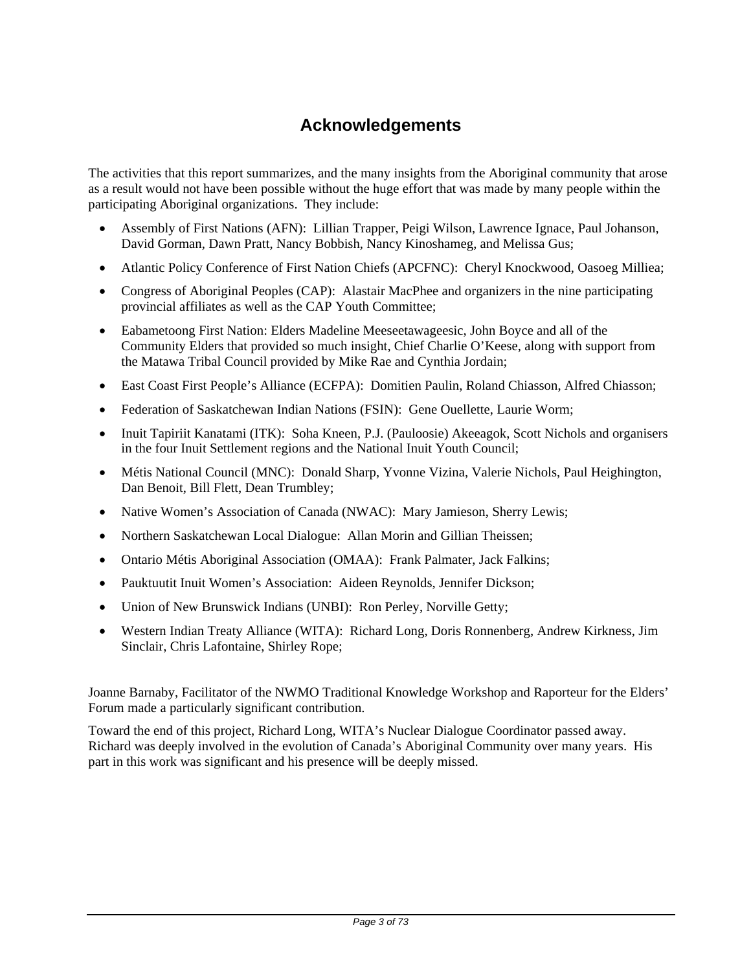# **Acknowledgements**

The activities that this report summarizes, and the many insights from the Aboriginal community that arose as a result would not have been possible without the huge effort that was made by many people within the participating Aboriginal organizations. They include:

- Assembly of First Nations (AFN): Lillian Trapper, Peigi Wilson, Lawrence Ignace, Paul Johanson, David Gorman, Dawn Pratt, Nancy Bobbish, Nancy Kinoshameg, and Melissa Gus;
- Atlantic Policy Conference of First Nation Chiefs (APCFNC): Cheryl Knockwood, Oasoeg Milliea;
- Congress of Aboriginal Peoples (CAP): Alastair MacPhee and organizers in the nine participating provincial affiliates as well as the CAP Youth Committee;
- Eabametoong First Nation: Elders Madeline Meeseetawageesic, John Boyce and all of the Community Elders that provided so much insight, Chief Charlie O'Keese, along with support from the Matawa Tribal Council provided by Mike Rae and Cynthia Jordain;
- East Coast First People's Alliance (ECFPA): Domitien Paulin, Roland Chiasson, Alfred Chiasson;
- Federation of Saskatchewan Indian Nations (FSIN): Gene Ouellette, Laurie Worm;
- Inuit Tapiriit Kanatami (ITK): Soha Kneen, P.J. (Pauloosie) Akeeagok, Scott Nichols and organisers in the four Inuit Settlement regions and the National Inuit Youth Council;
- Métis National Council (MNC): Donald Sharp, Yvonne Vizina, Valerie Nichols, Paul Heighington, Dan Benoit, Bill Flett, Dean Trumbley;
- Native Women's Association of Canada (NWAC): Mary Jamieson, Sherry Lewis;
- Northern Saskatchewan Local Dialogue: Allan Morin and Gillian Theissen;
- Ontario Métis Aboriginal Association (OMAA): Frank Palmater, Jack Falkins;
- Pauktuutit Inuit Women's Association: Aideen Reynolds, Jennifer Dickson;
- Union of New Brunswick Indians (UNBI): Ron Perley, Norville Getty;
- Western Indian Treaty Alliance (WITA): Richard Long, Doris Ronnenberg, Andrew Kirkness, Jim Sinclair, Chris Lafontaine, Shirley Rope;

Joanne Barnaby, Facilitator of the NWMO Traditional Knowledge Workshop and Raporteur for the Elders' Forum made a particularly significant contribution.

Toward the end of this project, Richard Long, WITA's Nuclear Dialogue Coordinator passed away. Richard was deeply involved in the evolution of Canada's Aboriginal Community over many years. His part in this work was significant and his presence will be deeply missed.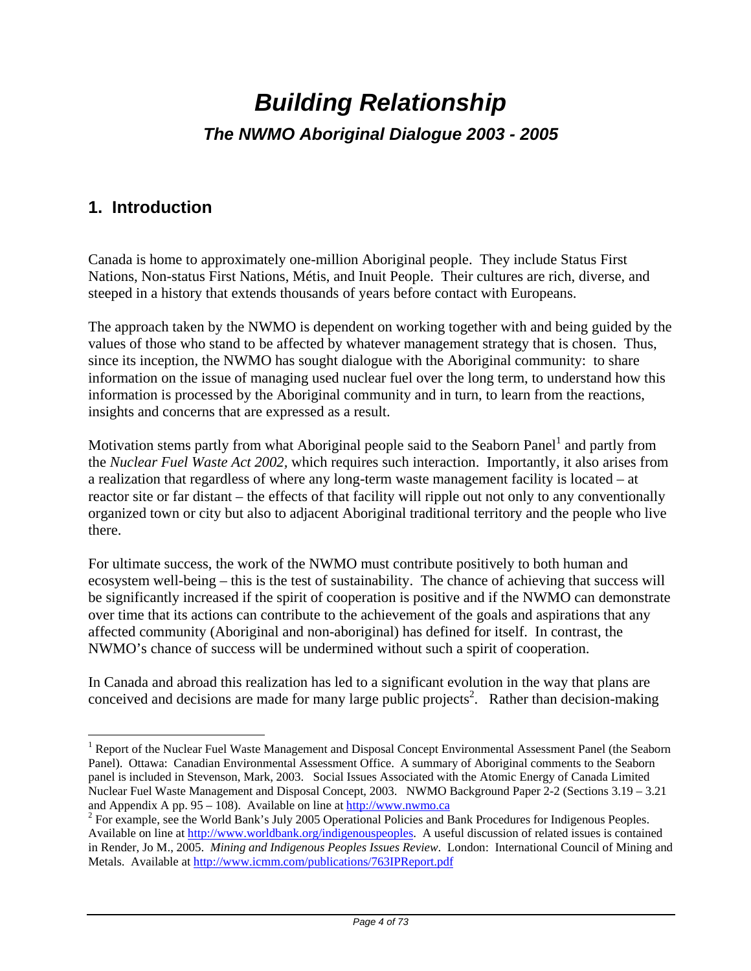# *Building Relationship The NWMO Aboriginal Dialogue 2003 - 2005*

# **1. Introduction**

1

Canada is home to approximately one-million Aboriginal people. They include Status First Nations, Non-status First Nations, Métis, and Inuit People. Their cultures are rich, diverse, and steeped in a history that extends thousands of years before contact with Europeans.

The approach taken by the NWMO is dependent on working together with and being guided by the values of those who stand to be affected by whatever management strategy that is chosen. Thus, since its inception, the NWMO has sought dialogue with the Aboriginal community: to share information on the issue of managing used nuclear fuel over the long term, to understand how this information is processed by the Aboriginal community and in turn, to learn from the reactions, insights and concerns that are expressed as a result.

Motivation stems partly from what Aboriginal people said to the Seaborn Panel<sup>1</sup> and partly from the *Nuclear Fuel Waste Act 2002,* which requires such interaction. Importantly, it also arises from a realization that regardless of where any long-term waste management facility is located – at reactor site or far distant – the effects of that facility will ripple out not only to any conventionally organized town or city but also to adjacent Aboriginal traditional territory and the people who live there.

For ultimate success, the work of the NWMO must contribute positively to both human and ecosystem well-being – this is the test of sustainability. The chance of achieving that success will be significantly increased if the spirit of cooperation is positive and if the NWMO can demonstrate over time that its actions can contribute to the achievement of the goals and aspirations that any affected community (Aboriginal and non-aboriginal) has defined for itself. In contrast, the NWMO's chance of success will be undermined without such a spirit of cooperation.

In Canada and abroad this realization has led to a significant evolution in the way that plans are conceived and decisions are made for many large public projects<sup>2</sup>. Rather than decision-making

<sup>&</sup>lt;sup>1</sup> Report of the Nuclear Fuel Waste Management and Disposal Concept Environmental Assessment Panel (the Seaborn Panel). Ottawa: Canadian Environmental Assessment Office. A summary of Aboriginal comments to the Seaborn panel is included in Stevenson, Mark, 2003. Social Issues Associated with the Atomic Energy of Canada Limited Nuclear Fuel Waste Management and Disposal Concept, 2003. NWMO Background Paper 2-2 (Sections 3.19 – 3.21 and Appendix A pp. 95 – 108). Available on line at  $\frac{http://www.nwmo.ca}{http://www.nwmo.ca}$ 

<sup>&</sup>lt;sup>2</sup> For example, see the World Bank's July 2005 Operational Policies and Bank Procedures for Indigenous Peoples. Available on line at http://www.worldbank.org/indigenouspeoples. A useful discussion of related issues is contained in Render, Jo M., 2005. *Mining and Indigenous Peoples Issues Review*. London: International Council of Mining and Metals. Available at http://www.icmm.com/publications/763IPReport.pdf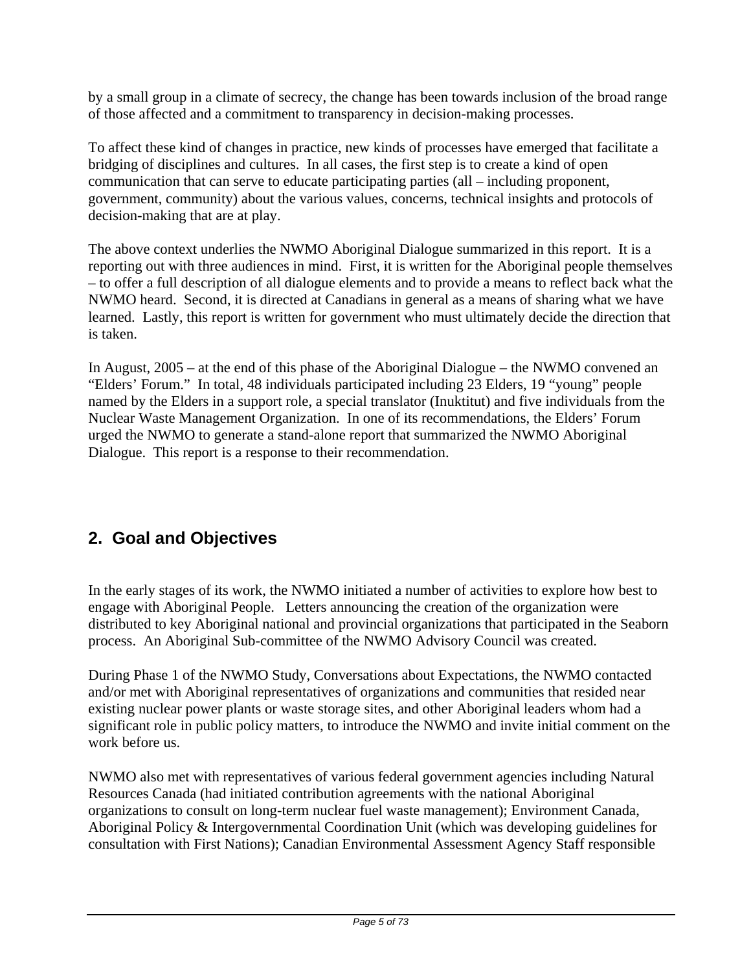by a small group in a climate of secrecy, the change has been towards inclusion of the broad range of those affected and a commitment to transparency in decision-making processes.

To affect these kind of changes in practice, new kinds of processes have emerged that facilitate a bridging of disciplines and cultures. In all cases, the first step is to create a kind of open communication that can serve to educate participating parties (all – including proponent, government, community) about the various values, concerns, technical insights and protocols of decision-making that are at play.

The above context underlies the NWMO Aboriginal Dialogue summarized in this report. It is a reporting out with three audiences in mind. First, it is written for the Aboriginal people themselves – to offer a full description of all dialogue elements and to provide a means to reflect back what the NWMO heard. Second, it is directed at Canadians in general as a means of sharing what we have learned. Lastly, this report is written for government who must ultimately decide the direction that is taken.

In August, 2005 – at the end of this phase of the Aboriginal Dialogue – the NWMO convened an "Elders' Forum." In total, 48 individuals participated including 23 Elders, 19 "young" people named by the Elders in a support role, a special translator (Inuktitut) and five individuals from the Nuclear Waste Management Organization. In one of its recommendations, the Elders' Forum urged the NWMO to generate a stand-alone report that summarized the NWMO Aboriginal Dialogue. This report is a response to their recommendation.

## **2. Goal and Objectives**

In the early stages of its work, the NWMO initiated a number of activities to explore how best to engage with Aboriginal People. Letters announcing the creation of the organization were distributed to key Aboriginal national and provincial organizations that participated in the Seaborn process. An Aboriginal Sub-committee of the NWMO Advisory Council was created.

During Phase 1 of the NWMO Study, Conversations about Expectations, the NWMO contacted and/or met with Aboriginal representatives of organizations and communities that resided near existing nuclear power plants or waste storage sites, and other Aboriginal leaders whom had a significant role in public policy matters, to introduce the NWMO and invite initial comment on the work before us.

NWMO also met with representatives of various federal government agencies including Natural Resources Canada (had initiated contribution agreements with the national Aboriginal organizations to consult on long-term nuclear fuel waste management); Environment Canada, Aboriginal Policy & Intergovernmental Coordination Unit (which was developing guidelines for consultation with First Nations); Canadian Environmental Assessment Agency Staff responsible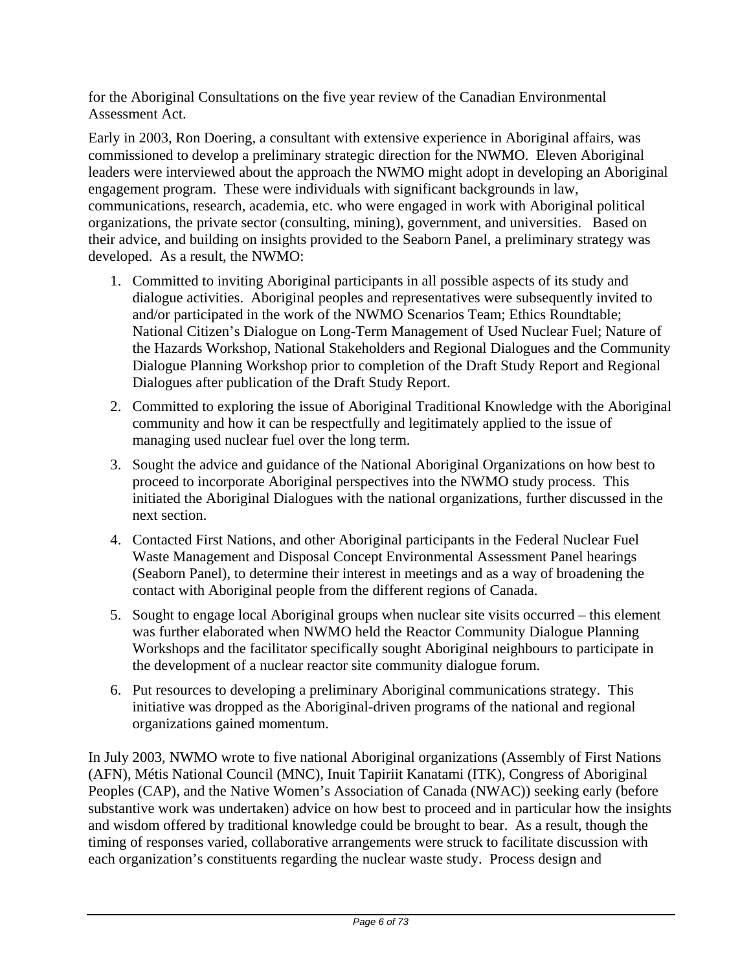for the Aboriginal Consultations on the five year review of the Canadian Environmental Assessment Act.

Early in 2003, Ron Doering, a consultant with extensive experience in Aboriginal affairs, was commissioned to develop a preliminary strategic direction for the NWMO. Eleven Aboriginal leaders were interviewed about the approach the NWMO might adopt in developing an Aboriginal engagement program. These were individuals with significant backgrounds in law, communications, research, academia, etc. who were engaged in work with Aboriginal political organizations, the private sector (consulting, mining), government, and universities. Based on their advice, and building on insights provided to the Seaborn Panel, a preliminary strategy was developed. As a result, the NWMO:

- 1. Committed to inviting Aboriginal participants in all possible aspects of its study and dialogue activities. Aboriginal peoples and representatives were subsequently invited to and/or participated in the work of the NWMO Scenarios Team; Ethics Roundtable; National Citizen's Dialogue on Long-Term Management of Used Nuclear Fuel; Nature of the Hazards Workshop, National Stakeholders and Regional Dialogues and the Community Dialogue Planning Workshop prior to completion of the Draft Study Report and Regional Dialogues after publication of the Draft Study Report.
- 2. Committed to exploring the issue of Aboriginal Traditional Knowledge with the Aboriginal community and how it can be respectfully and legitimately applied to the issue of managing used nuclear fuel over the long term.
- 3. Sought the advice and guidance of the National Aboriginal Organizations on how best to proceed to incorporate Aboriginal perspectives into the NWMO study process. This initiated the Aboriginal Dialogues with the national organizations, further discussed in the next section.
- 4. Contacted First Nations, and other Aboriginal participants in the Federal Nuclear Fuel Waste Management and Disposal Concept Environmental Assessment Panel hearings (Seaborn Panel), to determine their interest in meetings and as a way of broadening the contact with Aboriginal people from the different regions of Canada.
- 5. Sought to engage local Aboriginal groups when nuclear site visits occurred this element was further elaborated when NWMO held the Reactor Community Dialogue Planning Workshops and the facilitator specifically sought Aboriginal neighbours to participate in the development of a nuclear reactor site community dialogue forum.
- 6. Put resources to developing a preliminary Aboriginal communications strategy. This initiative was dropped as the Aboriginal-driven programs of the national and regional organizations gained momentum.

In July 2003, NWMO wrote to five national Aboriginal organizations (Assembly of First Nations (AFN), Métis National Council (MNC), Inuit Tapiriit Kanatami (ITK), Congress of Aboriginal Peoples (CAP), and the Native Women's Association of Canada (NWAC)) seeking early (before substantive work was undertaken) advice on how best to proceed and in particular how the insights and wisdom offered by traditional knowledge could be brought to bear. As a result, though the timing of responses varied, collaborative arrangements were struck to facilitate discussion with each organization's constituents regarding the nuclear waste study. Process design and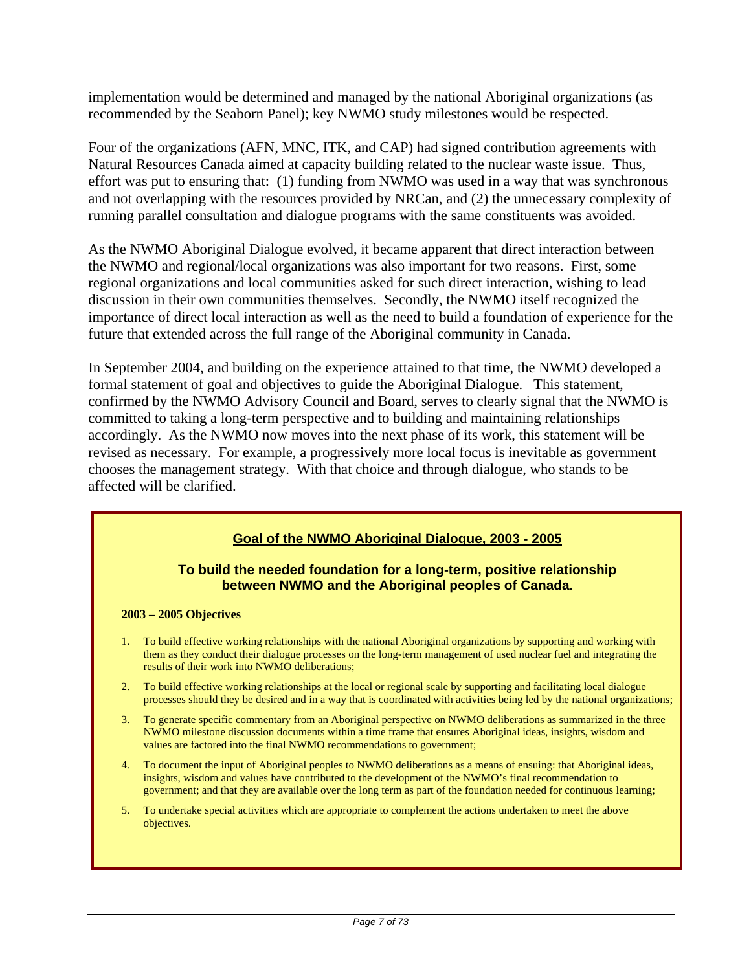implementation would be determined and managed by the national Aboriginal organizations (as recommended by the Seaborn Panel); key NWMO study milestones would be respected.

Four of the organizations (AFN, MNC, ITK, and CAP) had signed contribution agreements with Natural Resources Canada aimed at capacity building related to the nuclear waste issue. Thus, effort was put to ensuring that: (1) funding from NWMO was used in a way that was synchronous and not overlapping with the resources provided by NRCan, and (2) the unnecessary complexity of running parallel consultation and dialogue programs with the same constituents was avoided.

As the NWMO Aboriginal Dialogue evolved, it became apparent that direct interaction between the NWMO and regional/local organizations was also important for two reasons. First, some regional organizations and local communities asked for such direct interaction, wishing to lead discussion in their own communities themselves. Secondly, the NWMO itself recognized the importance of direct local interaction as well as the need to build a foundation of experience for the future that extended across the full range of the Aboriginal community in Canada.

In September 2004, and building on the experience attained to that time, the NWMO developed a formal statement of goal and objectives to guide the Aboriginal Dialogue. This statement, confirmed by the NWMO Advisory Council and Board, serves to clearly signal that the NWMO is committed to taking a long-term perspective and to building and maintaining relationships accordingly. As the NWMO now moves into the next phase of its work, this statement will be revised as necessary. For example, a progressively more local focus is inevitable as government chooses the management strategy. With that choice and through dialogue, who stands to be affected will be clarified.

## **Goal of the NWMO Aboriginal Dialogue, 2003 - 2005**

#### **To build the needed foundation for a long-term, positive relationship between NWMO and the Aboriginal peoples of Canada.**

#### **2003 – 2005 Objectives**

- 1. To build effective working relationships with the national Aboriginal organizations by supporting and working with them as they conduct their dialogue processes on the long-term management of used nuclear fuel and integrating the results of their work into NWMO deliberations;
- 2. To build effective working relationships at the local or regional scale by supporting and facilitating local dialogue processes should they be desired and in a way that is coordinated with activities being led by the national organizations;
- 3. To generate specific commentary from an Aboriginal perspective on NWMO deliberations as summarized in the three NWMO milestone discussion documents within a time frame that ensures Aboriginal ideas, insights, wisdom and values are factored into the final NWMO recommendations to government;
- 4. To document the input of Aboriginal peoples to NWMO deliberations as a means of ensuing: that Aboriginal ideas, insights, wisdom and values have contributed to the development of the NWMO's final recommendation to government; and that they are available over the long term as part of the foundation needed for continuous learning;
- 5. To undertake special activities which are appropriate to complement the actions undertaken to meet the above objectives.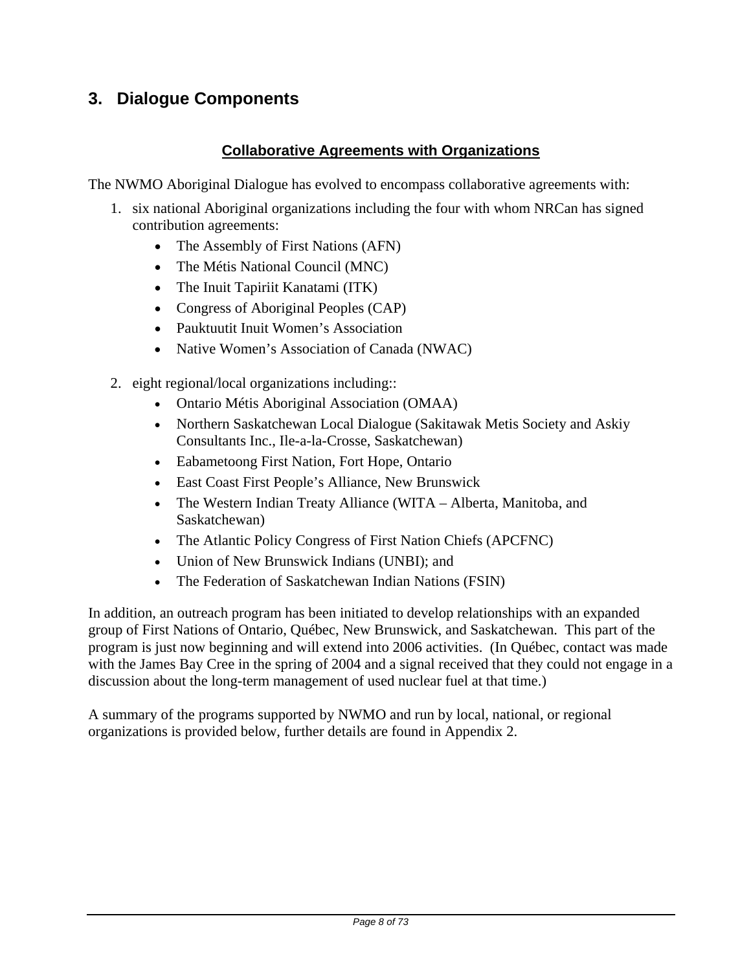## **3. Dialogue Components**

## **Collaborative Agreements with Organizations**

The NWMO Aboriginal Dialogue has evolved to encompass collaborative agreements with:

- 1. six national Aboriginal organizations including the four with whom NRCan has signed contribution agreements:
	- The Assembly of First Nations (AFN)
	- The Métis National Council (MNC)
	- The Inuit Tapiriit Kanatami (ITK)
	- Congress of Aboriginal Peoples (CAP)
	- Pauktuutit Inuit Women's Association
	- Native Women's Association of Canada (NWAC)
- 2. eight regional/local organizations including::
	- Ontario Métis Aboriginal Association (OMAA)
	- Northern Saskatchewan Local Dialogue (Sakitawak Metis Society and Askiy Consultants Inc., Ile-a-la-Crosse, Saskatchewan)
	- Eabametoong First Nation, Fort Hope, Ontario
	- East Coast First People's Alliance, New Brunswick
	- The Western Indian Treaty Alliance (WITA Alberta, Manitoba, and Saskatchewan)
	- The Atlantic Policy Congress of First Nation Chiefs (APCFNC)
	- Union of New Brunswick Indians (UNBI); and
	- The Federation of Saskatchewan Indian Nations (FSIN)

In addition, an outreach program has been initiated to develop relationships with an expanded group of First Nations of Ontario, Québec, New Brunswick, and Saskatchewan. This part of the program is just now beginning and will extend into 2006 activities. (In Québec, contact was made with the James Bay Cree in the spring of 2004 and a signal received that they could not engage in a discussion about the long-term management of used nuclear fuel at that time.)

A summary of the programs supported by NWMO and run by local, national, or regional organizations is provided below, further details are found in Appendix 2.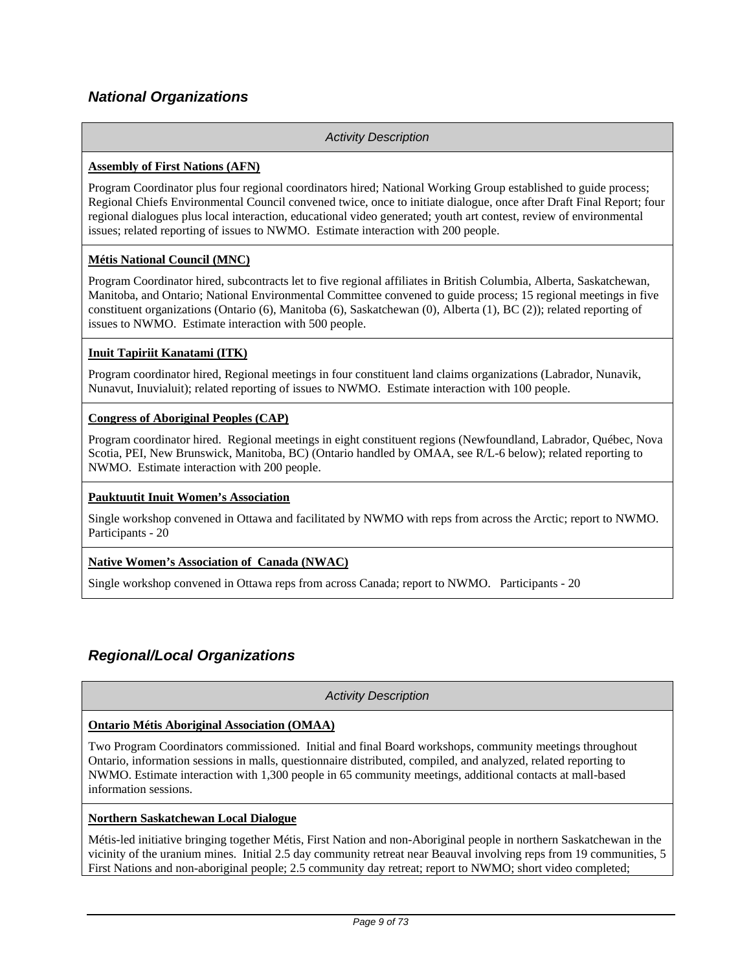## *National Organizations*

#### *Activity Description*

#### **Assembly of First Nations (AFN)**

Program Coordinator plus four regional coordinators hired; National Working Group established to guide process; Regional Chiefs Environmental Council convened twice, once to initiate dialogue, once after Draft Final Report; four regional dialogues plus local interaction, educational video generated; youth art contest, review of environmental issues; related reporting of issues to NWMO. Estimate interaction with 200 people.

#### **Métis National Council (MNC)**

Program Coordinator hired, subcontracts let to five regional affiliates in British Columbia, Alberta, Saskatchewan, Manitoba, and Ontario; National Environmental Committee convened to guide process; 15 regional meetings in five constituent organizations (Ontario (6), Manitoba (6), Saskatchewan (0), Alberta (1), BC (2)); related reporting of issues to NWMO. Estimate interaction with 500 people.

#### **Inuit Tapiriit Kanatami (ITK)**

Program coordinator hired, Regional meetings in four constituent land claims organizations (Labrador, Nunavik, Nunavut, Inuvialuit); related reporting of issues to NWMO. Estimate interaction with 100 people.

#### **Congress of Aboriginal Peoples (CAP)**

Program coordinator hired. Regional meetings in eight constituent regions (Newfoundland, Labrador, Québec, Nova Scotia, PEI, New Brunswick, Manitoba, BC) (Ontario handled by OMAA, see R/L-6 below); related reporting to NWMO. Estimate interaction with 200 people.

#### **Pauktuutit Inuit Women's Association**

Single workshop convened in Ottawa and facilitated by NWMO with reps from across the Arctic; report to NWMO. Participants - 20

#### **Native Women's Association of Canada (NWAC)**

Single workshop convened in Ottawa reps from across Canada; report to NWMO. Participants - 20

## *Regional/Local Organizations*

*Activity Description* 

#### **Ontario Métis Aboriginal Association (OMAA)**

Two Program Coordinators commissioned. Initial and final Board workshops, community meetings throughout Ontario, information sessions in malls, questionnaire distributed, compiled, and analyzed, related reporting to NWMO. Estimate interaction with 1,300 people in 65 community meetings, additional contacts at mall-based information sessions.

#### **Northern Saskatchewan Local Dialogue**

Métis-led initiative bringing together Métis, First Nation and non-Aboriginal people in northern Saskatchewan in the vicinity of the uranium mines. Initial 2.5 day community retreat near Beauval involving reps from 19 communities, 5 First Nations and non-aboriginal people; 2.5 community day retreat; report to NWMO; short video completed;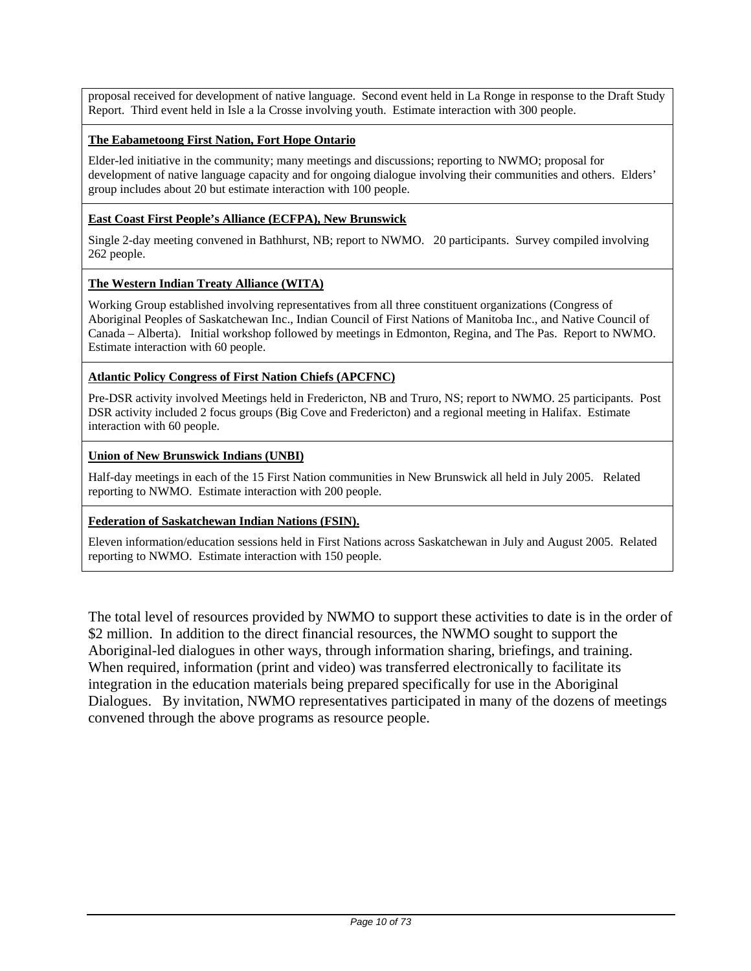proposal received for development of native language. Second event held in La Ronge in response to the Draft Study Report. Third event held in Isle a la Crosse involving youth. Estimate interaction with 300 people.

#### **The Eabametoong First Nation, Fort Hope Ontario**

Elder-led initiative in the community; many meetings and discussions; reporting to NWMO; proposal for development of native language capacity and for ongoing dialogue involving their communities and others. Elders' group includes about 20 but estimate interaction with 100 people.

#### **East Coast First People's Alliance (ECFPA), New Brunswick**

Single 2-day meeting convened in Bathhurst, NB; report to NWMO. 20 participants. Survey compiled involving 262 people.

#### **The Western Indian Treaty Alliance (WITA)**

Working Group established involving representatives from all three constituent organizations (Congress of Aboriginal Peoples of Saskatchewan Inc., Indian Council of First Nations of Manitoba Inc., and Native Council of Canada – Alberta). Initial workshop followed by meetings in Edmonton, Regina, and The Pas. Report to NWMO. Estimate interaction with 60 people.

#### **Atlantic Policy Congress of First Nation Chiefs (APCFNC)**

Pre-DSR activity involved Meetings held in Fredericton, NB and Truro, NS; report to NWMO. 25 participants. Post DSR activity included 2 focus groups (Big Cove and Fredericton) and a regional meeting in Halifax. Estimate interaction with 60 people.

#### **Union of New Brunswick Indians (UNBI)**

Half-day meetings in each of the 15 First Nation communities in New Brunswick all held in July 2005. Related reporting to NWMO. Estimate interaction with 200 people.

#### **Federation of Saskatchewan Indian Nations (FSIN).**

Eleven information/education sessions held in First Nations across Saskatchewan in July and August 2005. Related reporting to NWMO. Estimate interaction with 150 people.

The total level of resources provided by NWMO to support these activities to date is in the order of \$2 million. In addition to the direct financial resources, the NWMO sought to support the Aboriginal-led dialogues in other ways, through information sharing, briefings, and training. When required, information (print and video) was transferred electronically to facilitate its integration in the education materials being prepared specifically for use in the Aboriginal Dialogues. By invitation, NWMO representatives participated in many of the dozens of meetings convened through the above programs as resource people.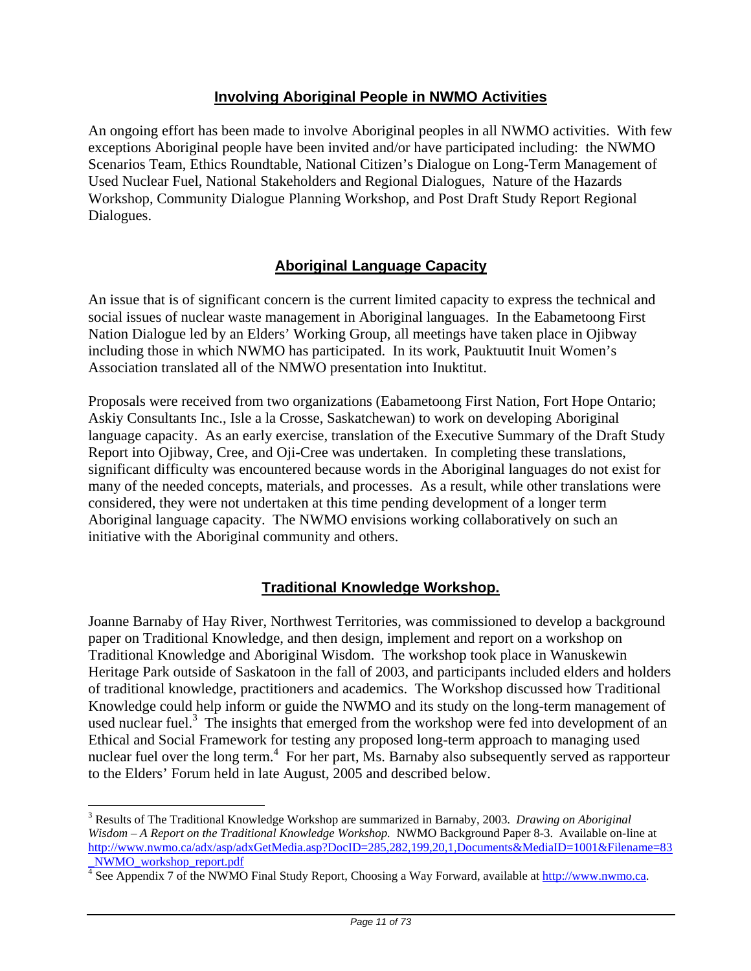## **Involving Aboriginal People in NWMO Activities**

An ongoing effort has been made to involve Aboriginal peoples in all NWMO activities. With few exceptions Aboriginal people have been invited and/or have participated including: the NWMO Scenarios Team, Ethics Roundtable, National Citizen's Dialogue on Long-Term Management of Used Nuclear Fuel, National Stakeholders and Regional Dialogues, Nature of the Hazards Workshop, Community Dialogue Planning Workshop, and Post Draft Study Report Regional Dialogues.

## **Aboriginal Language Capacity**

An issue that is of significant concern is the current limited capacity to express the technical and social issues of nuclear waste management in Aboriginal languages. In the Eabametoong First Nation Dialogue led by an Elders' Working Group, all meetings have taken place in Ojibway including those in which NWMO has participated. In its work, Pauktuutit Inuit Women's Association translated all of the NMWO presentation into Inuktitut.

Proposals were received from two organizations (Eabametoong First Nation, Fort Hope Ontario; Askiy Consultants Inc., Isle a la Crosse, Saskatchewan) to work on developing Aboriginal language capacity. As an early exercise, translation of the Executive Summary of the Draft Study Report into Ojibway, Cree, and Oji-Cree was undertaken. In completing these translations, significant difficulty was encountered because words in the Aboriginal languages do not exist for many of the needed concepts, materials, and processes. As a result, while other translations were considered, they were not undertaken at this time pending development of a longer term Aboriginal language capacity. The NWMO envisions working collaboratively on such an initiative with the Aboriginal community and others.

## **Traditional Knowledge Workshop.**

Joanne Barnaby of Hay River, Northwest Territories, was commissioned to develop a background paper on Traditional Knowledge, and then design, implement and report on a workshop on Traditional Knowledge and Aboriginal Wisdom. The workshop took place in Wanuskewin Heritage Park outside of Saskatoon in the fall of 2003, and participants included elders and holders of traditional knowledge, practitioners and academics. The Workshop discussed how Traditional Knowledge could help inform or guide the NWMO and its study on the long-term management of used nuclear fuel.<sup>3</sup> The insights that emerged from the workshop were fed into development of an Ethical and Social Framework for testing any proposed long-term approach to managing used nuclear fuel over the long term.<sup>4</sup> For her part, Ms. Barnaby also subsequently served as rapporteur to the Elders' Forum held in late August, 2005 and described below.

 $\overline{a}$ 

<sup>3</sup> Results of The Traditional Knowledge Workshop are summarized in Barnaby, 2003. *Drawing on Aboriginal Wisdom – A Report on the Traditional Knowledge Workshop.* NWMO Background Paper 8-3. Available on-line at http://www.nwmo.ca/adx/asp/adxGetMedia.asp?DocID=285,282,199,20,1,Documents&MediaID=1001&Filename=83 \_NWMO\_workshop\_report.pdf

<sup>&</sup>lt;sup>4</sup> See Appendix 7 of the NWMO Final Study Report, Choosing a Way Forward, available at **http://www.nwmo.ca**.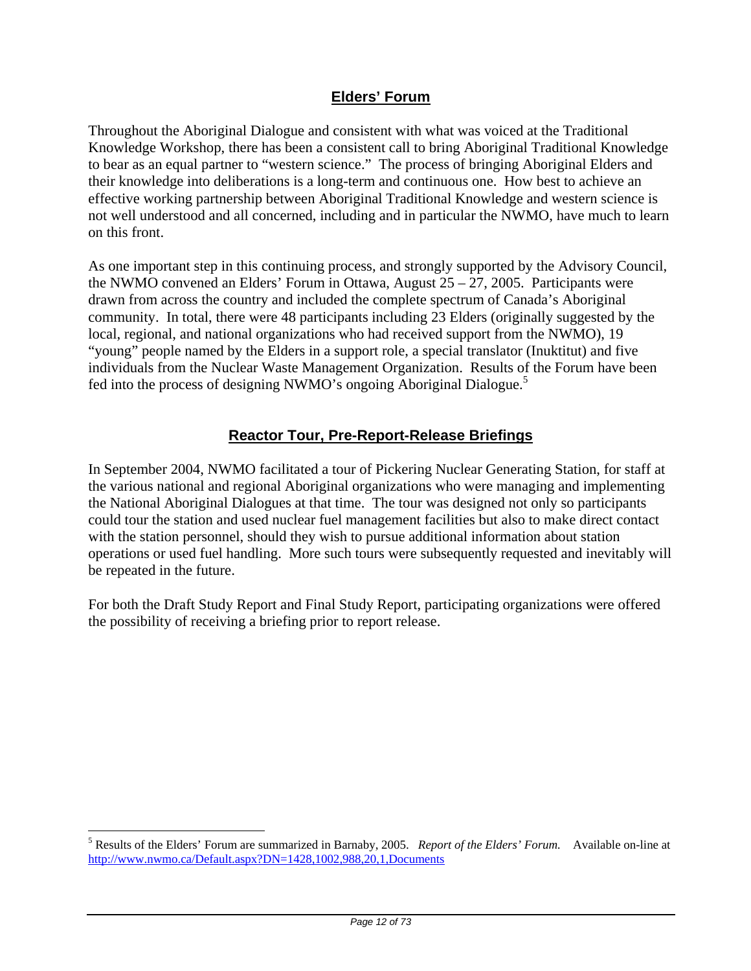## **Elders' Forum**

Throughout the Aboriginal Dialogue and consistent with what was voiced at the Traditional Knowledge Workshop, there has been a consistent call to bring Aboriginal Traditional Knowledge to bear as an equal partner to "western science." The process of bringing Aboriginal Elders and their knowledge into deliberations is a long-term and continuous one. How best to achieve an effective working partnership between Aboriginal Traditional Knowledge and western science is not well understood and all concerned, including and in particular the NWMO, have much to learn on this front.

As one important step in this continuing process, and strongly supported by the Advisory Council, the NWMO convened an Elders' Forum in Ottawa, August  $25 - 27$ , 2005. Participants were drawn from across the country and included the complete spectrum of Canada's Aboriginal community. In total, there were 48 participants including 23 Elders (originally suggested by the local, regional, and national organizations who had received support from the NWMO), 19 "young" people named by the Elders in a support role, a special translator (Inuktitut) and five individuals from the Nuclear Waste Management Organization. Results of the Forum have been fed into the process of designing NWMO's ongoing Aboriginal Dialogue.5

## **Reactor Tour, Pre-Report-Release Briefings**

In September 2004, NWMO facilitated a tour of Pickering Nuclear Generating Station, for staff at the various national and regional Aboriginal organizations who were managing and implementing the National Aboriginal Dialogues at that time. The tour was designed not only so participants could tour the station and used nuclear fuel management facilities but also to make direct contact with the station personnel, should they wish to pursue additional information about station operations or used fuel handling. More such tours were subsequently requested and inevitably will be repeated in the future.

For both the Draft Study Report and Final Study Report, participating organizations were offered the possibility of receiving a briefing prior to report release.

 $\overline{a}$ 

<sup>5</sup> Results of the Elders' Forum are summarized in Barnaby, 2005. *Report of the Elders' Forum.* Available on-line at http://www.nwmo.ca/Default.aspx?DN=1428,1002,988,20,1,Documents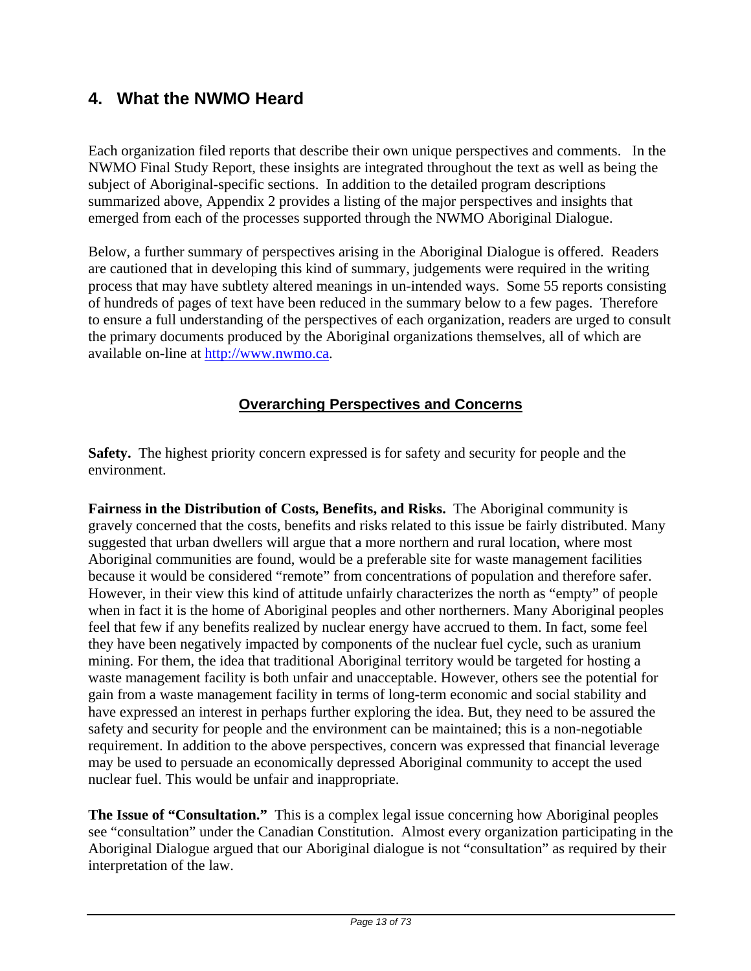## **4. What the NWMO Heard**

Each organization filed reports that describe their own unique perspectives and comments. In the NWMO Final Study Report, these insights are integrated throughout the text as well as being the subject of Aboriginal-specific sections. In addition to the detailed program descriptions summarized above, Appendix 2 provides a listing of the major perspectives and insights that emerged from each of the processes supported through the NWMO Aboriginal Dialogue.

Below, a further summary of perspectives arising in the Aboriginal Dialogue is offered. Readers are cautioned that in developing this kind of summary, judgements were required in the writing process that may have subtlety altered meanings in un-intended ways. Some 55 reports consisting of hundreds of pages of text have been reduced in the summary below to a few pages. Therefore to ensure a full understanding of the perspectives of each organization, readers are urged to consult the primary documents produced by the Aboriginal organizations themselves, all of which are available on-line at http://www.nwmo.ca.

## **Overarching Perspectives and Concerns**

**Safety.** The highest priority concern expressed is for safety and security for people and the environment.

**Fairness in the Distribution of Costs, Benefits, and Risks.** The Aboriginal community is gravely concerned that the costs, benefits and risks related to this issue be fairly distributed. Many suggested that urban dwellers will argue that a more northern and rural location, where most Aboriginal communities are found, would be a preferable site for waste management facilities because it would be considered "remote" from concentrations of population and therefore safer. However, in their view this kind of attitude unfairly characterizes the north as "empty" of people when in fact it is the home of Aboriginal peoples and other northerners. Many Aboriginal peoples feel that few if any benefits realized by nuclear energy have accrued to them. In fact, some feel they have been negatively impacted by components of the nuclear fuel cycle, such as uranium mining. For them, the idea that traditional Aboriginal territory would be targeted for hosting a waste management facility is both unfair and unacceptable. However, others see the potential for gain from a waste management facility in terms of long-term economic and social stability and have expressed an interest in perhaps further exploring the idea. But, they need to be assured the safety and security for people and the environment can be maintained; this is a non-negotiable requirement. In addition to the above perspectives, concern was expressed that financial leverage may be used to persuade an economically depressed Aboriginal community to accept the used nuclear fuel. This would be unfair and inappropriate.

**The Issue of "Consultation."** This is a complex legal issue concerning how Aboriginal peoples see "consultation" under the Canadian Constitution. Almost every organization participating in the Aboriginal Dialogue argued that our Aboriginal dialogue is not "consultation" as required by their interpretation of the law.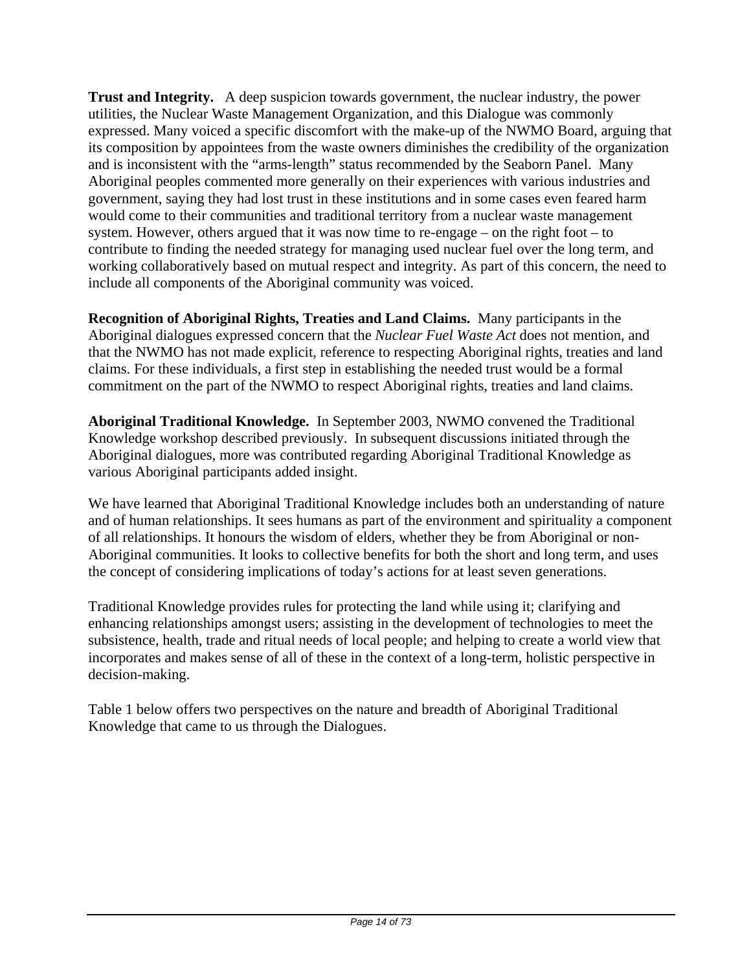**Trust and Integrity.** A deep suspicion towards government, the nuclear industry, the power utilities, the Nuclear Waste Management Organization, and this Dialogue was commonly expressed. Many voiced a specific discomfort with the make-up of the NWMO Board, arguing that its composition by appointees from the waste owners diminishes the credibility of the organization and is inconsistent with the "arms-length" status recommended by the Seaborn Panel. Many Aboriginal peoples commented more generally on their experiences with various industries and government, saying they had lost trust in these institutions and in some cases even feared harm would come to their communities and traditional territory from a nuclear waste management system. However, others argued that it was now time to re-engage – on the right foot – to contribute to finding the needed strategy for managing used nuclear fuel over the long term, and working collaboratively based on mutual respect and integrity. As part of this concern, the need to include all components of the Aboriginal community was voiced.

**Recognition of Aboriginal Rights, Treaties and Land Claims.** Many participants in the Aboriginal dialogues expressed concern that the *Nuclear Fuel Waste Act* does not mention, and that the NWMO has not made explicit, reference to respecting Aboriginal rights, treaties and land claims. For these individuals, a first step in establishing the needed trust would be a formal commitment on the part of the NWMO to respect Aboriginal rights, treaties and land claims.

**Aboriginal Traditional Knowledge.** In September 2003, NWMO convened the Traditional Knowledge workshop described previously. In subsequent discussions initiated through the Aboriginal dialogues, more was contributed regarding Aboriginal Traditional Knowledge as various Aboriginal participants added insight.

We have learned that Aboriginal Traditional Knowledge includes both an understanding of nature and of human relationships. It sees humans as part of the environment and spirituality a component of all relationships. It honours the wisdom of elders, whether they be from Aboriginal or non-Aboriginal communities. It looks to collective benefits for both the short and long term, and uses the concept of considering implications of today's actions for at least seven generations.

Traditional Knowledge provides rules for protecting the land while using it; clarifying and enhancing relationships amongst users; assisting in the development of technologies to meet the subsistence, health, trade and ritual needs of local people; and helping to create a world view that incorporates and makes sense of all of these in the context of a long-term, holistic perspective in decision-making.

Table 1 below offers two perspectives on the nature and breadth of Aboriginal Traditional Knowledge that came to us through the Dialogues.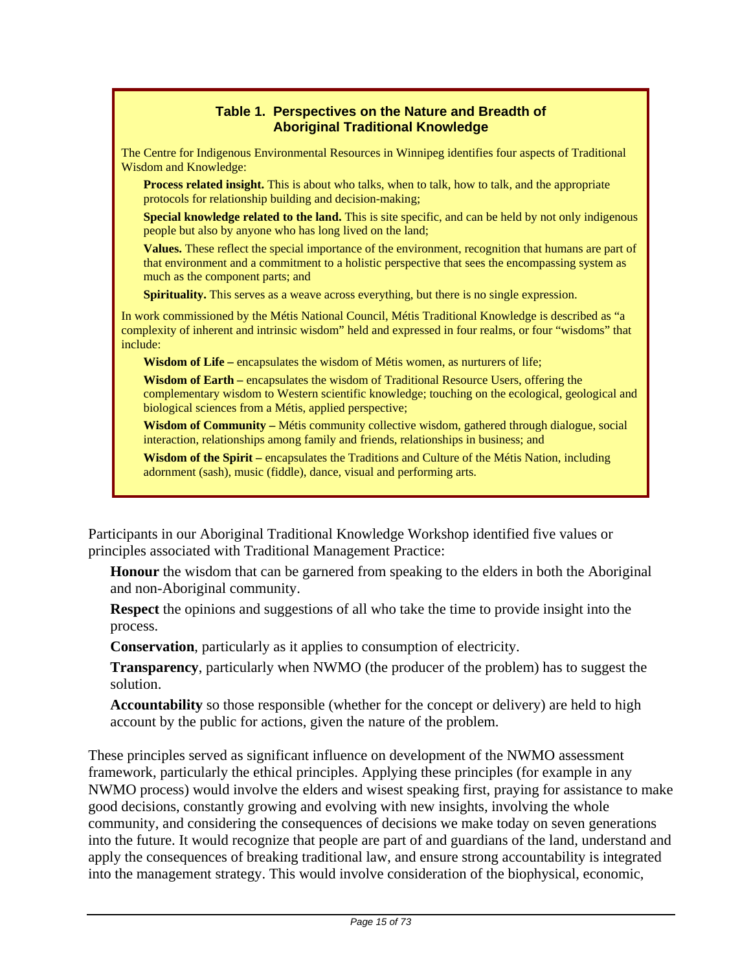## **Table 1. Perspectives on the Nature and Breadth of Aboriginal Traditional Knowledge**

The Centre for Indigenous Environmental Resources in Winnipeg identifies four aspects of Traditional Wisdom and Knowledge:

**Process related insight.** This is about who talks, when to talk, how to talk, and the appropriate protocols for relationship building and decision-making;

 **Special knowledge related to the land.** This is site specific, and can be held by not only indigenous people but also by anyone who has long lived on the land;

 **Values.** These reflect the special importance of the environment, recognition that humans are part of that environment and a commitment to a holistic perspective that sees the encompassing system as much as the component parts; and

**Spirituality.** This serves as a weave across everything, but there is no single expression.

In work commissioned by the Métis National Council, Métis Traditional Knowledge is described as "a complexity of inherent and intrinsic wisdom" held and expressed in four realms, or four "wisdoms" that include:

**Wisdom of Life** – encapsulates the wisdom of Métis women, as nurturers of life;

**Wisdom of Earth –** encapsulates the wisdom of Traditional Resource Users, offering the complementary wisdom to Western scientific knowledge; touching on the ecological, geological and biological sciences from a Métis, applied perspective;

**Wisdom of Community –** Métis community collective wisdom, gathered through dialogue, social interaction, relationships among family and friends, relationships in business; and

**Wisdom of the Spirit –** encapsulates the Traditions and Culture of the Métis Nation, including adornment (sash), music (fiddle), dance, visual and performing arts.

Participants in our Aboriginal Traditional Knowledge Workshop identified five values or principles associated with Traditional Management Practice:

**Honour** the wisdom that can be garnered from speaking to the elders in both the Aboriginal and non-Aboriginal community.

**Respect** the opinions and suggestions of all who take the time to provide insight into the process.

**Conservation**, particularly as it applies to consumption of electricity.

**Transparency**, particularly when NWMO (the producer of the problem) has to suggest the solution.

**Accountability** so those responsible (whether for the concept or delivery) are held to high account by the public for actions, given the nature of the problem.

These principles served as significant influence on development of the NWMO assessment framework, particularly the ethical principles. Applying these principles (for example in any NWMO process) would involve the elders and wisest speaking first, praying for assistance to make good decisions, constantly growing and evolving with new insights, involving the whole community, and considering the consequences of decisions we make today on seven generations into the future. It would recognize that people are part of and guardians of the land, understand and apply the consequences of breaking traditional law, and ensure strong accountability is integrated into the management strategy. This would involve consideration of the biophysical, economic,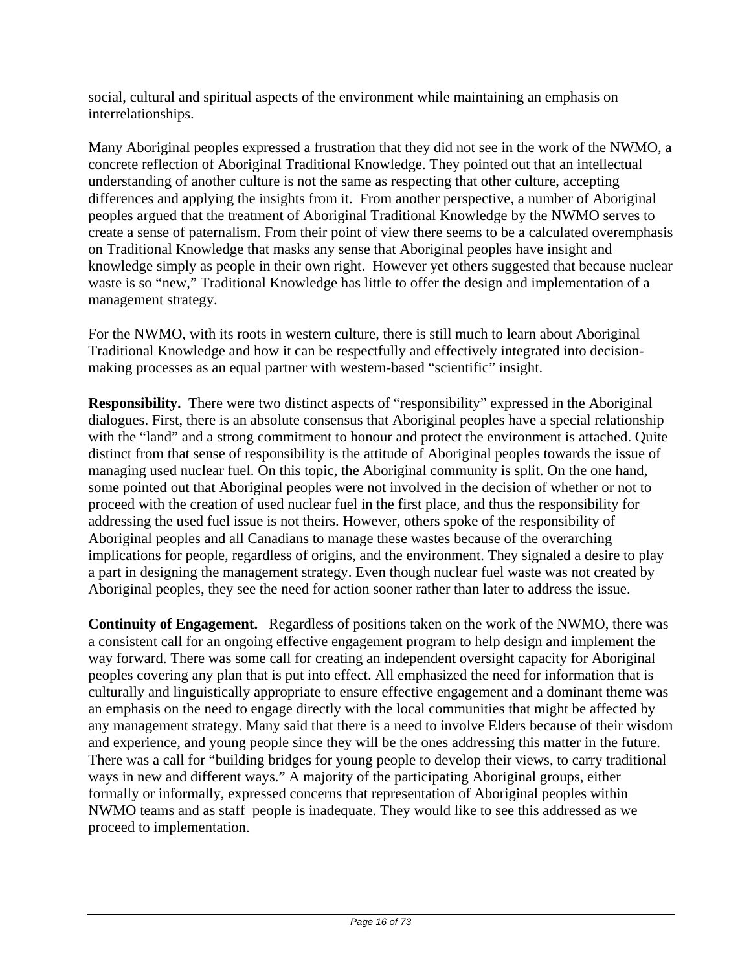social, cultural and spiritual aspects of the environment while maintaining an emphasis on interrelationships.

Many Aboriginal peoples expressed a frustration that they did not see in the work of the NWMO, a concrete reflection of Aboriginal Traditional Knowledge. They pointed out that an intellectual understanding of another culture is not the same as respecting that other culture, accepting differences and applying the insights from it. From another perspective, a number of Aboriginal peoples argued that the treatment of Aboriginal Traditional Knowledge by the NWMO serves to create a sense of paternalism. From their point of view there seems to be a calculated overemphasis on Traditional Knowledge that masks any sense that Aboriginal peoples have insight and knowledge simply as people in their own right. However yet others suggested that because nuclear waste is so "new," Traditional Knowledge has little to offer the design and implementation of a management strategy.

For the NWMO, with its roots in western culture, there is still much to learn about Aboriginal Traditional Knowledge and how it can be respectfully and effectively integrated into decisionmaking processes as an equal partner with western-based "scientific" insight.

**Responsibility.** There were two distinct aspects of "responsibility" expressed in the Aboriginal dialogues. First, there is an absolute consensus that Aboriginal peoples have a special relationship with the "land" and a strong commitment to honour and protect the environment is attached. Quite distinct from that sense of responsibility is the attitude of Aboriginal peoples towards the issue of managing used nuclear fuel. On this topic, the Aboriginal community is split. On the one hand, some pointed out that Aboriginal peoples were not involved in the decision of whether or not to proceed with the creation of used nuclear fuel in the first place, and thus the responsibility for addressing the used fuel issue is not theirs. However, others spoke of the responsibility of Aboriginal peoples and all Canadians to manage these wastes because of the overarching implications for people, regardless of origins, and the environment. They signaled a desire to play a part in designing the management strategy. Even though nuclear fuel waste was not created by Aboriginal peoples, they see the need for action sooner rather than later to address the issue.

**Continuity of Engagement.** Regardless of positions taken on the work of the NWMO, there was a consistent call for an ongoing effective engagement program to help design and implement the way forward. There was some call for creating an independent oversight capacity for Aboriginal peoples covering any plan that is put into effect. All emphasized the need for information that is culturally and linguistically appropriate to ensure effective engagement and a dominant theme was an emphasis on the need to engage directly with the local communities that might be affected by any management strategy. Many said that there is a need to involve Elders because of their wisdom and experience, and young people since they will be the ones addressing this matter in the future. There was a call for "building bridges for young people to develop their views, to carry traditional ways in new and different ways." A majority of the participating Aboriginal groups, either formally or informally, expressed concerns that representation of Aboriginal peoples within NWMO teams and as staff people is inadequate. They would like to see this addressed as we proceed to implementation.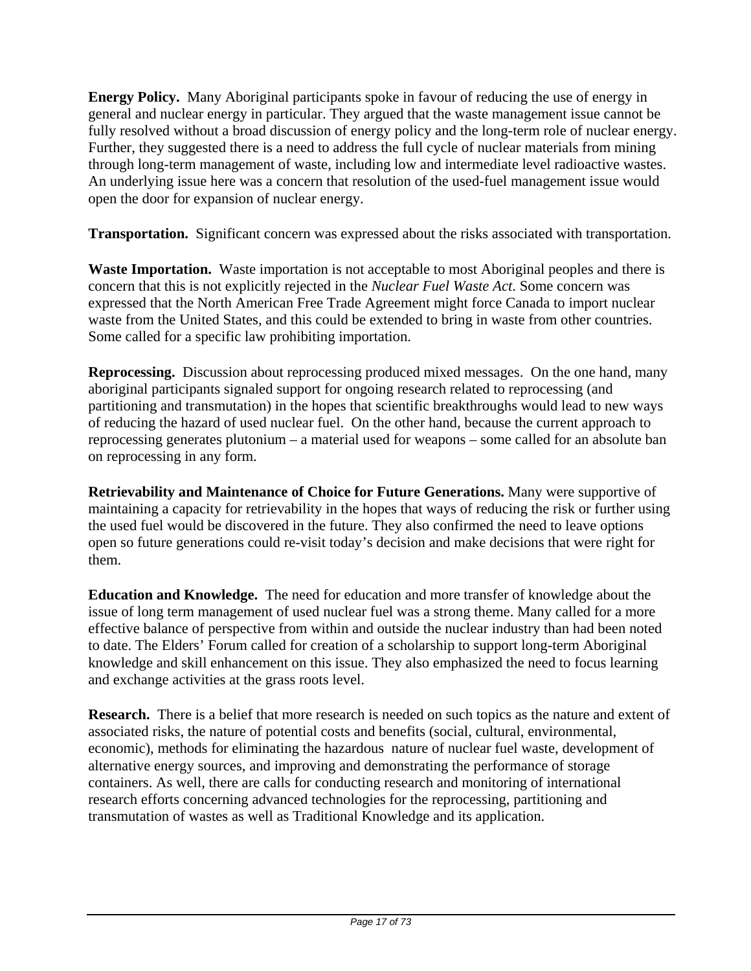**Energy Policy.** Many Aboriginal participants spoke in favour of reducing the use of energy in general and nuclear energy in particular. They argued that the waste management issue cannot be fully resolved without a broad discussion of energy policy and the long-term role of nuclear energy. Further, they suggested there is a need to address the full cycle of nuclear materials from mining through long-term management of waste, including low and intermediate level radioactive wastes. An underlying issue here was a concern that resolution of the used-fuel management issue would open the door for expansion of nuclear energy.

**Transportation.** Significant concern was expressed about the risks associated with transportation.

**Waste Importation.** Waste importation is not acceptable to most Aboriginal peoples and there is concern that this is not explicitly rejected in the *Nuclear Fuel Waste Act*. Some concern was expressed that the North American Free Trade Agreement might force Canada to import nuclear waste from the United States, and this could be extended to bring in waste from other countries. Some called for a specific law prohibiting importation.

**Reprocessing.** Discussion about reprocessing produced mixed messages. On the one hand, many aboriginal participants signaled support for ongoing research related to reprocessing (and partitioning and transmutation) in the hopes that scientific breakthroughs would lead to new ways of reducing the hazard of used nuclear fuel. On the other hand, because the current approach to reprocessing generates plutonium – a material used for weapons – some called for an absolute ban on reprocessing in any form.

**Retrievability and Maintenance of Choice for Future Generations.** Many were supportive of maintaining a capacity for retrievability in the hopes that ways of reducing the risk or further using the used fuel would be discovered in the future. They also confirmed the need to leave options open so future generations could re-visit today's decision and make decisions that were right for them.

**Education and Knowledge.** The need for education and more transfer of knowledge about the issue of long term management of used nuclear fuel was a strong theme. Many called for a more effective balance of perspective from within and outside the nuclear industry than had been noted to date. The Elders' Forum called for creation of a scholarship to support long-term Aboriginal knowledge and skill enhancement on this issue. They also emphasized the need to focus learning and exchange activities at the grass roots level.

**Research.** There is a belief that more research is needed on such topics as the nature and extent of associated risks, the nature of potential costs and benefits (social, cultural, environmental, economic), methods for eliminating the hazardous nature of nuclear fuel waste, development of alternative energy sources, and improving and demonstrating the performance of storage containers. As well, there are calls for conducting research and monitoring of international research efforts concerning advanced technologies for the reprocessing, partitioning and transmutation of wastes as well as Traditional Knowledge and its application.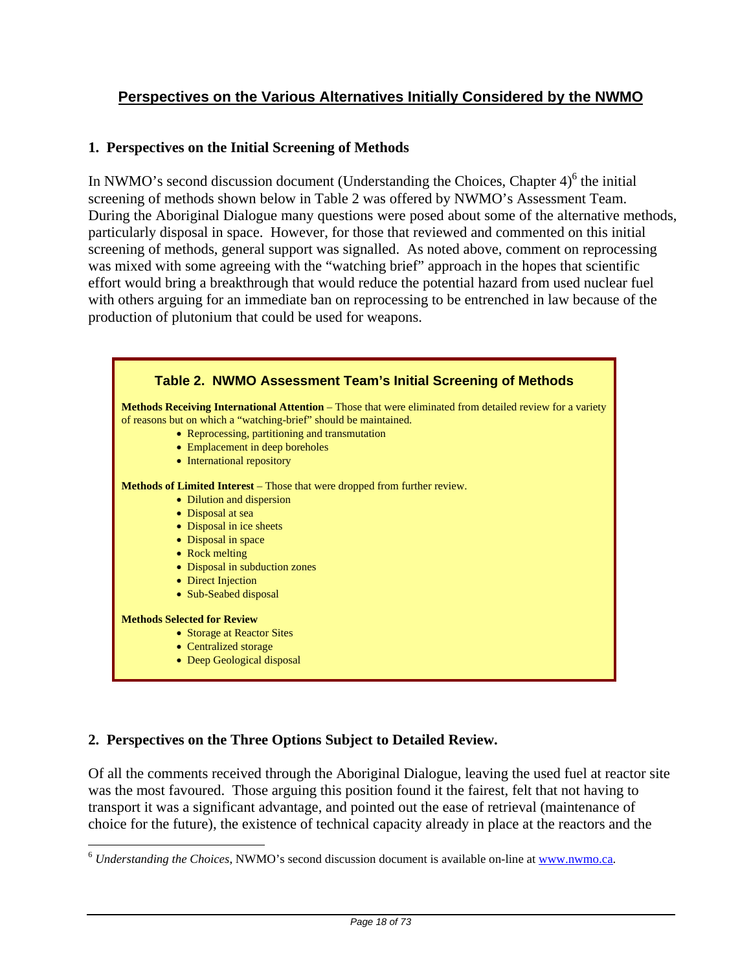## **Perspectives on the Various Alternatives Initially Considered by the NWMO**

## **1. Perspectives on the Initial Screening of Methods**

In NWMO's second discussion document (Understanding the Choices, Chapter  $4)^6$  the initial screening of methods shown below in Table 2 was offered by NWMO's Assessment Team. During the Aboriginal Dialogue many questions were posed about some of the alternative methods, particularly disposal in space. However, for those that reviewed and commented on this initial screening of methods, general support was signalled. As noted above, comment on reprocessing was mixed with some agreeing with the "watching brief" approach in the hopes that scientific effort would bring a breakthrough that would reduce the potential hazard from used nuclear fuel with others arguing for an immediate ban on reprocessing to be entrenched in law because of the production of plutonium that could be used for weapons.



## **2. Perspectives on the Three Options Subject to Detailed Review.**

 $\overline{a}$ 

Of all the comments received through the Aboriginal Dialogue, leaving the used fuel at reactor site was the most favoured. Those arguing this position found it the fairest, felt that not having to transport it was a significant advantage, and pointed out the ease of retrieval (maintenance of choice for the future), the existence of technical capacity already in place at the reactors and the

<sup>6</sup> *Understanding the Choices*, NWMO's second discussion document is available on-line at www.nwmo.ca.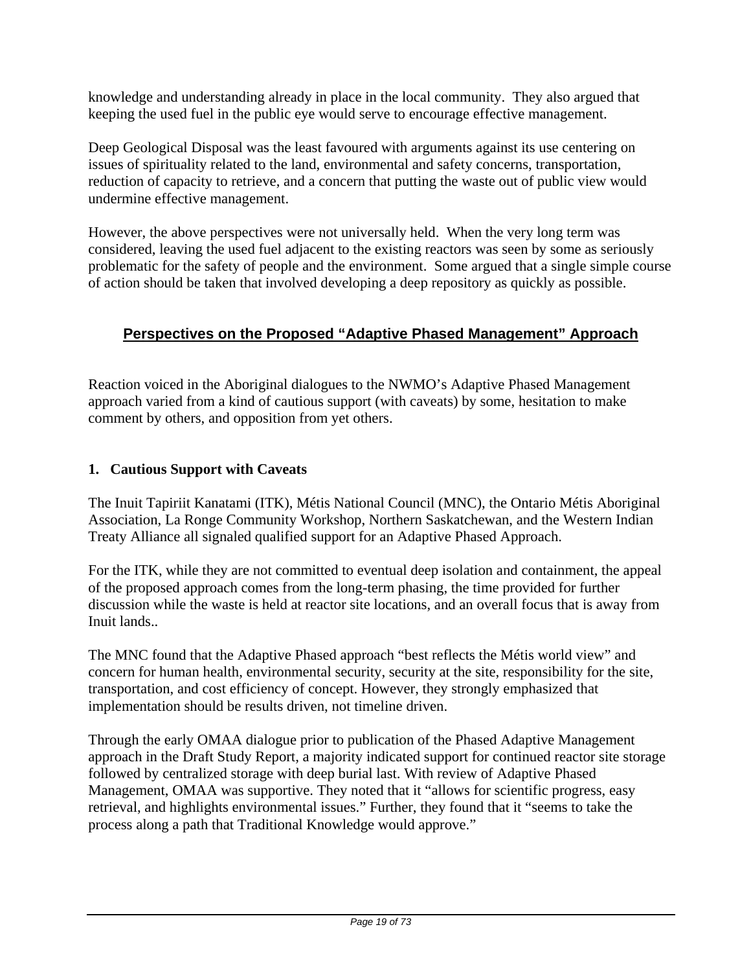knowledge and understanding already in place in the local community. They also argued that keeping the used fuel in the public eye would serve to encourage effective management.

Deep Geological Disposal was the least favoured with arguments against its use centering on issues of spirituality related to the land, environmental and safety concerns, transportation, reduction of capacity to retrieve, and a concern that putting the waste out of public view would undermine effective management.

However, the above perspectives were not universally held. When the very long term was considered, leaving the used fuel adjacent to the existing reactors was seen by some as seriously problematic for the safety of people and the environment. Some argued that a single simple course of action should be taken that involved developing a deep repository as quickly as possible.

## **Perspectives on the Proposed "Adaptive Phased Management" Approach**

Reaction voiced in the Aboriginal dialogues to the NWMO's Adaptive Phased Management approach varied from a kind of cautious support (with caveats) by some, hesitation to make comment by others, and opposition from yet others.

## **1. Cautious Support with Caveats**

The Inuit Tapiriit Kanatami (ITK), Métis National Council (MNC), the Ontario Métis Aboriginal Association, La Ronge Community Workshop, Northern Saskatchewan, and the Western Indian Treaty Alliance all signaled qualified support for an Adaptive Phased Approach.

For the ITK, while they are not committed to eventual deep isolation and containment, the appeal of the proposed approach comes from the long-term phasing, the time provided for further discussion while the waste is held at reactor site locations, and an overall focus that is away from Inuit lands..

The MNC found that the Adaptive Phased approach "best reflects the Métis world view" and concern for human health, environmental security, security at the site, responsibility for the site, transportation, and cost efficiency of concept. However, they strongly emphasized that implementation should be results driven, not timeline driven.

Through the early OMAA dialogue prior to publication of the Phased Adaptive Management approach in the Draft Study Report, a majority indicated support for continued reactor site storage followed by centralized storage with deep burial last. With review of Adaptive Phased Management, OMAA was supportive. They noted that it "allows for scientific progress, easy retrieval, and highlights environmental issues." Further, they found that it "seems to take the process along a path that Traditional Knowledge would approve."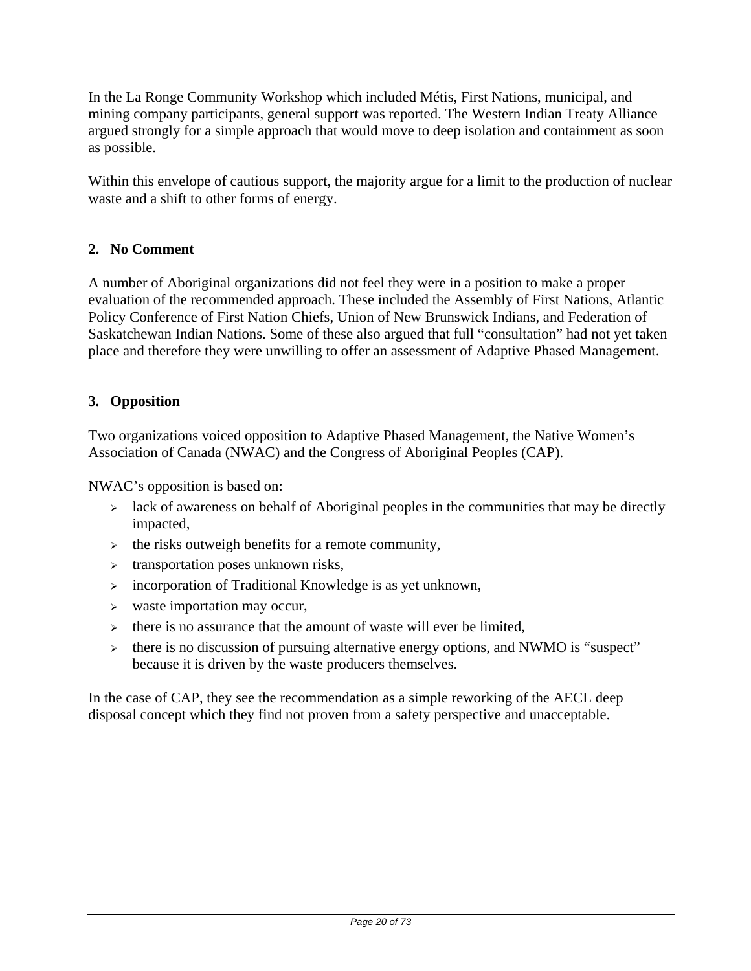In the La Ronge Community Workshop which included Métis, First Nations, municipal, and mining company participants, general support was reported. The Western Indian Treaty Alliance argued strongly for a simple approach that would move to deep isolation and containment as soon as possible.

Within this envelope of cautious support, the majority argue for a limit to the production of nuclear waste and a shift to other forms of energy.

## **2. No Comment**

A number of Aboriginal organizations did not feel they were in a position to make a proper evaluation of the recommended approach. These included the Assembly of First Nations, Atlantic Policy Conference of First Nation Chiefs, Union of New Brunswick Indians, and Federation of Saskatchewan Indian Nations. Some of these also argued that full "consultation" had not yet taken place and therefore they were unwilling to offer an assessment of Adaptive Phased Management.

## **3. Opposition**

Two organizations voiced opposition to Adaptive Phased Management, the Native Women's Association of Canada (NWAC) and the Congress of Aboriginal Peoples (CAP).

NWAC's opposition is based on:

- $\geq$  lack of awareness on behalf of Aboriginal peoples in the communities that may be directly impacted,
- $\rightarrow$  the risks outweigh benefits for a remote community,
- $\triangleright$  transportation poses unknown risks,
- <sup>¾</sup> incorporation of Traditional Knowledge is as yet unknown,
- $\triangleright$  waste importation may occur,
- $\rightarrow$  there is no assurance that the amount of waste will ever be limited,
- <sup>¾</sup> there is no discussion of pursuing alternative energy options, and NWMO is "suspect" because it is driven by the waste producers themselves.

In the case of CAP, they see the recommendation as a simple reworking of the AECL deep disposal concept which they find not proven from a safety perspective and unacceptable.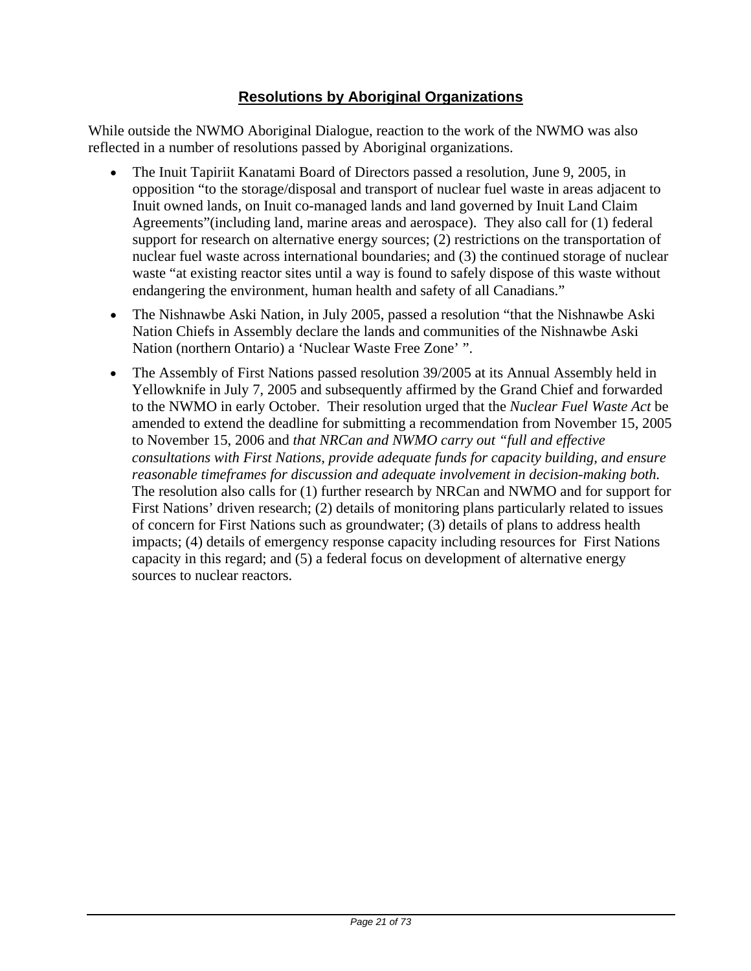## **Resolutions by Aboriginal Organizations**

While outside the NWMO Aboriginal Dialogue, reaction to the work of the NWMO was also reflected in a number of resolutions passed by Aboriginal organizations.

- The Inuit Tapiriit Kanatami Board of Directors passed a resolution, June 9, 2005, in opposition "to the storage/disposal and transport of nuclear fuel waste in areas adjacent to Inuit owned lands, on Inuit co-managed lands and land governed by Inuit Land Claim Agreements"(including land, marine areas and aerospace). They also call for (1) federal support for research on alternative energy sources; (2) restrictions on the transportation of nuclear fuel waste across international boundaries; and (3) the continued storage of nuclear waste "at existing reactor sites until a way is found to safely dispose of this waste without endangering the environment, human health and safety of all Canadians."
- The Nishnawbe Aski Nation, in July 2005, passed a resolution "that the Nishnawbe Aski Nation Chiefs in Assembly declare the lands and communities of the Nishnawbe Aski Nation (northern Ontario) a 'Nuclear Waste Free Zone' ".
- The Assembly of First Nations passed resolution 39/2005 at its Annual Assembly held in Yellowknife in July 7, 2005 and subsequently affirmed by the Grand Chief and forwarded to the NWMO in early October. Their resolution urged that the *Nuclear Fuel Waste Act* be amended to extend the deadline for submitting a recommendation from November 15, 2005 to November 15, 2006 and *that NRCan and NWMO carry out "full and effective consultations with First Nations, provide adequate funds for capacity building, and ensure reasonable timeframes for discussion and adequate involvement in decision-making both.* The resolution also calls for (1) further research by NRCan and NWMO and for support for First Nations' driven research; (2) details of monitoring plans particularly related to issues of concern for First Nations such as groundwater; (3) details of plans to address health impacts; (4) details of emergency response capacity including resources for First Nations capacity in this regard; and (5) a federal focus on development of alternative energy sources to nuclear reactors.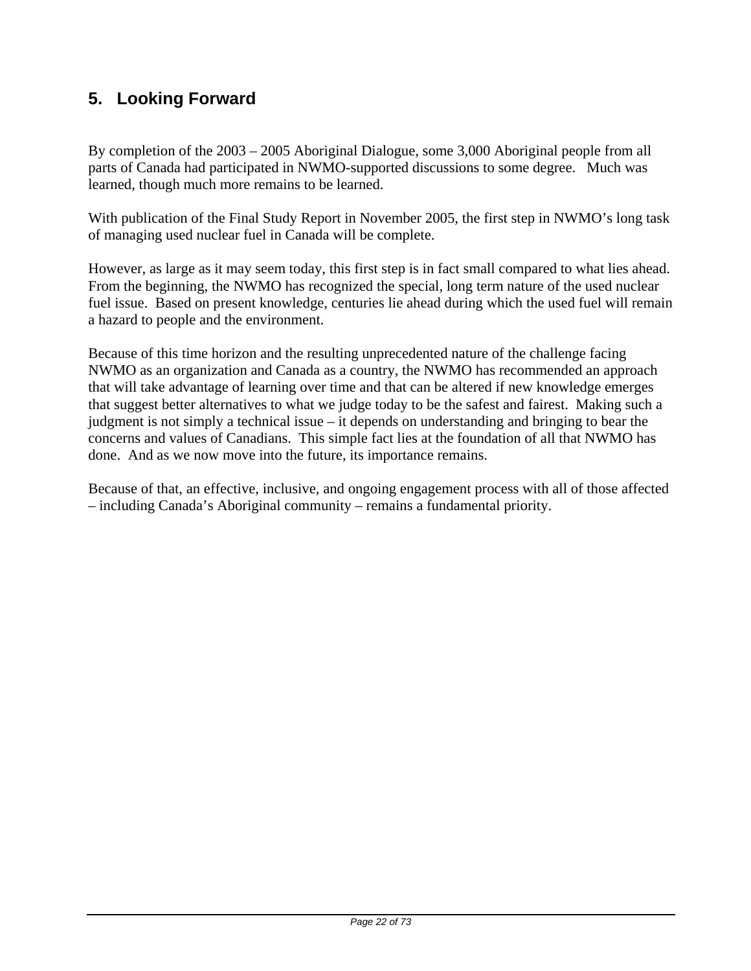## **5. Looking Forward**

By completion of the 2003 – 2005 Aboriginal Dialogue, some 3,000 Aboriginal people from all parts of Canada had participated in NWMO-supported discussions to some degree. Much was learned, though much more remains to be learned.

With publication of the Final Study Report in November 2005, the first step in NWMO's long task of managing used nuclear fuel in Canada will be complete.

However, as large as it may seem today, this first step is in fact small compared to what lies ahead. From the beginning, the NWMO has recognized the special, long term nature of the used nuclear fuel issue. Based on present knowledge, centuries lie ahead during which the used fuel will remain a hazard to people and the environment.

Because of this time horizon and the resulting unprecedented nature of the challenge facing NWMO as an organization and Canada as a country, the NWMO has recommended an approach that will take advantage of learning over time and that can be altered if new knowledge emerges that suggest better alternatives to what we judge today to be the safest and fairest. Making such a judgment is not simply a technical issue – it depends on understanding and bringing to bear the concerns and values of Canadians. This simple fact lies at the foundation of all that NWMO has done. And as we now move into the future, its importance remains.

Because of that, an effective, inclusive, and ongoing engagement process with all of those affected – including Canada's Aboriginal community – remains a fundamental priority.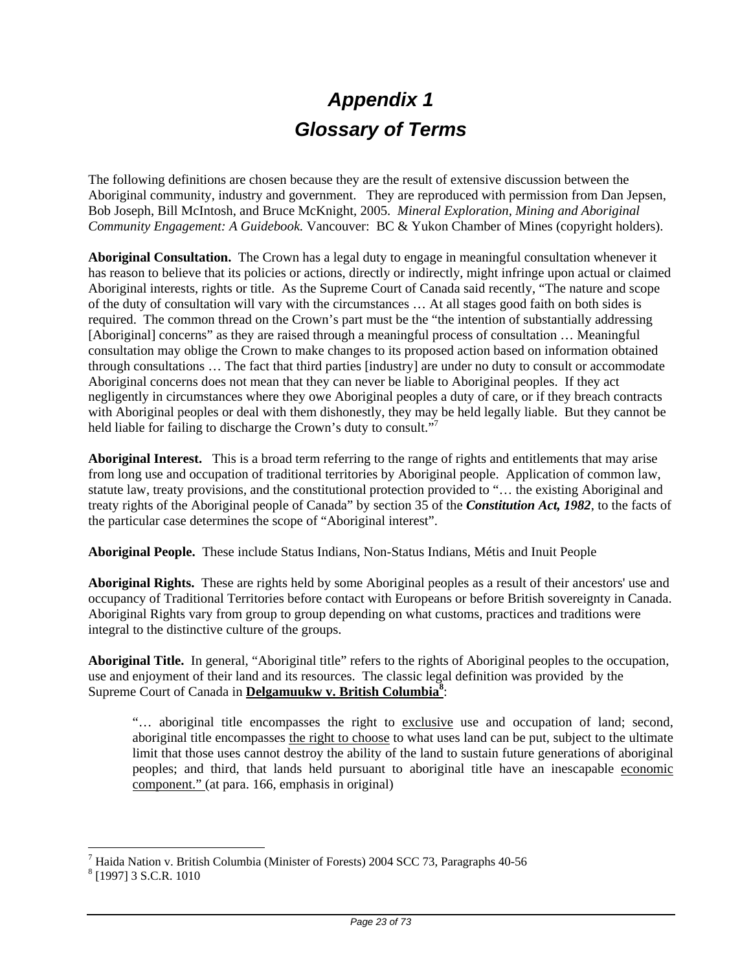# *Appendix 1 Glossary of Terms*

The following definitions are chosen because they are the result of extensive discussion between the Aboriginal community, industry and government. They are reproduced with permission from Dan Jepsen, Bob Joseph, Bill McIntosh, and Bruce McKnight, 2005. *Mineral Exploration, Mining and Aboriginal Community Engagement: A Guidebook.* Vancouver: BC & Yukon Chamber of Mines (copyright holders).

**Aboriginal Consultation.** The Crown has a legal duty to engage in meaningful consultation whenever it has reason to believe that its policies or actions, directly or indirectly, might infringe upon actual or claimed Aboriginal interests, rights or title. As the Supreme Court of Canada said recently, "The nature and scope of the duty of consultation will vary with the circumstances … At all stages good faith on both sides is required. The common thread on the Crown's part must be the "the intention of substantially addressing [Aboriginal] concerns" as they are raised through a meaningful process of consultation ... Meaningful consultation may oblige the Crown to make changes to its proposed action based on information obtained through consultations … The fact that third parties [industry] are under no duty to consult or accommodate Aboriginal concerns does not mean that they can never be liable to Aboriginal peoples. If they act negligently in circumstances where they owe Aboriginal peoples a duty of care, or if they breach contracts with Aboriginal peoples or deal with them dishonestly, they may be held legally liable. But they cannot be held liable for failing to discharge the Crown's duty to consult."<sup>7</sup>

**Aboriginal Interest.** This is a broad term referring to the range of rights and entitlements that may arise from long use and occupation of traditional territories by Aboriginal people. Application of common law, statute law, treaty provisions, and the constitutional protection provided to "… the existing Aboriginal and treaty rights of the Aboriginal people of Canada" by section 35 of the *Constitution Act, 1982*, to the facts of the particular case determines the scope of "Aboriginal interest".

**Aboriginal People.** These include Status Indians, Non-Status Indians, Métis and Inuit People

**Aboriginal Rights.** These are rights held by some Aboriginal peoples as a result of their ancestors' use and occupancy of Traditional Territories before contact with Europeans or before British sovereignty in Canada. Aboriginal Rights vary from group to group depending on what customs, practices and traditions were integral to the distinctive culture of the groups.

**Aboriginal Title.** In general, "Aboriginal title" refers to the rights of Aboriginal peoples to the occupation, use and enjoyment of their land and its resources. The classic legal definition was provided by the Supreme Court of Canada in **Delgamuukw v. British Columbia**<sup>8</sup>:

"… aboriginal title encompasses the right to exclusive use and occupation of land; second, aboriginal title encompasses the right to choose to what uses land can be put, subject to the ultimate limit that those uses cannot destroy the ability of the land to sustain future generations of aboriginal peoples; and third, that lands held pursuant to aboriginal title have an inescapable economic component." (at para. 166, emphasis in original)

 $\overline{a}$ 

<sup>&</sup>lt;sup>7</sup> Haida Nation v. British Columbia (Minister of Forests) 2004 SCC 73, Paragraphs 40-56  $8\overline{10071}$  3 S C P  $1010$ 

<sup>&</sup>lt;sup>8</sup> [1997] 3 S.C.R. 1010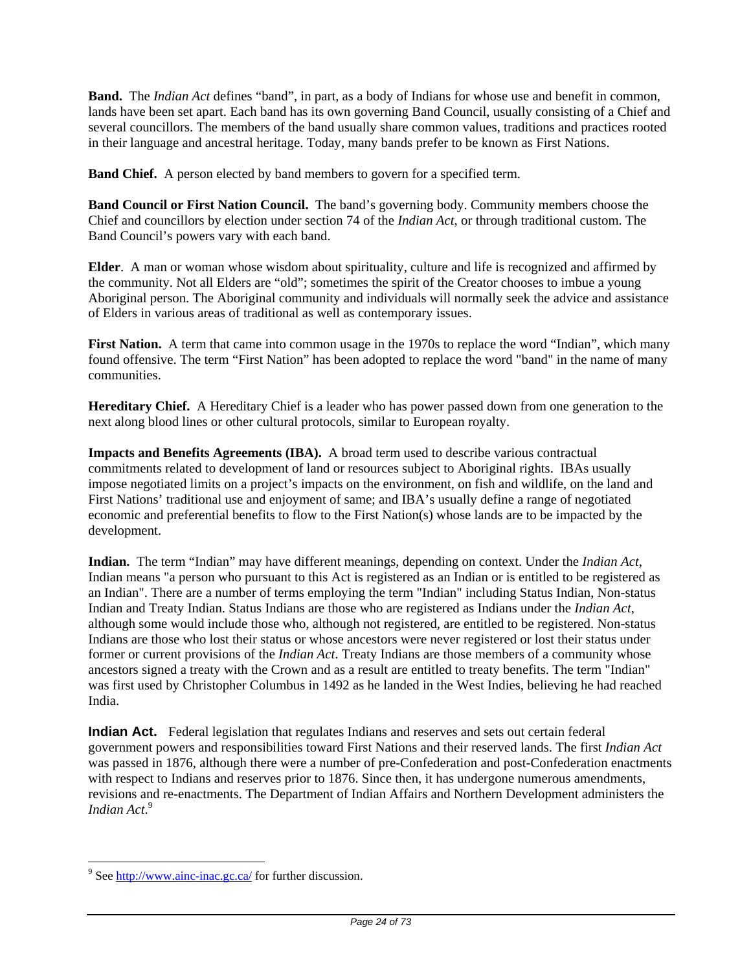**Band.** The *Indian Act* defines "band", in part, as a body of Indians for whose use and benefit in common, lands have been set apart. Each band has its own governing Band Council, usually consisting of a Chief and several councillors. The members of the band usually share common values, traditions and practices rooted in their language and ancestral heritage. Today, many bands prefer to be known as First Nations.

**Band Chief.** A person elected by band members to govern for a specified term.

**Band Council or First Nation Council.** The band's governing body. Community members choose the Chief and councillors by election under section 74 of the *Indian Act*, or through traditional custom. The Band Council's powers vary with each band.

**Elder**. A man or woman whose wisdom about spirituality, culture and life is recognized and affirmed by the community. Not all Elders are "old"; sometimes the spirit of the Creator chooses to imbue a young Aboriginal person. The Aboriginal community and individuals will normally seek the advice and assistance of Elders in various areas of traditional as well as contemporary issues.

**First Nation.** A term that came into common usage in the 1970s to replace the word "Indian", which many found offensive. The term "First Nation" has been adopted to replace the word "band" in the name of many communities.

**Hereditary Chief.** A Hereditary Chief is a leader who has power passed down from one generation to the next along blood lines or other cultural protocols, similar to European royalty.

**Impacts and Benefits Agreements (IBA).** A broad term used to describe various contractual commitments related to development of land or resources subject to Aboriginal rights. IBAs usually impose negotiated limits on a project's impacts on the environment, on fish and wildlife, on the land and First Nations' traditional use and enjoyment of same; and IBA's usually define a range of negotiated economic and preferential benefits to flow to the First Nation(s) whose lands are to be impacted by the development.

**Indian.** The term "Indian" may have different meanings, depending on context. Under the *Indian Act*, Indian means "a person who pursuant to this Act is registered as an Indian or is entitled to be registered as an Indian". There are a number of terms employing the term "Indian" including Status Indian, Non-status Indian and Treaty Indian. Status Indians are those who are registered as Indians under the *Indian Act*, although some would include those who, although not registered, are entitled to be registered. Non-status Indians are those who lost their status or whose ancestors were never registered or lost their status under former or current provisions of the *Indian Act*. Treaty Indians are those members of a community whose ancestors signed a treaty with the Crown and as a result are entitled to treaty benefits. The term "Indian" was first used by Christopher Columbus in 1492 as he landed in the West Indies, believing he had reached India.

**Indian Act.** Federal legislation that regulates Indians and reserves and sets out certain federal government powers and responsibilities toward First Nations and their reserved lands. The first *Indian Act* was passed in 1876, although there were a number of pre-Confederation and post-Confederation enactments with respect to Indians and reserves prior to 1876. Since then, it has undergone numerous amendments, revisions and re-enactments. The Department of Indian Affairs and Northern Development administers the *Indian Act*. 9

 $\overline{a}$ 

<sup>&</sup>lt;sup>9</sup> See  $\frac{http://www.ainc-inac.gc.ca/}{http://www.ainc-inac.gc.ca/}$  for further discussion.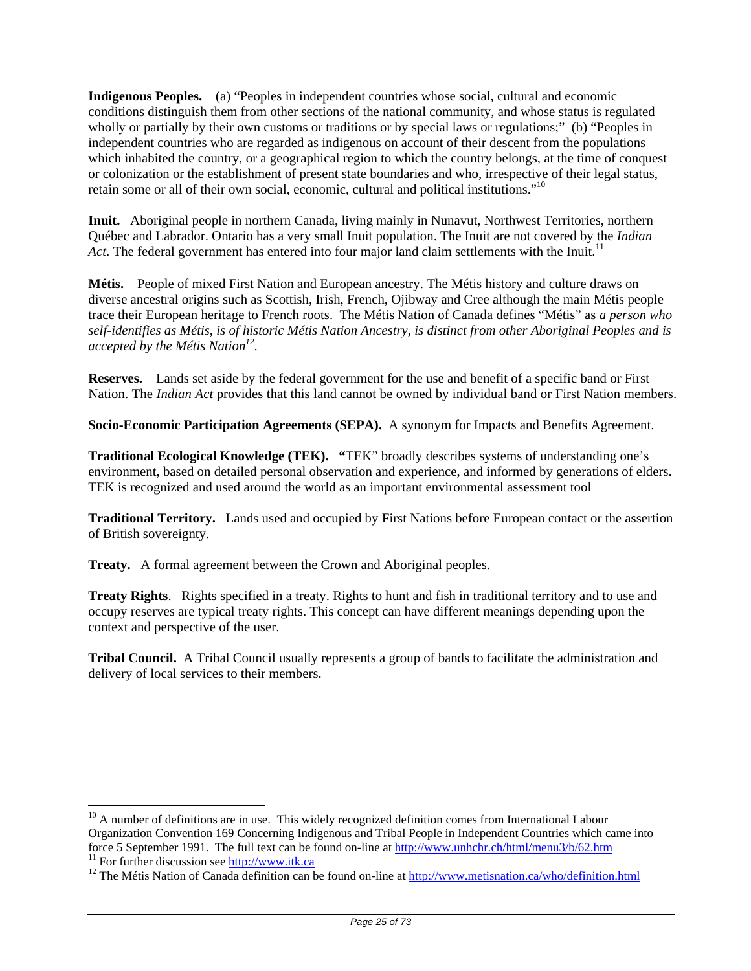**Indigenous Peoples.** (a) "Peoples in independent countries whose social, cultural and economic conditions distinguish them from other sections of the national community, and whose status is regulated wholly or partially by their own customs or traditions or by special laws or regulations;" (b) "Peoples in independent countries who are regarded as indigenous on account of their descent from the populations which inhabited the country, or a geographical region to which the country belongs, at the time of conquest or colonization or the establishment of present state boundaries and who, irrespective of their legal status, retain some or all of their own social, economic, cultural and political institutions."10

**Inuit.** Aboriginal people in northern Canada, living mainly in Nunavut, Northwest Territories, northern Québec and Labrador. Ontario has a very small Inuit population. The Inuit are not covered by the *Indian Act*. The federal government has entered into four major land claim settlements with the Inuit.<sup>11</sup>

**Métis.** People of mixed First Nation and European ancestry. The Métis history and culture draws on diverse ancestral origins such as Scottish, Irish, French, Ojibway and Cree although the main Métis people trace their European heritage to French roots. The Métis Nation of Canada defines "Métis" as *a person who self-identifies as Métis, is of historic Métis Nation Ancestry, is distinct from other Aboriginal Peoples and is accepted by the Métis Nation*<sup>12</sup>.

**Reserves.** Lands set aside by the federal government for the use and benefit of a specific band or First Nation. The *Indian Act* provides that this land cannot be owned by individual band or First Nation members.

**Socio-Economic Participation Agreements (SEPA).** A synonym for Impacts and Benefits Agreement.

**Traditional Ecological Knowledge (TEK). "**TEK" broadly describes systems of understanding one's environment, based on detailed personal observation and experience, and informed by generations of elders. TEK is recognized and used around the world as an important environmental assessment tool

**Traditional Territory.** Lands used and occupied by First Nations before European contact or the assertion of British sovereignty.

**Treaty.** A formal agreement between the Crown and Aboriginal peoples.

 $\overline{a}$ 

**Treaty Rights**. Rights specified in a treaty. Rights to hunt and fish in traditional territory and to use and occupy reserves are typical treaty rights. This concept can have different meanings depending upon the context and perspective of the user.

**Tribal Council.** A Tribal Council usually represents a group of bands to facilitate the administration and delivery of local services to their members.

 $10$  A number of definitions are in use. This widely recognized definition comes from International Labour Organization Convention 169 Concerning Indigenous and Tribal People in Independent Countries which came into force 5 September 1991. The full text can be found on-line at http://www.unhchr.ch/html/menu3/b/62.htm <sup>11</sup> For further discussion see  $\frac{http://www.itk.ca}{http://www.itk.ca}$ <br><sup>12</sup> The Métis Nation of Canada definition can be found on-line at http://www.metisnation.ca/who/definition.html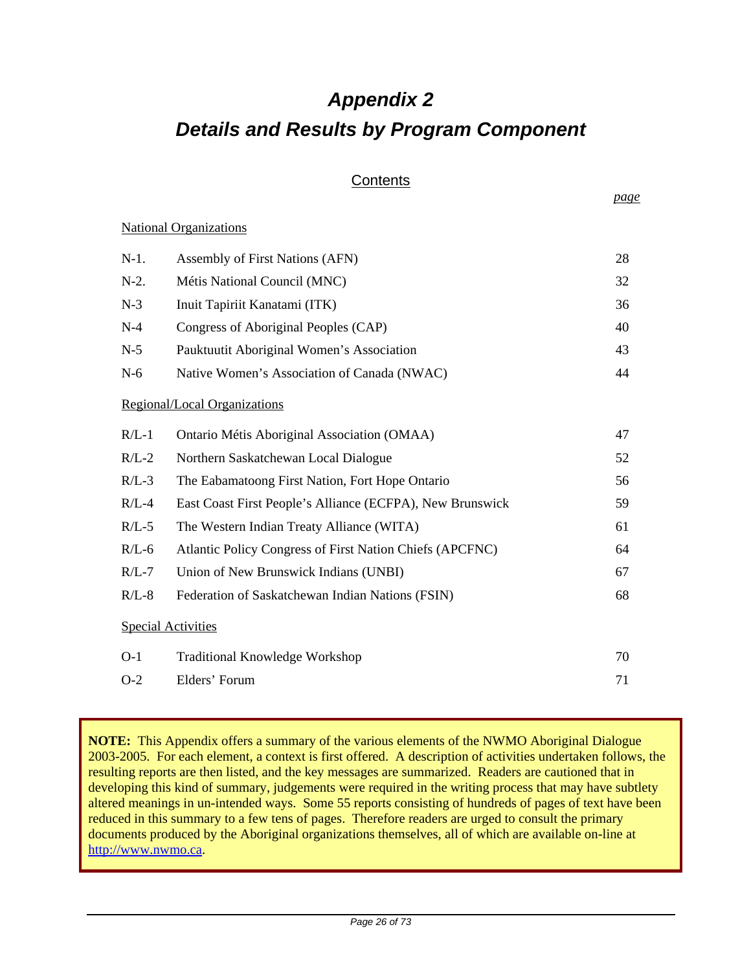# *Appendix 2 Details and Results by Program Component*

## **Contents**

National Organizations

| $N-1$ . | Assembly of First Nations (AFN)                           | 28 |
|---------|-----------------------------------------------------------|----|
| $N-2$ . | Métis National Council (MNC)                              | 32 |
| $N-3$   | Inuit Tapiriit Kanatami (ITK)                             | 36 |
| $N-4$   | Congress of Aboriginal Peoples (CAP)                      | 40 |
| $N-5$   | Pauktuutit Aboriginal Women's Association                 | 43 |
| $N-6$   | Native Women's Association of Canada (NWAC)               | 44 |
|         | Regional/Local Organizations                              |    |
| $R/L-1$ | Ontario Métis Aboriginal Association (OMAA)               | 47 |
| $R/L-2$ | Northern Saskatchewan Local Dialogue                      | 52 |
| $R/L-3$ | The Eabamatoong First Nation, Fort Hope Ontario           | 56 |
| $R/L-4$ | East Coast First People's Alliance (ECFPA), New Brunswick | 59 |
| $R/L-5$ | The Western Indian Treaty Alliance (WITA)                 | 61 |
| $R/L-6$ | Atlantic Policy Congress of First Nation Chiefs (APCFNC)  | 64 |
| $R/L-7$ | Union of New Brunswick Indians (UNBI)                     | 67 |
| $R/L-8$ | Federation of Saskatchewan Indian Nations (FSIN)          | 68 |
|         | <b>Special Activities</b>                                 |    |
| $O-1$   | <b>Traditional Knowledge Workshop</b>                     | 70 |
| $O-2$   | Elders' Forum                                             | 71 |

**NOTE:** This Appendix offers a summary of the various elements of the NWMO Aboriginal Dialogue 2003-2005. For each element, a context is first offered. A description of activities undertaken follows, the resulting reports are then listed, and the key messages are summarized. Readers are cautioned that in developing this kind of summary, judgements were required in the writing process that may have subtlety altered meanings in un-intended ways. Some 55 reports consisting of hundreds of pages of text have been reduced in this summary to a few tens of pages. Therefore readers are urged to consult the primary documents produced by the Aboriginal organizations themselves, all of which are available on-line at http://www.nwmo.ca.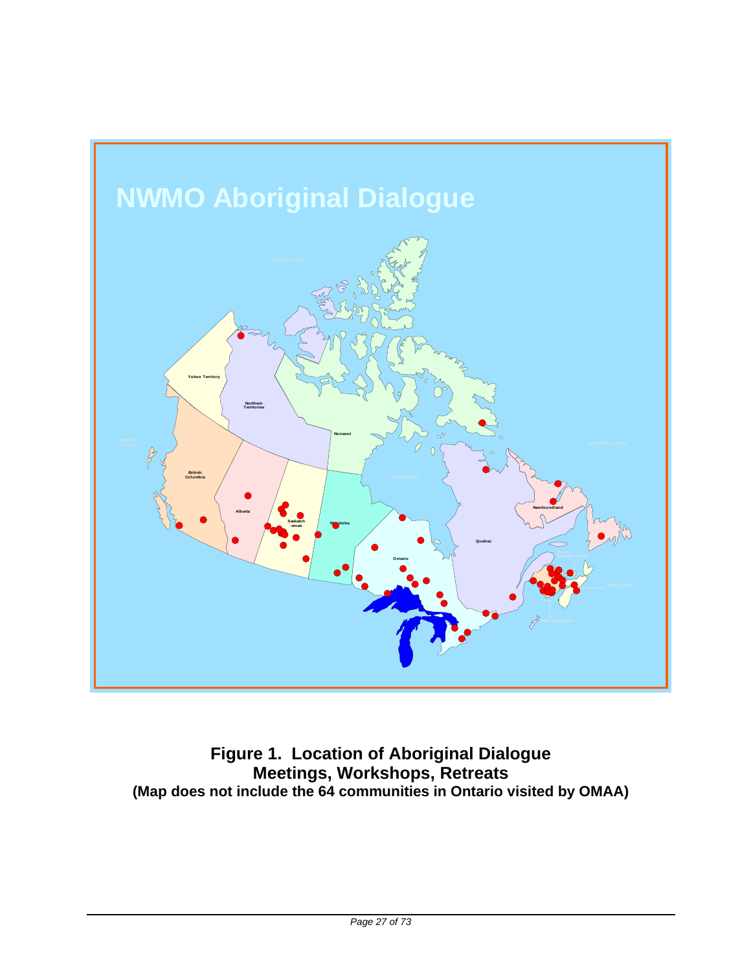

**Figure 1. Location of Aboriginal Dialogue Meetings, Workshops, Retreats (Map does not include the 64 communities in Ontario visited by OMAA)**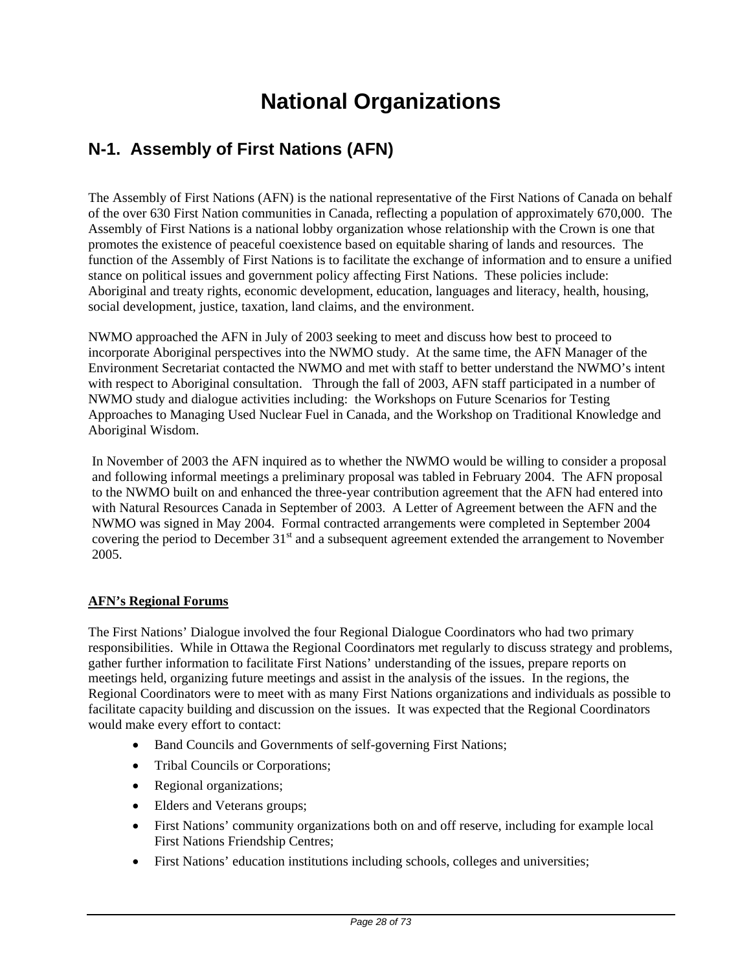# **National Organizations**

# **N-1. Assembly of First Nations (AFN)**

The Assembly of First Nations (AFN) is the national representative of the First Nations of Canada on behalf of the over 630 First Nation communities in Canada, reflecting a population of approximately 670,000. The Assembly of First Nations is a national lobby organization whose relationship with the Crown is one that promotes the existence of peaceful coexistence based on equitable sharing of lands and resources. The function of the Assembly of First Nations is to facilitate the exchange of information and to ensure a unified stance on political issues and government policy affecting First Nations. These policies include: Aboriginal and treaty rights, economic development, education, languages and literacy, health, housing, social development, justice, taxation, land claims, and the environment.

NWMO approached the AFN in July of 2003 seeking to meet and discuss how best to proceed to incorporate Aboriginal perspectives into the NWMO study. At the same time, the AFN Manager of the Environment Secretariat contacted the NWMO and met with staff to better understand the NWMO's intent with respect to Aboriginal consultation. Through the fall of 2003, AFN staff participated in a number of NWMO study and dialogue activities including: the Workshops on Future Scenarios for Testing Approaches to Managing Used Nuclear Fuel in Canada, and the Workshop on Traditional Knowledge and Aboriginal Wisdom.

In November of 2003 the AFN inquired as to whether the NWMO would be willing to consider a proposal and following informal meetings a preliminary proposal was tabled in February 2004. The AFN proposal to the NWMO built on and enhanced the three-year contribution agreement that the AFN had entered into with Natural Resources Canada in September of 2003. A Letter of Agreement between the AFN and the NWMO was signed in May 2004. Formal contracted arrangements were completed in September 2004 covering the period to December 31<sup>st</sup> and a subsequent agreement extended the arrangement to November 2005.

## **AFN's Regional Forums**

The First Nations' Dialogue involved the four Regional Dialogue Coordinators who had two primary responsibilities. While in Ottawa the Regional Coordinators met regularly to discuss strategy and problems, gather further information to facilitate First Nations' understanding of the issues, prepare reports on meetings held, organizing future meetings and assist in the analysis of the issues. In the regions, the Regional Coordinators were to meet with as many First Nations organizations and individuals as possible to facilitate capacity building and discussion on the issues. It was expected that the Regional Coordinators would make every effort to contact:

- Band Councils and Governments of self-governing First Nations;
- Tribal Councils or Corporations;
- Regional organizations;
- Elders and Veterans groups;
- First Nations' community organizations both on and off reserve, including for example local First Nations Friendship Centres;
- First Nations' education institutions including schools, colleges and universities;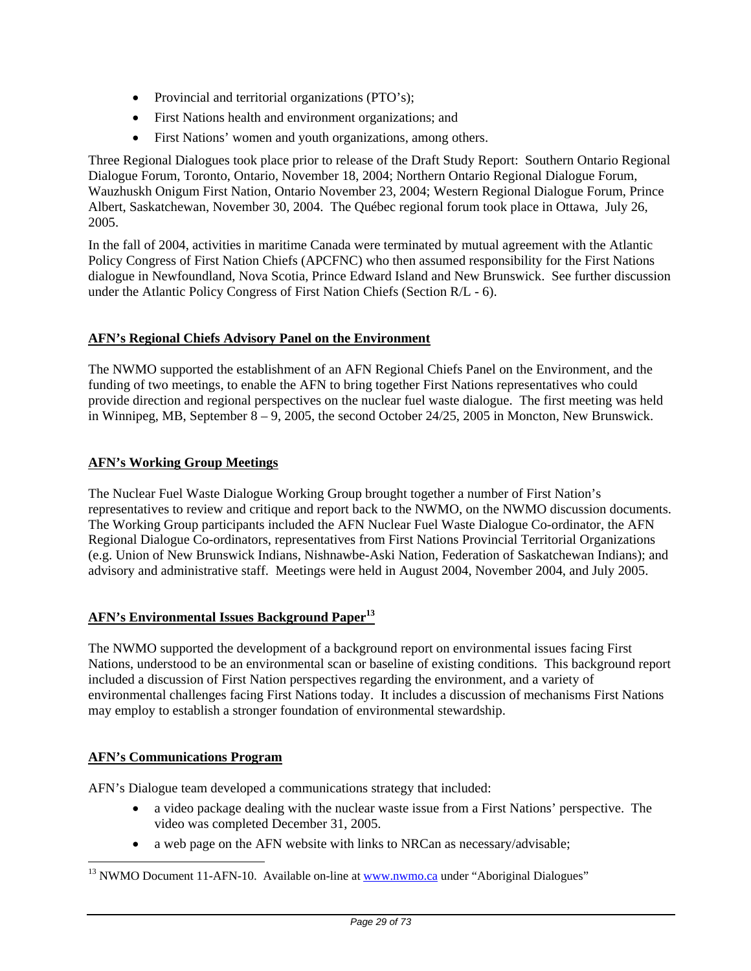- Provincial and territorial organizations (PTO's);
- First Nations health and environment organizations; and
- First Nations' women and youth organizations, among others.

Three Regional Dialogues took place prior to release of the Draft Study Report: Southern Ontario Regional Dialogue Forum, Toronto, Ontario, November 18, 2004; Northern Ontario Regional Dialogue Forum, Wauzhuskh Onigum First Nation, Ontario November 23, 2004; Western Regional Dialogue Forum, Prince Albert, Saskatchewan, November 30, 2004. The Québec regional forum took place in Ottawa, July 26, 2005.

In the fall of 2004, activities in maritime Canada were terminated by mutual agreement with the Atlantic Policy Congress of First Nation Chiefs (APCFNC) who then assumed responsibility for the First Nations dialogue in Newfoundland, Nova Scotia, Prince Edward Island and New Brunswick. See further discussion under the Atlantic Policy Congress of First Nation Chiefs (Section R/L - 6).

## **AFN's Regional Chiefs Advisory Panel on the Environment**

The NWMO supported the establishment of an AFN Regional Chiefs Panel on the Environment, and the funding of two meetings, to enable the AFN to bring together First Nations representatives who could provide direction and regional perspectives on the nuclear fuel waste dialogue. The first meeting was held in Winnipeg, MB, September 8 – 9, 2005, the second October 24/25, 2005 in Moncton, New Brunswick.

## **AFN's Working Group Meetings**

The Nuclear Fuel Waste Dialogue Working Group brought together a number of First Nation's representatives to review and critique and report back to the NWMO, on the NWMO discussion documents. The Working Group participants included the AFN Nuclear Fuel Waste Dialogue Co-ordinator, the AFN Regional Dialogue Co-ordinators, representatives from First Nations Provincial Territorial Organizations (e.g. Union of New Brunswick Indians, Nishnawbe-Aski Nation, Federation of Saskatchewan Indians); and advisory and administrative staff. Meetings were held in August 2004, November 2004, and July 2005.

## **AFN's Environmental Issues Background Paper<sup>13</sup>**

The NWMO supported the development of a background report on environmental issues facing First Nations, understood to be an environmental scan or baseline of existing conditions. This background report included a discussion of First Nation perspectives regarding the environment, and a variety of environmental challenges facing First Nations today. It includes a discussion of mechanisms First Nations may employ to establish a stronger foundation of environmental stewardship.

#### **AFN's Communications Program**

 $\overline{a}$ 

AFN's Dialogue team developed a communications strategy that included:

- a video package dealing with the nuclear waste issue from a First Nations' perspective. The video was completed December 31, 2005.
- a web page on the AFN website with links to NRCan as necessary/advisable;

 $13$  NWMO Document 11-AFN-10. Available on-line at  $www.nwmo.ca$  under "Aboriginal Dialogues"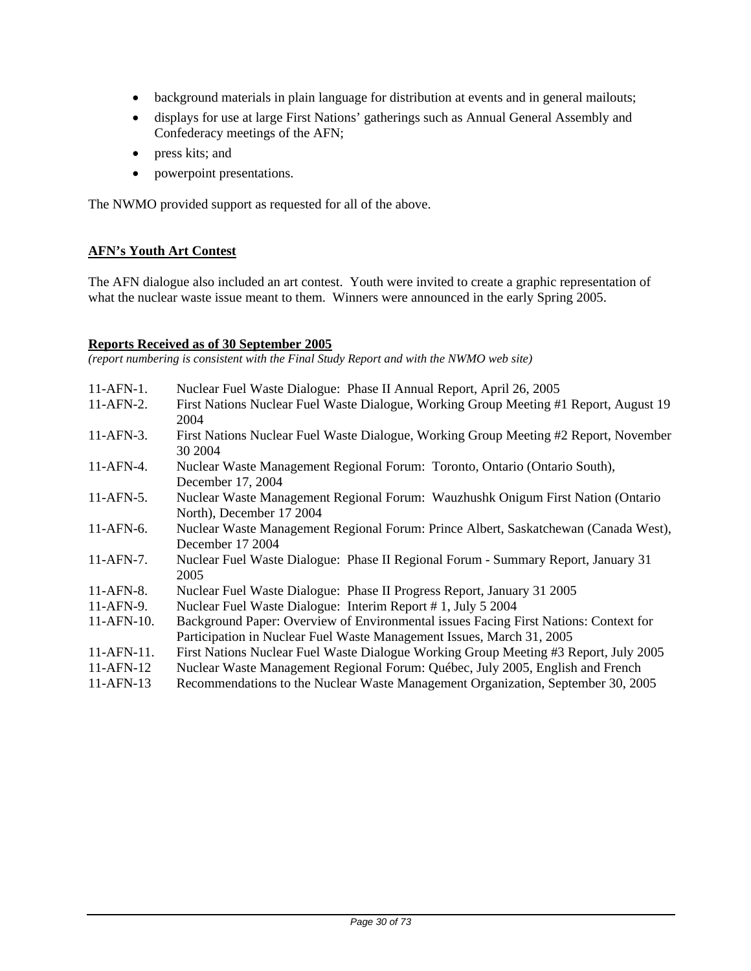- background materials in plain language for distribution at events and in general mailouts;
- displays for use at large First Nations' gatherings such as Annual General Assembly and Confederacy meetings of the AFN;
- press kits; and
- powerpoint presentations.

The NWMO provided support as requested for all of the above.

#### **AFN's Youth Art Contest**

The AFN dialogue also included an art contest. Youth were invited to create a graphic representation of what the nuclear waste issue meant to them. Winners were announced in the early Spring 2005.

#### **Reports Received as of 30 September 2005**

*(report numbering is consistent with the Final Study Report and with the NWMO web site)* 

- 11-AFN-1. Nuclear Fuel Waste Dialogue: Phase II Annual Report, April 26, 2005
- 11-AFN-2. First Nations Nuclear Fuel Waste Dialogue, Working Group Meeting #1 Report, August 19 2004
- 11-AFN-3. First Nations Nuclear Fuel Waste Dialogue, Working Group Meeting #2 Report, November 30 2004
- 11-AFN-4. Nuclear Waste Management Regional Forum: Toronto, Ontario (Ontario South), December 17, 2004
- 11-AFN-5. Nuclear Waste Management Regional Forum: Wauzhushk Onigum First Nation (Ontario North), December 17 2004
- 11-AFN-6. Nuclear Waste Management Regional Forum: Prince Albert, Saskatchewan (Canada West), December 17 2004
- 11-AFN-7. Nuclear Fuel Waste Dialogue: Phase II Regional Forum Summary Report, January 31 2005
- 11-AFN-8. Nuclear Fuel Waste Dialogue: Phase II Progress Report, January 31 2005
- 11-AFN-9. Nuclear Fuel Waste Dialogue: Interim Report # 1, July 5 2004
- 11-AFN-10. Background Paper: Overview of Environmental issues Facing First Nations: Context for Participation in Nuclear Fuel Waste Management Issues, March 31, 2005
- 11-AFN-11. First Nations Nuclear Fuel Waste Dialogue Working Group Meeting #3 Report, July 2005
- 11-AFN-12 Nuclear Waste Management Regional Forum: Québec, July 2005, English and French
- 11-AFN-13 Recommendations to the Nuclear Waste Management Organization, September 30, 2005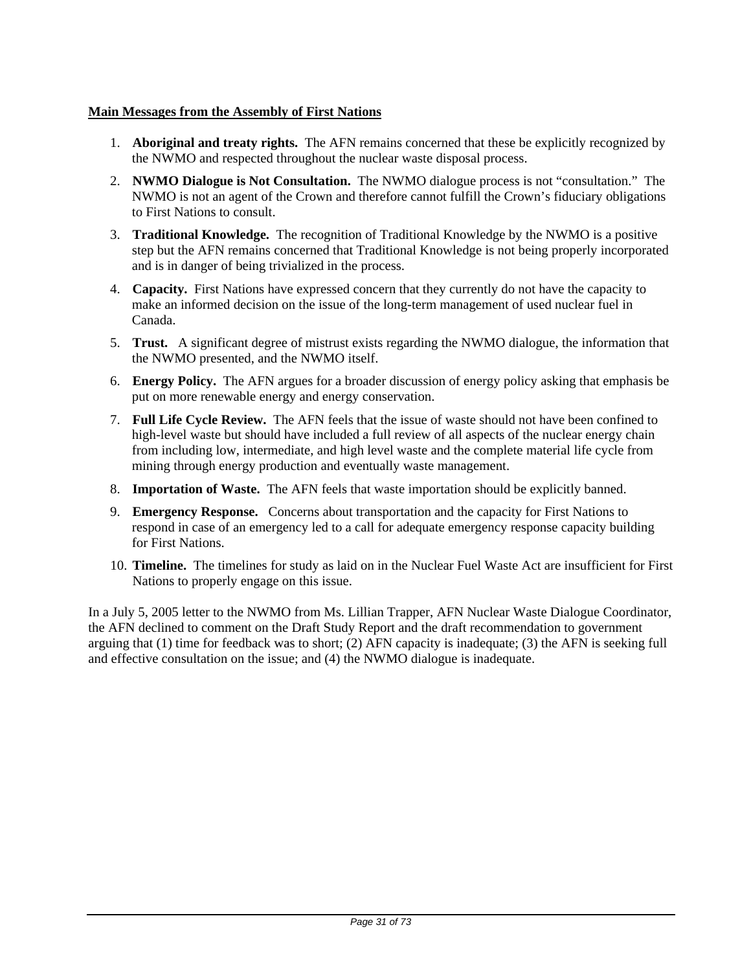## **Main Messages from the Assembly of First Nations**

- 1. **Aboriginal and treaty rights.** The AFN remains concerned that these be explicitly recognized by the NWMO and respected throughout the nuclear waste disposal process.
- 2. **NWMO Dialogue is Not Consultation.** The NWMO dialogue process is not "consultation." The NWMO is not an agent of the Crown and therefore cannot fulfill the Crown's fiduciary obligations to First Nations to consult.
- 3. **Traditional Knowledge.** The recognition of Traditional Knowledge by the NWMO is a positive step but the AFN remains concerned that Traditional Knowledge is not being properly incorporated and is in danger of being trivialized in the process.
- 4. **Capacity.** First Nations have expressed concern that they currently do not have the capacity to make an informed decision on the issue of the long-term management of used nuclear fuel in Canada.
- 5. **Trust.** A significant degree of mistrust exists regarding the NWMO dialogue, the information that the NWMO presented, and the NWMO itself.
- 6. **Energy Policy.** The AFN argues for a broader discussion of energy policy asking that emphasis be put on more renewable energy and energy conservation.
- 7. **Full Life Cycle Review.** The AFN feels that the issue of waste should not have been confined to high-level waste but should have included a full review of all aspects of the nuclear energy chain from including low, intermediate, and high level waste and the complete material life cycle from mining through energy production and eventually waste management.
- 8. **Importation of Waste.** The AFN feels that waste importation should be explicitly banned.
- 9. **Emergency Response.** Concerns about transportation and the capacity for First Nations to respond in case of an emergency led to a call for adequate emergency response capacity building for First Nations.
- 10. **Timeline.** The timelines for study as laid on in the Nuclear Fuel Waste Act are insufficient for First Nations to properly engage on this issue.

In a July 5, 2005 letter to the NWMO from Ms. Lillian Trapper, AFN Nuclear Waste Dialogue Coordinator, the AFN declined to comment on the Draft Study Report and the draft recommendation to government arguing that (1) time for feedback was to short; (2) AFN capacity is inadequate; (3) the AFN is seeking full and effective consultation on the issue; and (4) the NWMO dialogue is inadequate.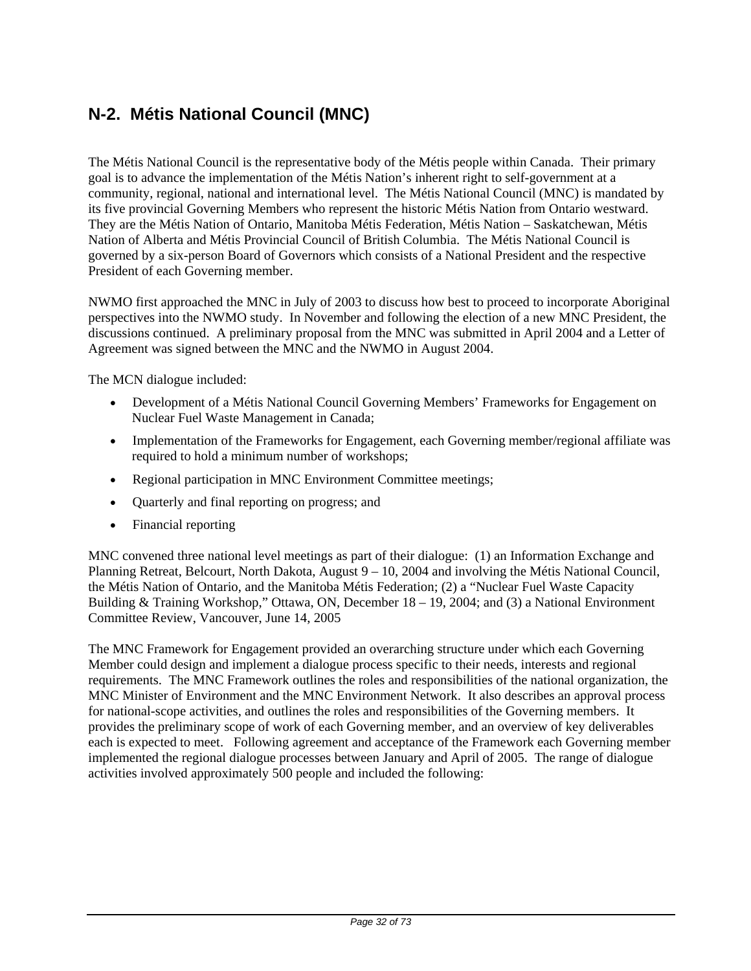# **N-2. Métis National Council (MNC)**

The Métis National Council is the representative body of the Métis people within Canada. Their primary goal is to advance the implementation of the Métis Nation's inherent right to self-government at a community, regional, national and international level. The Métis National Council (MNC) is mandated by its five provincial Governing Members who represent the historic Métis Nation from Ontario westward. They are the Métis Nation of Ontario, Manitoba Métis Federation, Métis Nation – Saskatchewan, Métis Nation of Alberta and Métis Provincial Council of British Columbia. The Métis National Council is governed by a six-person Board of Governors which consists of a National President and the respective President of each Governing member.

NWMO first approached the MNC in July of 2003 to discuss how best to proceed to incorporate Aboriginal perspectives into the NWMO study. In November and following the election of a new MNC President, the discussions continued. A preliminary proposal from the MNC was submitted in April 2004 and a Letter of Agreement was signed between the MNC and the NWMO in August 2004.

The MCN dialogue included:

- Development of a Métis National Council Governing Members' Frameworks for Engagement on Nuclear Fuel Waste Management in Canada;
- Implementation of the Frameworks for Engagement, each Governing member/regional affiliate was required to hold a minimum number of workshops;
- Regional participation in MNC Environment Committee meetings;
- Quarterly and final reporting on progress; and
- Financial reporting

MNC convened three national level meetings as part of their dialogue: (1) an Information Exchange and Planning Retreat, Belcourt, North Dakota, August 9 – 10, 2004 and involving the Métis National Council, the Métis Nation of Ontario, and the Manitoba Métis Federation; (2) a "Nuclear Fuel Waste Capacity Building & Training Workshop," Ottawa, ON, December 18 – 19, 2004; and (3) a National Environment Committee Review, Vancouver, June 14, 2005

The MNC Framework for Engagement provided an overarching structure under which each Governing Member could design and implement a dialogue process specific to their needs, interests and regional requirements. The MNC Framework outlines the roles and responsibilities of the national organization, the MNC Minister of Environment and the MNC Environment Network. It also describes an approval process for national-scope activities, and outlines the roles and responsibilities of the Governing members. It provides the preliminary scope of work of each Governing member, and an overview of key deliverables each is expected to meet. Following agreement and acceptance of the Framework each Governing member implemented the regional dialogue processes between January and April of 2005. The range of dialogue activities involved approximately 500 people and included the following: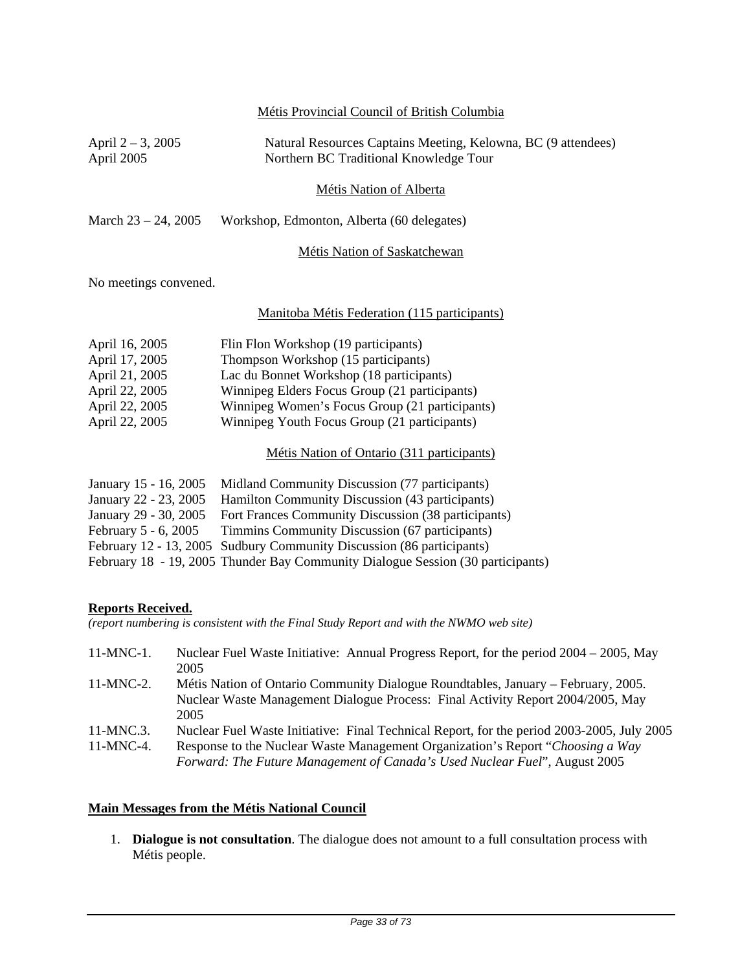|                                                                                                                           | Métis Provincial Council of British Columbia                                                                                                                                                                                                                                                                                                    |  |  |  |  |  |
|---------------------------------------------------------------------------------------------------------------------------|-------------------------------------------------------------------------------------------------------------------------------------------------------------------------------------------------------------------------------------------------------------------------------------------------------------------------------------------------|--|--|--|--|--|
| April $2 - 3$ , 2005<br>April 2005                                                                                        | Natural Resources Captains Meeting, Kelowna, BC (9 attendees)<br>Northern BC Traditional Knowledge Tour                                                                                                                                                                                                                                         |  |  |  |  |  |
|                                                                                                                           | <b>Métis Nation of Alberta</b>                                                                                                                                                                                                                                                                                                                  |  |  |  |  |  |
| March $23 - 24$ , 2005                                                                                                    | Workshop, Edmonton, Alberta (60 delegates)                                                                                                                                                                                                                                                                                                      |  |  |  |  |  |
|                                                                                                                           | Métis Nation of Saskatchewan                                                                                                                                                                                                                                                                                                                    |  |  |  |  |  |
| No meetings convened.                                                                                                     |                                                                                                                                                                                                                                                                                                                                                 |  |  |  |  |  |
|                                                                                                                           | Manitoba Métis Federation (115 participants)                                                                                                                                                                                                                                                                                                    |  |  |  |  |  |
| April 16, 2005<br>April 17, 2005<br>April 21, 2005<br>April 22, 2005<br>April 22, 2005<br>April 22, 2005                  | Flin Flon Workshop (19 participants)<br>Thompson Workshop (15 participants)<br>Lac du Bonnet Workshop (18 participants)<br>Winnipeg Elders Focus Group (21 participants)<br>Winnipeg Women's Focus Group (21 participants)<br>Winnipeg Youth Focus Group (21 participants)                                                                      |  |  |  |  |  |
|                                                                                                                           | Métis Nation of Ontario (311 participants)                                                                                                                                                                                                                                                                                                      |  |  |  |  |  |
| January 15 - 16, 2005<br>January 22 - 23, 2005<br>January 29 - 30, 2005<br>February 5 - 6, 2005<br>February 12 - 13, 2005 | Midland Community Discussion (77 participants)<br>Hamilton Community Discussion (43 participants)<br>Fort Frances Community Discussion (38 participants)<br>Timmins Community Discussion (67 participants)<br>Sudbury Community Discussion (86 participants)<br>February 18 - 19, 2005 Thunder Bay Community Dialogue Session (30 participants) |  |  |  |  |  |
| <b>Reports Received.</b>                                                                                                  | (report numbering is consistent with the Final Study Report and with the NWMO web site)                                                                                                                                                                                                                                                         |  |  |  |  |  |

| $11-MNC-1$ . | Nuclear Fuel Waste Initiative: Annual Progress Report, for the period $2004 - 2005$ , May<br>2005                                                                            |
|--------------|------------------------------------------------------------------------------------------------------------------------------------------------------------------------------|
| $11-MNC-2.$  | Métis Nation of Ontario Community Dialogue Roundtables, January – February, 2005.<br>Nuclear Waste Management Dialogue Process: Final Activity Report 2004/2005, May<br>2005 |
| $11-MNC.3$ . | Nuclear Fuel Waste Initiative: Final Technical Report, for the period 2003-2005, July 2005                                                                                   |
| $11-MNC-4$ . | Response to the Nuclear Waste Management Organization's Report "Choosing a Way"<br>Forward: The Future Management of Canada's Used Nuclear Fuel", August 2005                |

## **Main Messages from the Métis National Council**

1. **Dialogue is not consultation**. The dialogue does not amount to a full consultation process with Métis people.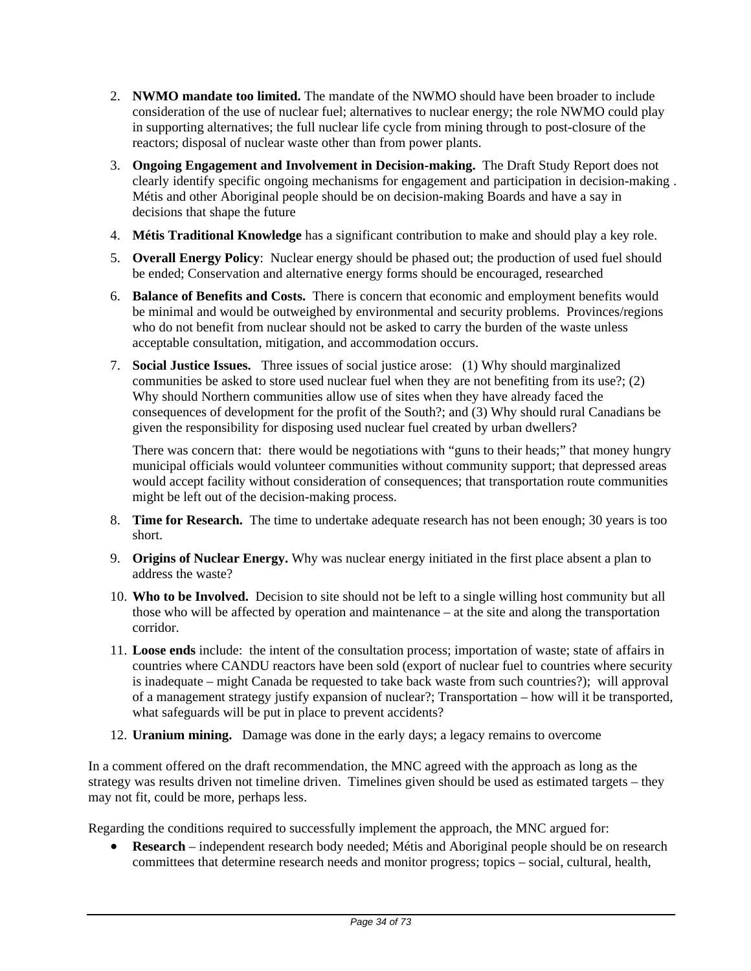- 2. **NWMO mandate too limited.** The mandate of the NWMO should have been broader to include consideration of the use of nuclear fuel; alternatives to nuclear energy; the role NWMO could play in supporting alternatives; the full nuclear life cycle from mining through to post-closure of the reactors; disposal of nuclear waste other than from power plants.
- 3. **Ongoing Engagement and Involvement in Decision-making.** The Draft Study Report does not clearly identify specific ongoing mechanisms for engagement and participation in decision-making . Métis and other Aboriginal people should be on decision-making Boards and have a say in decisions that shape the future
- 4. **Métis Traditional Knowledge** has a significant contribution to make and should play a key role.
- 5. **Overall Energy Policy**: Nuclear energy should be phased out; the production of used fuel should be ended; Conservation and alternative energy forms should be encouraged, researched
- 6. **Balance of Benefits and Costs.** There is concern that economic and employment benefits would be minimal and would be outweighed by environmental and security problems. Provinces/regions who do not benefit from nuclear should not be asked to carry the burden of the waste unless acceptable consultation, mitigation, and accommodation occurs.
- 7. **Social Justice Issues.** Three issues of social justice arose: (1) Why should marginalized communities be asked to store used nuclear fuel when they are not benefiting from its use?; (2) Why should Northern communities allow use of sites when they have already faced the consequences of development for the profit of the South?; and (3) Why should rural Canadians be given the responsibility for disposing used nuclear fuel created by urban dwellers?

There was concern that: there would be negotiations with "guns to their heads;" that money hungry municipal officials would volunteer communities without community support; that depressed areas would accept facility without consideration of consequences; that transportation route communities might be left out of the decision-making process.

- 8. **Time for Research.** The time to undertake adequate research has not been enough; 30 years is too short.
- 9. **Origins of Nuclear Energy.** Why was nuclear energy initiated in the first place absent a plan to address the waste?
- 10. **Who to be Involved.** Decision to site should not be left to a single willing host community but all those who will be affected by operation and maintenance – at the site and along the transportation corridor.
- 11. **Loose ends** include: the intent of the consultation process; importation of waste; state of affairs in countries where CANDU reactors have been sold (export of nuclear fuel to countries where security is inadequate – might Canada be requested to take back waste from such countries?); will approval of a management strategy justify expansion of nuclear?; Transportation – how will it be transported, what safeguards will be put in place to prevent accidents?
- 12. **Uranium mining.** Damage was done in the early days; a legacy remains to overcome

In a comment offered on the draft recommendation, the MNC agreed with the approach as long as the strategy was results driven not timeline driven. Timelines given should be used as estimated targets – they may not fit, could be more, perhaps less.

Regarding the conditions required to successfully implement the approach, the MNC argued for:

• **Research** – independent research body needed; Métis and Aboriginal people should be on research committees that determine research needs and monitor progress; topics – social, cultural, health,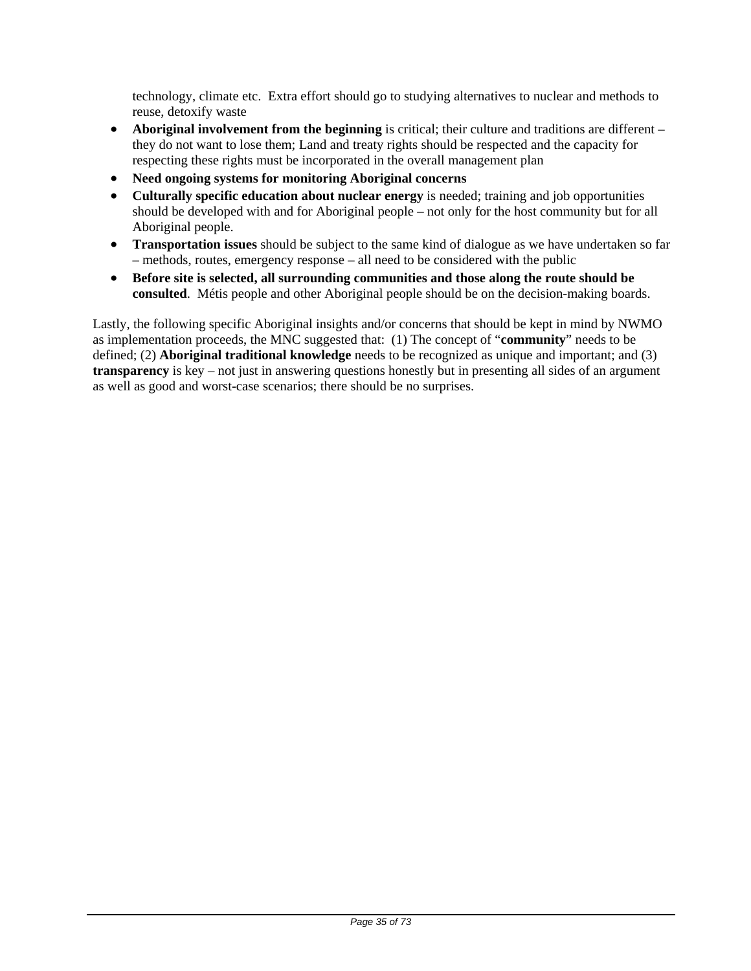technology, climate etc. Extra effort should go to studying alternatives to nuclear and methods to reuse, detoxify waste

- **Aboriginal involvement from the beginning** is critical; their culture and traditions are different they do not want to lose them; Land and treaty rights should be respected and the capacity for respecting these rights must be incorporated in the overall management plan
- **Need ongoing systems for monitoring Aboriginal concerns**
- **Culturally specific education about nuclear energy** is needed; training and job opportunities should be developed with and for Aboriginal people – not only for the host community but for all Aboriginal people.
- **Transportation issues** should be subject to the same kind of dialogue as we have undertaken so far – methods, routes, emergency response – all need to be considered with the public
- **Before site is selected, all surrounding communities and those along the route should be consulted**. Métis people and other Aboriginal people should be on the decision-making boards.

Lastly, the following specific Aboriginal insights and/or concerns that should be kept in mind by NWMO as implementation proceeds, the MNC suggested that: (1) The concept of "**community**" needs to be defined; (2) **Aboriginal traditional knowledge** needs to be recognized as unique and important; and (3) **transparency** is key – not just in answering questions honestly but in presenting all sides of an argument as well as good and worst-case scenarios; there should be no surprises.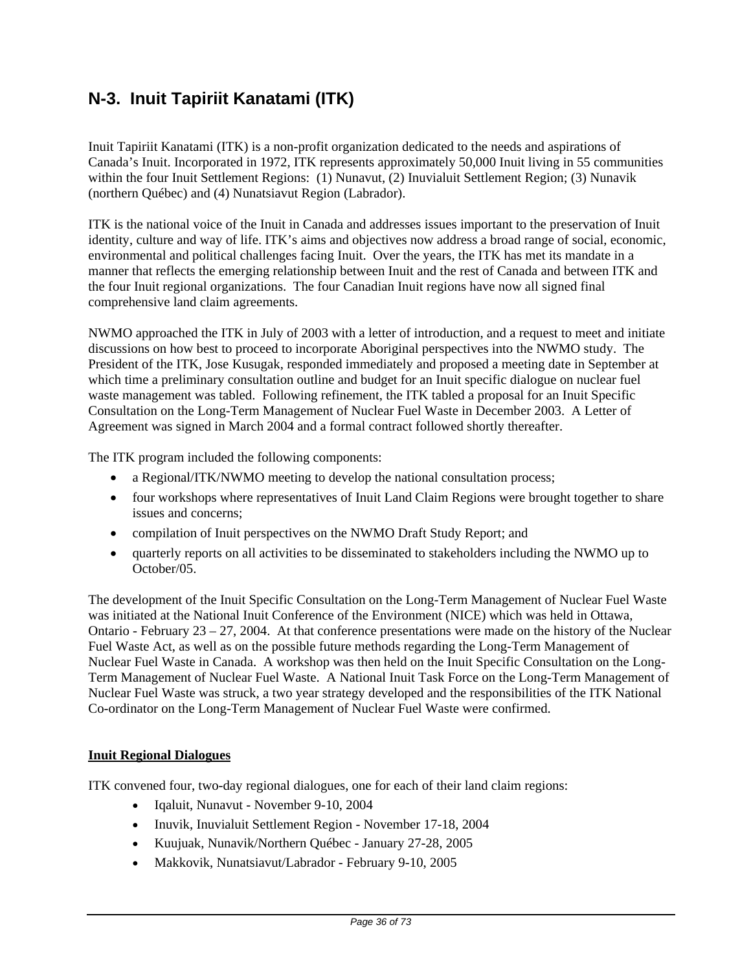# **N-3. Inuit Tapiriit Kanatami (ITK)**

Inuit Tapiriit Kanatami (ITK) is a non-profit organization dedicated to the needs and aspirations of Canada's Inuit. Incorporated in 1972, ITK represents approximately 50,000 Inuit living in 55 communities within the four Inuit Settlement Regions: (1) Nunavut, (2) Inuvialuit Settlement Region; (3) Nunavik (northern Québec) and (4) Nunatsiavut Region (Labrador).

ITK is the national voice of the Inuit in Canada and addresses issues important to the preservation of Inuit identity, culture and way of life. ITK's aims and objectives now address a broad range of social, economic, environmental and political challenges facing Inuit. Over the years, the ITK has met its mandate in a manner that reflects the emerging relationship between Inuit and the rest of Canada and between ITK and the four Inuit regional organizations. The four Canadian Inuit regions have now all signed final comprehensive land claim agreements.

NWMO approached the ITK in July of 2003 with a letter of introduction, and a request to meet and initiate discussions on how best to proceed to incorporate Aboriginal perspectives into the NWMO study. The President of the ITK, Jose Kusugak, responded immediately and proposed a meeting date in September at which time a preliminary consultation outline and budget for an Inuit specific dialogue on nuclear fuel waste management was tabled. Following refinement, the ITK tabled a proposal for an Inuit Specific Consultation on the Long-Term Management of Nuclear Fuel Waste in December 2003. A Letter of Agreement was signed in March 2004 and a formal contract followed shortly thereafter.

The ITK program included the following components:

- a Regional/ITK/NWMO meeting to develop the national consultation process;
- four workshops where representatives of Inuit Land Claim Regions were brought together to share issues and concerns;
- compilation of Inuit perspectives on the NWMO Draft Study Report; and
- quarterly reports on all activities to be disseminated to stakeholders including the NWMO up to October/05.

The development of the Inuit Specific Consultation on the Long-Term Management of Nuclear Fuel Waste was initiated at the National Inuit Conference of the Environment (NICE) which was held in Ottawa, Ontario - February 23 – 27, 2004. At that conference presentations were made on the history of the Nuclear Fuel Waste Act, as well as on the possible future methods regarding the Long-Term Management of Nuclear Fuel Waste in Canada. A workshop was then held on the Inuit Specific Consultation on the Long-Term Management of Nuclear Fuel Waste. A National Inuit Task Force on the Long-Term Management of Nuclear Fuel Waste was struck, a two year strategy developed and the responsibilities of the ITK National Co-ordinator on the Long-Term Management of Nuclear Fuel Waste were confirmed.

## **Inuit Regional Dialogues**

ITK convened four, two-day regional dialogues, one for each of their land claim regions:

- Iqaluit, Nunavut November 9-10, 2004
- Inuvik, Inuvialuit Settlement Region November 17-18, 2004
- Kuujuak, Nunavik/Northern Québec January 27-28, 2005
- Makkovik, Nunatsiavut/Labrador February 9-10, 2005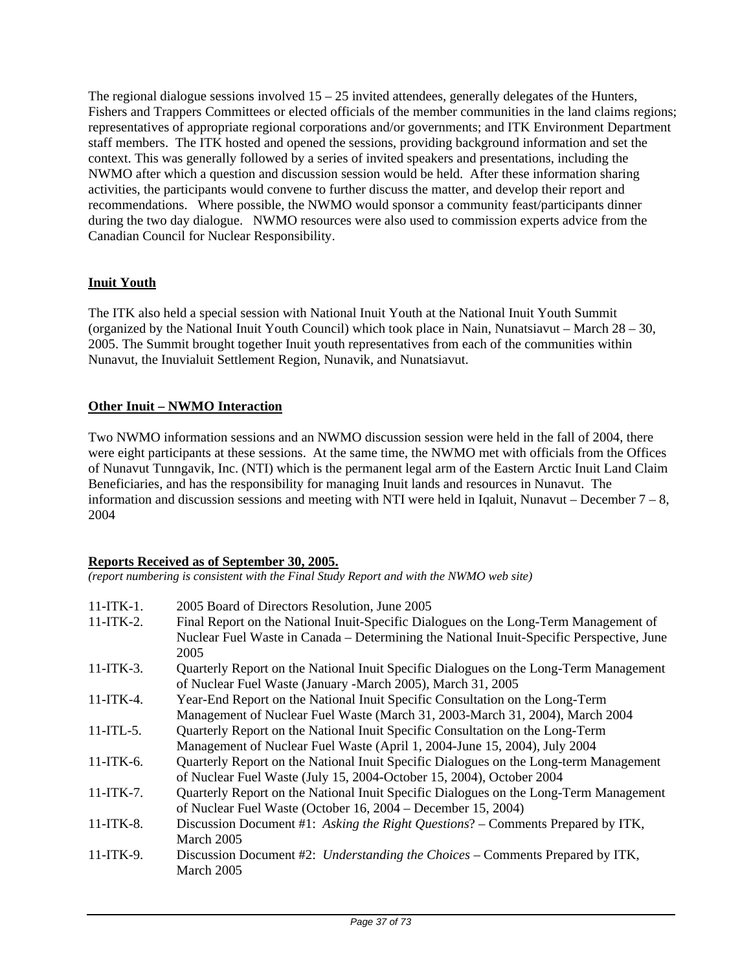The regional dialogue sessions involved  $15 - 25$  invited attendees, generally delegates of the Hunters, Fishers and Trappers Committees or elected officials of the member communities in the land claims regions; representatives of appropriate regional corporations and/or governments; and ITK Environment Department staff members. The ITK hosted and opened the sessions, providing background information and set the context. This was generally followed by a series of invited speakers and presentations, including the NWMO after which a question and discussion session would be held. After these information sharing activities, the participants would convene to further discuss the matter, and develop their report and recommendations. Where possible, the NWMO would sponsor a community feast/participants dinner during the two day dialogue. NWMO resources were also used to commission experts advice from the Canadian Council for Nuclear Responsibility.

# **Inuit Youth**

The ITK also held a special session with National Inuit Youth at the National Inuit Youth Summit (organized by the National Inuit Youth Council) which took place in Nain, Nunatsiavut – March 28 – 30, 2005. The Summit brought together Inuit youth representatives from each of the communities within Nunavut, the Inuvialuit Settlement Region, Nunavik, and Nunatsiavut.

# **Other Inuit – NWMO Interaction**

Two NWMO information sessions and an NWMO discussion session were held in the fall of 2004, there were eight participants at these sessions. At the same time, the NWMO met with officials from the Offices of Nunavut Tunngavik, Inc. (NTI) which is the permanent legal arm of the Eastern Arctic Inuit Land Claim Beneficiaries, and has the responsibility for managing Inuit lands and resources in Nunavut. The information and discussion sessions and meeting with NTI were held in Iqaluit, Nunavut – December  $7 - 8$ , 2004

## **Reports Received as of September 30, 2005.**

*(report numbering is consistent with the Final Study Report and with the NWMO web site)* 

| $11$ -ITK-1.<br>$11-ITK-2.$ | 2005 Board of Directors Resolution, June 2005<br>Final Report on the National Inuit-Specific Dialogues on the Long-Term Management of<br>Nuclear Fuel Waste in Canada – Determining the National Inuit-Specific Perspective, June<br>2005 |
|-----------------------------|-------------------------------------------------------------------------------------------------------------------------------------------------------------------------------------------------------------------------------------------|
| $11$ -ITK-3.                | Quarterly Report on the National Inuit Specific Dialogues on the Long-Term Management<br>of Nuclear Fuel Waste (January -March 2005), March 31, 2005                                                                                      |
| $11-ITK-4.$                 | Year-End Report on the National Inuit Specific Consultation on the Long-Term<br>Management of Nuclear Fuel Waste (March 31, 2003-March 31, 2004), March 2004                                                                              |
| $11$ -ITL-5.                | Quarterly Report on the National Inuit Specific Consultation on the Long-Term<br>Management of Nuclear Fuel Waste (April 1, 2004-June 15, 2004), July 2004                                                                                |
| 11-ITK-6.                   | Quarterly Report on the National Inuit Specific Dialogues on the Long-term Management<br>of Nuclear Fuel Waste (July 15, 2004-October 15, 2004), October 2004                                                                             |
| $11-ITK-7.$                 | Quarterly Report on the National Inuit Specific Dialogues on the Long-Term Management<br>of Nuclear Fuel Waste (October 16, 2004 – December 15, 2004)                                                                                     |
| 11-ITK-8.                   | Discussion Document #1: Asking the Right Questions? – Comments Prepared by ITK,<br>March 2005                                                                                                                                             |
| 11-ITK-9.                   | Discussion Document #2: Understanding the Choices – Comments Prepared by ITK,<br>March 2005                                                                                                                                               |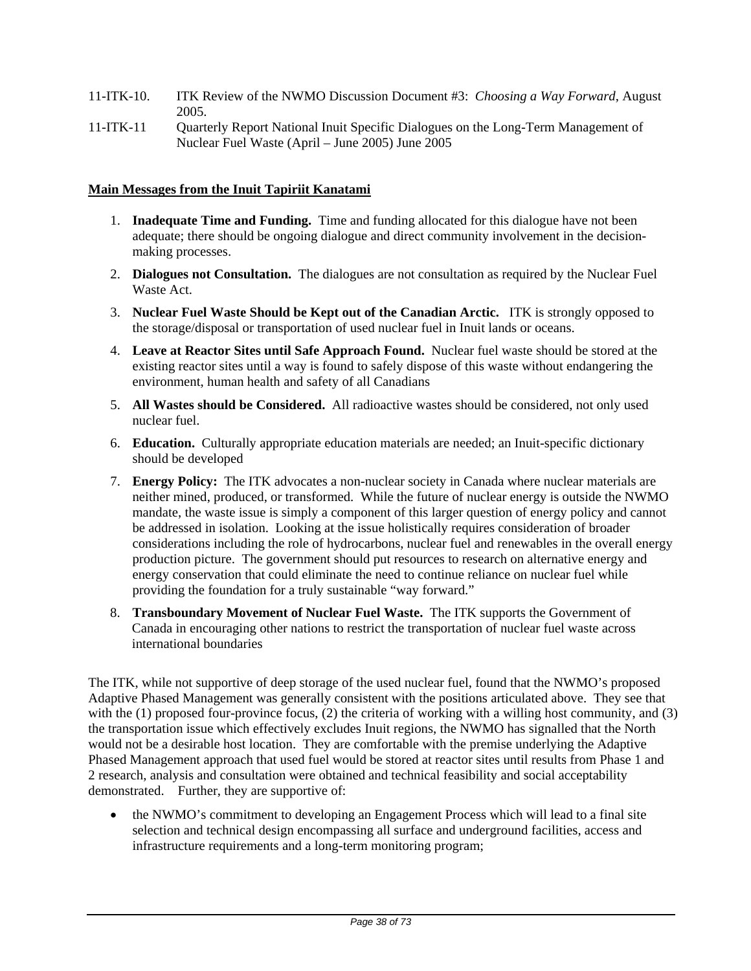- 11-ITK-10. ITK Review of the NWMO Discussion Document #3: *Choosing a Way Forward*, August 2005.
- 11-ITK-11 Quarterly Report National Inuit Specific Dialogues on the Long-Term Management of Nuclear Fuel Waste (April – June 2005) June 2005

### **Main Messages from the Inuit Tapiriit Kanatami**

- 1. **Inadequate Time and Funding.** Time and funding allocated for this dialogue have not been adequate; there should be ongoing dialogue and direct community involvement in the decisionmaking processes.
- 2. **Dialogues not Consultation.** The dialogues are not consultation as required by the Nuclear Fuel Waste Act.
- 3. **Nuclear Fuel Waste Should be Kept out of the Canadian Arctic.** ITK is strongly opposed to the storage/disposal or transportation of used nuclear fuel in Inuit lands or oceans.
- 4. **Leave at Reactor Sites until Safe Approach Found.** Nuclear fuel waste should be stored at the existing reactor sites until a way is found to safely dispose of this waste without endangering the environment, human health and safety of all Canadians
- 5. **All Wastes should be Considered.** All radioactive wastes should be considered, not only used nuclear fuel.
- 6. **Education.** Culturally appropriate education materials are needed; an Inuit-specific dictionary should be developed
- 7. **Energy Policy:** The ITK advocates a non-nuclear society in Canada where nuclear materials are neither mined, produced, or transformed. While the future of nuclear energy is outside the NWMO mandate, the waste issue is simply a component of this larger question of energy policy and cannot be addressed in isolation. Looking at the issue holistically requires consideration of broader considerations including the role of hydrocarbons, nuclear fuel and renewables in the overall energy production picture. The government should put resources to research on alternative energy and energy conservation that could eliminate the need to continue reliance on nuclear fuel while providing the foundation for a truly sustainable "way forward."
- 8. **Transboundary Movement of Nuclear Fuel Waste.** The ITK supports the Government of Canada in encouraging other nations to restrict the transportation of nuclear fuel waste across international boundaries

The ITK, while not supportive of deep storage of the used nuclear fuel, found that the NWMO's proposed Adaptive Phased Management was generally consistent with the positions articulated above. They see that with the (1) proposed four-province focus, (2) the criteria of working with a willing host community, and (3) the transportation issue which effectively excludes Inuit regions, the NWMO has signalled that the North would not be a desirable host location. They are comfortable with the premise underlying the Adaptive Phased Management approach that used fuel would be stored at reactor sites until results from Phase 1 and 2 research, analysis and consultation were obtained and technical feasibility and social acceptability demonstrated. Further, they are supportive of:

• the NWMO's commitment to developing an Engagement Process which will lead to a final site selection and technical design encompassing all surface and underground facilities, access and infrastructure requirements and a long-term monitoring program;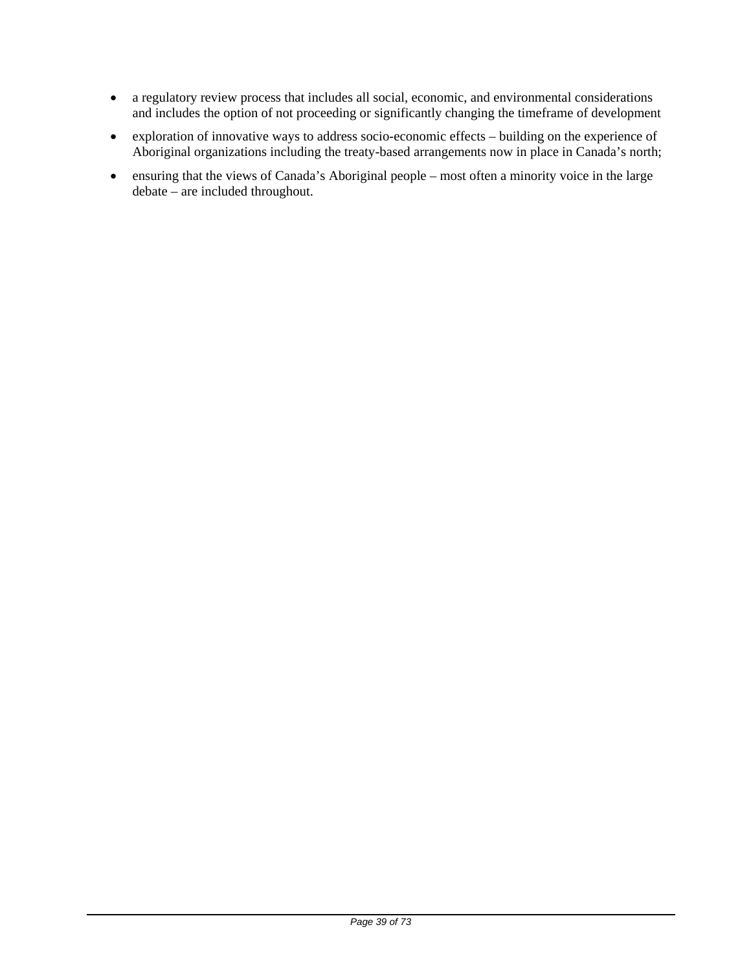- a regulatory review process that includes all social, economic, and environmental considerations and includes the option of not proceeding or significantly changing the timeframe of development
- exploration of innovative ways to address socio-economic effects building on the experience of Aboriginal organizations including the treaty-based arrangements now in place in Canada's north;
- ensuring that the views of Canada's Aboriginal people most often a minority voice in the large debate – are included throughout.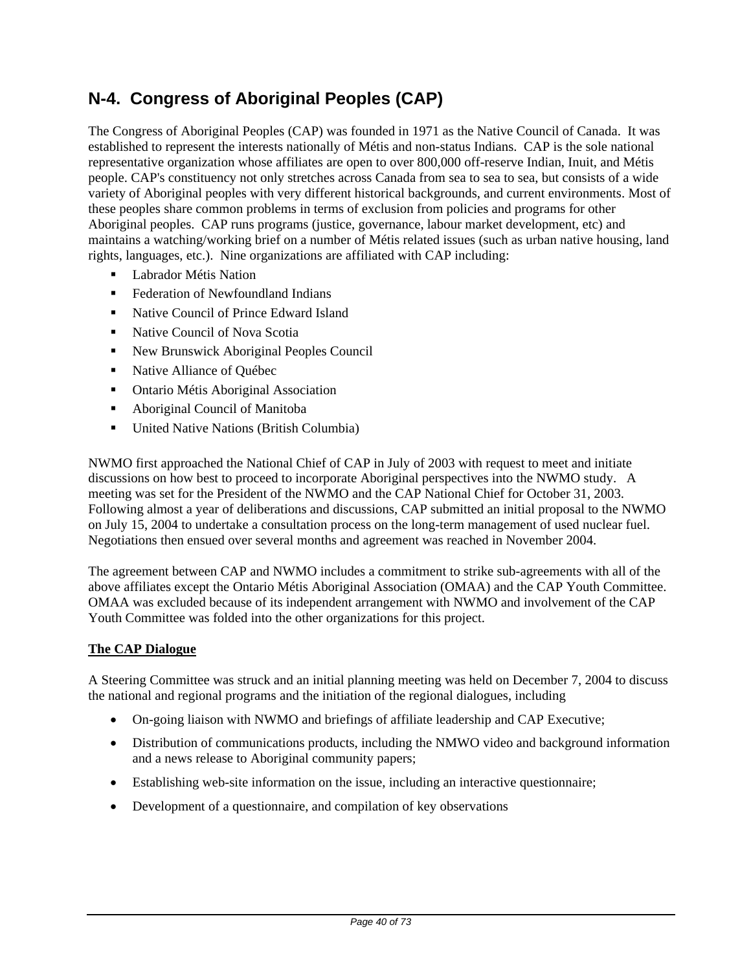# **N-4. Congress of Aboriginal Peoples (CAP)**

The Congress of Aboriginal Peoples (CAP) was founded in 1971 as the Native Council of Canada. It was established to represent the interests nationally of Métis and non-status Indians. CAP is the sole national representative organization whose affiliates are open to over 800,000 off-reserve Indian, Inuit, and Métis people. CAP's constituency not only stretches across Canada from sea to sea to sea, but consists of a wide variety of Aboriginal peoples with very different historical backgrounds, and current environments. Most of these peoples share common problems in terms of exclusion from policies and programs for other Aboriginal peoples.CAP runs programs (justice, governance, labour market development, etc) and maintains a watching/working brief on a number of Métis related issues (such as urban native housing, land rights, languages, etc.). Nine organizations are affiliated with CAP including:

- Labrador Métis Nation
- Federation of Newfoundland Indians
- Native Council of Prince Edward Island
- Native Council of Nova Scotia
- New Brunswick Aboriginal Peoples Council
- Native Alliance of Québec
- **•** Ontario Métis Aboriginal Association
- Aboriginal Council of Manitoba
- United Native Nations (British Columbia)

NWMO first approached the National Chief of CAP in July of 2003 with request to meet and initiate discussions on how best to proceed to incorporate Aboriginal perspectives into the NWMO study. A meeting was set for the President of the NWMO and the CAP National Chief for October 31, 2003. Following almost a year of deliberations and discussions, CAP submitted an initial proposal to the NWMO on July 15, 2004 to undertake a consultation process on the long-term management of used nuclear fuel. Negotiations then ensued over several months and agreement was reached in November 2004.

The agreement between CAP and NWMO includes a commitment to strike sub-agreements with all of the above affiliates except the Ontario Métis Aboriginal Association (OMAA) and the CAP Youth Committee. OMAA was excluded because of its independent arrangement with NWMO and involvement of the CAP Youth Committee was folded into the other organizations for this project.

## **The CAP Dialogue**

A Steering Committee was struck and an initial planning meeting was held on December 7, 2004 to discuss the national and regional programs and the initiation of the regional dialogues, including

- On-going liaison with NWMO and briefings of affiliate leadership and CAP Executive;
- Distribution of communications products, including the NMWO video and background information and a news release to Aboriginal community papers;
- Establishing web-site information on the issue, including an interactive questionnaire;
- Development of a questionnaire, and compilation of key observations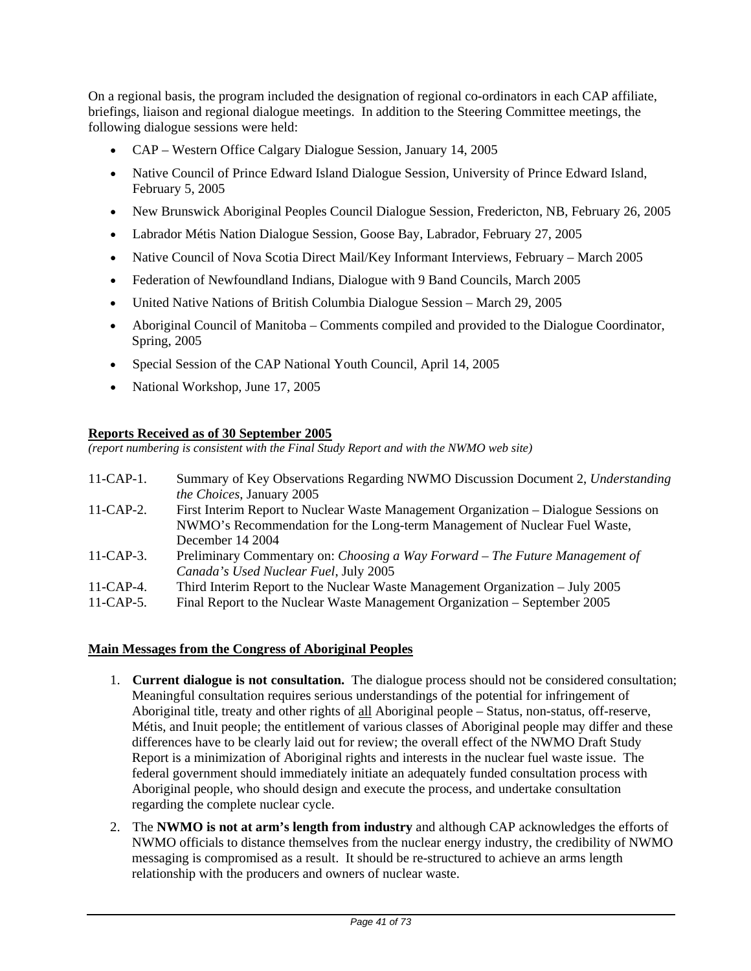On a regional basis, the program included the designation of regional co-ordinators in each CAP affiliate, briefings, liaison and regional dialogue meetings. In addition to the Steering Committee meetings, the following dialogue sessions were held:

- CAP Western Office Calgary Dialogue Session, January 14, 2005
- Native Council of Prince Edward Island Dialogue Session, University of Prince Edward Island, February 5, 2005
- New Brunswick Aboriginal Peoples Council Dialogue Session, Fredericton, NB, February 26, 2005
- Labrador Métis Nation Dialogue Session, Goose Bay, Labrador, February 27, 2005
- Native Council of Nova Scotia Direct Mail/Key Informant Interviews, February March 2005
- Federation of Newfoundland Indians, Dialogue with 9 Band Councils, March 2005
- United Native Nations of British Columbia Dialogue Session March 29, 2005
- Aboriginal Council of Manitoba Comments compiled and provided to the Dialogue Coordinator, Spring, 2005
- Special Session of the CAP National Youth Council, April 14, 2005
- National Workshop, June 17, 2005

#### **Reports Received as of 30 September 2005**

*(report numbering is consistent with the Final Study Report and with the NWMO web site)* 

- 11-CAP-1. Summary of Key Observations Regarding NWMO Discussion Document 2, *Understanding the Choices*, January 2005
- 11-CAP-2. First Interim Report to Nuclear Waste Management Organization Dialogue Sessions on NWMO's Recommendation for the Long-term Management of Nuclear Fuel Waste, December 14 2004
- 11-CAP-3. Preliminary Commentary on: *Choosing a Way Forward The Future Management of Canada's Used Nuclear Fuel*, July 2005
- 11-CAP-4. Third Interim Report to the Nuclear Waste Management Organization July 2005
- 11-CAP-5. Final Report to the Nuclear Waste Management Organization September 2005

### **Main Messages from the Congress of Aboriginal Peoples**

- 1. **Current dialogue is not consultation.** The dialogue process should not be considered consultation; Meaningful consultation requires serious understandings of the potential for infringement of Aboriginal title, treaty and other rights of all Aboriginal people – Status, non-status, off-reserve, Métis, and Inuit people; the entitlement of various classes of Aboriginal people may differ and these differences have to be clearly laid out for review; the overall effect of the NWMO Draft Study Report is a minimization of Aboriginal rights and interests in the nuclear fuel waste issue. The federal government should immediately initiate an adequately funded consultation process with Aboriginal people, who should design and execute the process, and undertake consultation regarding the complete nuclear cycle.
- 2. The **NWMO is not at arm's length from industry** and although CAP acknowledges the efforts of NWMO officials to distance themselves from the nuclear energy industry, the credibility of NWMO messaging is compromised as a result. It should be re-structured to achieve an arms length relationship with the producers and owners of nuclear waste.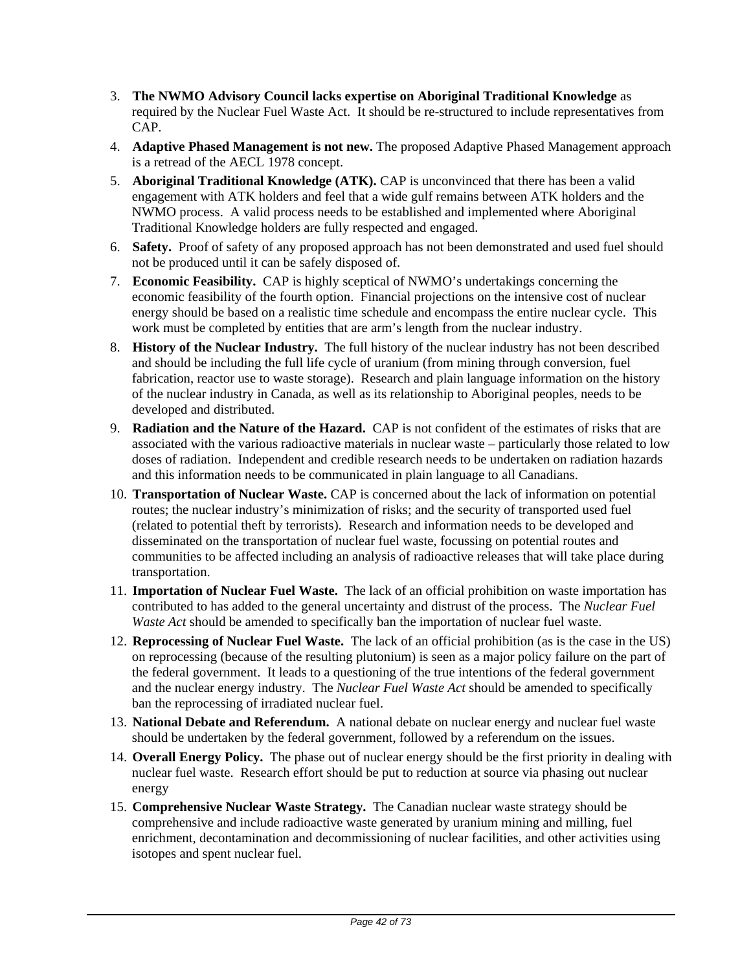- 3. **The NWMO Advisory Council lacks expertise on Aboriginal Traditional Knowledge** as required by the Nuclear Fuel Waste Act. It should be re-structured to include representatives from CAP.
- 4. **Adaptive Phased Management is not new.** The proposed Adaptive Phased Management approach is a retread of the AECL 1978 concept.
- 5. **Aboriginal Traditional Knowledge (ATK).** CAP is unconvinced that there has been a valid engagement with ATK holders and feel that a wide gulf remains between ATK holders and the NWMO process. A valid process needs to be established and implemented where Aboriginal Traditional Knowledge holders are fully respected and engaged.
- 6. **Safety.** Proof of safety of any proposed approach has not been demonstrated and used fuel should not be produced until it can be safely disposed of.
- 7. **Economic Feasibility.** CAP is highly sceptical of NWMO's undertakings concerning the economic feasibility of the fourth option. Financial projections on the intensive cost of nuclear energy should be based on a realistic time schedule and encompass the entire nuclear cycle. This work must be completed by entities that are arm's length from the nuclear industry.
- 8. **History of the Nuclear Industry.** The full history of the nuclear industry has not been described and should be including the full life cycle of uranium (from mining through conversion, fuel fabrication, reactor use to waste storage). Research and plain language information on the history of the nuclear industry in Canada, as well as its relationship to Aboriginal peoples, needs to be developed and distributed.
- 9. **Radiation and the Nature of the Hazard.** CAP is not confident of the estimates of risks that are associated with the various radioactive materials in nuclear waste – particularly those related to low doses of radiation. Independent and credible research needs to be undertaken on radiation hazards and this information needs to be communicated in plain language to all Canadians.
- 10. **Transportation of Nuclear Waste.** CAP is concerned about the lack of information on potential routes; the nuclear industry's minimization of risks; and the security of transported used fuel (related to potential theft by terrorists). Research and information needs to be developed and disseminated on the transportation of nuclear fuel waste, focussing on potential routes and communities to be affected including an analysis of radioactive releases that will take place during transportation.
- 11. **Importation of Nuclear Fuel Waste.** The lack of an official prohibition on waste importation has contributed to has added to the general uncertainty and distrust of the process. The *Nuclear Fuel Waste Act* should be amended to specifically ban the importation of nuclear fuel waste.
- 12. **Reprocessing of Nuclear Fuel Waste.** The lack of an official prohibition (as is the case in the US) on reprocessing (because of the resulting plutonium) is seen as a major policy failure on the part of the federal government. It leads to a questioning of the true intentions of the federal government and the nuclear energy industry. The *Nuclear Fuel Waste Act* should be amended to specifically ban the reprocessing of irradiated nuclear fuel.
- 13. **National Debate and Referendum.** A national debate on nuclear energy and nuclear fuel waste should be undertaken by the federal government, followed by a referendum on the issues.
- 14. **Overall Energy Policy.** The phase out of nuclear energy should be the first priority in dealing with nuclear fuel waste. Research effort should be put to reduction at source via phasing out nuclear energy
- 15. **Comprehensive Nuclear Waste Strategy.** The Canadian nuclear waste strategy should be comprehensive and include radioactive waste generated by uranium mining and milling, fuel enrichment, decontamination and decommissioning of nuclear facilities, and other activities using isotopes and spent nuclear fuel.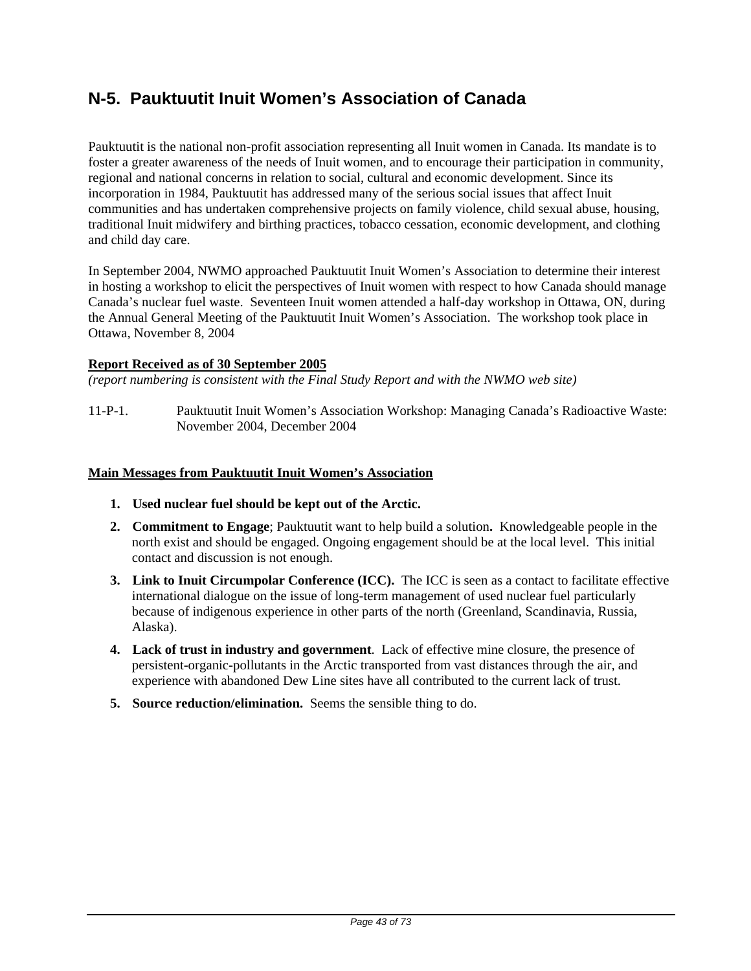# **N-5. Pauktuutit Inuit Women's Association of Canada**

Pauktuutit is the national non-profit association representing all Inuit women in Canada. Its mandate is to foster a greater awareness of the needs of Inuit women, and to encourage their participation in community, regional and national concerns in relation to social, cultural and economic development. Since its incorporation in 1984, Pauktuutit has addressed many of the serious social issues that affect Inuit communities and has undertaken comprehensive projects on family violence, child sexual abuse, housing, traditional Inuit midwifery and birthing practices, tobacco cessation, economic development, and clothing and child day care.

In September 2004, NWMO approached Pauktuutit Inuit Women's Association to determine their interest in hosting a workshop to elicit the perspectives of Inuit women with respect to how Canada should manage Canada's nuclear fuel waste. Seventeen Inuit women attended a half-day workshop in Ottawa, ON, during the Annual General Meeting of the Pauktuutit Inuit Women's Association. The workshop took place in Ottawa, November 8, 2004

### **Report Received as of 30 September 2005**

*(report numbering is consistent with the Final Study Report and with the NWMO web site)* 

11-P-1. Pauktuutit Inuit Women's Association Workshop: Managing Canada's Radioactive Waste: November 2004, December 2004

#### **Main Messages from Pauktuutit Inuit Women's Association**

- **1. Used nuclear fuel should be kept out of the Arctic.**
- **2. Commitment to Engage**; Pauktuutit want to help build a solution**.** Knowledgeable people in the north exist and should be engaged. Ongoing engagement should be at the local level. This initial contact and discussion is not enough.
- **3. Link to Inuit Circumpolar Conference (ICC).** The ICC is seen as a contact to facilitate effective international dialogue on the issue of long-term management of used nuclear fuel particularly because of indigenous experience in other parts of the north (Greenland, Scandinavia, Russia, Alaska).
- **4. Lack of trust in industry and government**. Lack of effective mine closure, the presence of persistent-organic-pollutants in the Arctic transported from vast distances through the air, and experience with abandoned Dew Line sites have all contributed to the current lack of trust.
- **5. Source reduction/elimination.** Seems the sensible thing to do.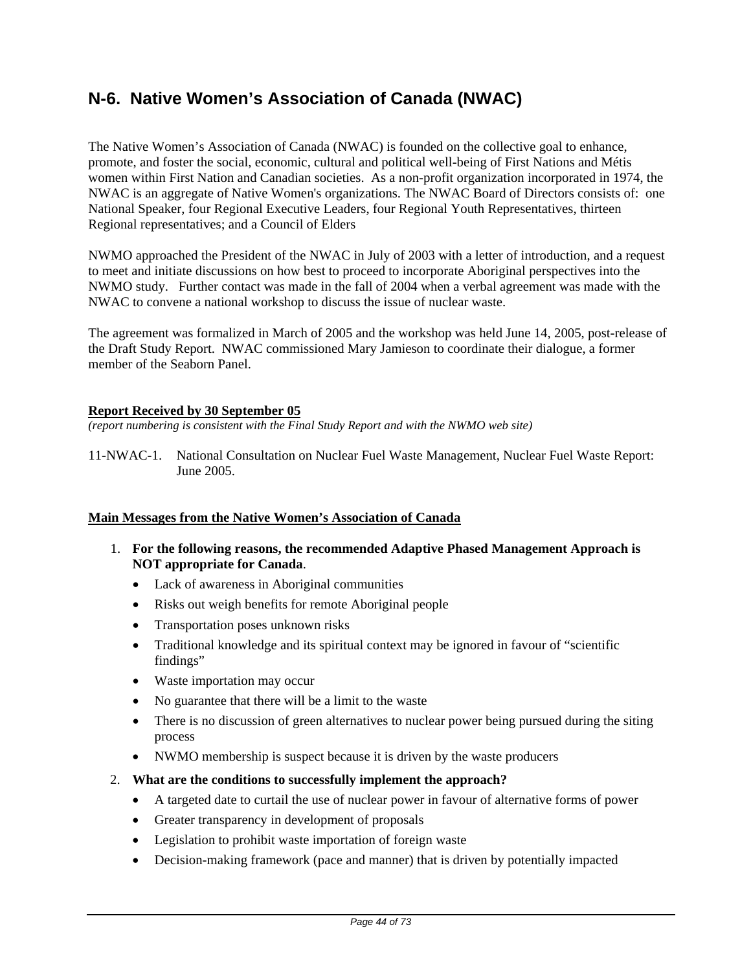# **N-6. Native Women's Association of Canada (NWAC)**

The Native Women's Association of Canada (NWAC) is founded on the collective goal to enhance, promote, and foster the social, economic, cultural and political well-being of First Nations and Métis women within First Nation and Canadian societies. As a non-profit organization incorporated in 1974, the NWAC is an aggregate of Native Women's organizations. The NWAC Board of Directors consists of: one National Speaker, four Regional Executive Leaders, four Regional Youth Representatives, thirteen Regional representatives; and a Council of Elders

NWMO approached the President of the NWAC in July of 2003 with a letter of introduction, and a request to meet and initiate discussions on how best to proceed to incorporate Aboriginal perspectives into the NWMO study. Further contact was made in the fall of 2004 when a verbal agreement was made with the NWAC to convene a national workshop to discuss the issue of nuclear waste.

The agreement was formalized in March of 2005 and the workshop was held June 14, 2005, post-release of the Draft Study Report. NWAC commissioned Mary Jamieson to coordinate their dialogue, a former member of the Seaborn Panel.

### **Report Received by 30 September 05**

*(report numbering is consistent with the Final Study Report and with the NWMO web site)* 

11-NWAC-1. National Consultation on Nuclear Fuel Waste Management, Nuclear Fuel Waste Report: June 2005.

#### **Main Messages from the Native Women's Association of Canada**

- 1. **For the following reasons, the recommended Adaptive Phased Management Approach is NOT appropriate for Canada**.
	- Lack of awareness in Aboriginal communities
	- Risks out weigh benefits for remote Aboriginal people
	- Transportation poses unknown risks
	- Traditional knowledge and its spiritual context may be ignored in favour of "scientific" findings"
	- Waste importation may occur
	- No guarantee that there will be a limit to the waste
	- There is no discussion of green alternatives to nuclear power being pursued during the siting process
	- NWMO membership is suspect because it is driven by the waste producers
- 2. **What are the conditions to successfully implement the approach?**
	- A targeted date to curtail the use of nuclear power in favour of alternative forms of power
	- Greater transparency in development of proposals
	- Legislation to prohibit waste importation of foreign waste
	- Decision-making framework (pace and manner) that is driven by potentially impacted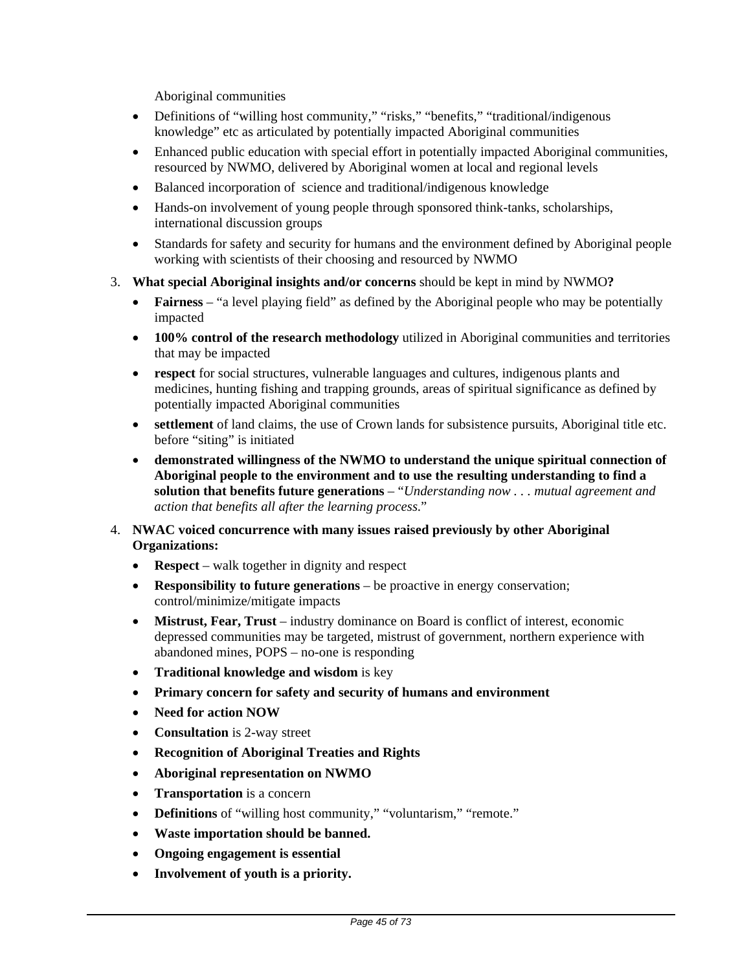Aboriginal communities

- Definitions of "willing host community," "risks," "benefits," "traditional/indigenous knowledge" etc as articulated by potentially impacted Aboriginal communities
- Enhanced public education with special effort in potentially impacted Aboriginal communities, resourced by NWMO, delivered by Aboriginal women at local and regional levels
- Balanced incorporation of science and traditional/indigenous knowledge
- Hands-on involvement of young people through sponsored think-tanks, scholarships, international discussion groups
- Standards for safety and security for humans and the environment defined by Aboriginal people working with scientists of their choosing and resourced by NWMO
- 3. **What special Aboriginal insights and/or concerns** should be kept in mind by NWMO**?**
	- **Fairness** "a level playing field" as defined by the Aboriginal people who may be potentially impacted
	- **100% control of the research methodology** utilized in Aboriginal communities and territories that may be impacted
	- **respect** for social structures, vulnerable languages and cultures, indigenous plants and medicines, hunting fishing and trapping grounds, areas of spiritual significance as defined by potentially impacted Aboriginal communities
	- **settlement** of land claims, the use of Crown lands for subsistence pursuits, Aboriginal title etc. before "siting" is initiated
	- **demonstrated willingness of the NWMO to understand the unique spiritual connection of Aboriginal people to the environment and to use the resulting understanding to find a solution that benefits future generations** – "*Understanding now . . . mutual agreement and action that benefits all after the learning process*."
- 4. **NWAC voiced concurrence with many issues raised previously by other Aboriginal Organizations:**
	- **Respect** walk together in dignity and respect
	- **Responsibility to future generations** be proactive in energy conservation; control/minimize/mitigate impacts
	- **Mistrust, Fear, Trust** industry dominance on Board is conflict of interest, economic depressed communities may be targeted, mistrust of government, northern experience with abandoned mines, POPS – no-one is responding
	- **Traditional knowledge and wisdom** is key
	- **Primary concern for safety and security of humans and environment**
	- **Need for action NOW**
	- **Consultation** is 2-way street
	- **Recognition of Aboriginal Treaties and Rights**
	- **Aboriginal representation on NWMO**
	- **Transportation** is a concern
	- **Definitions** of "willing host community," "voluntarism," "remote."
	- **Waste importation should be banned.**
	- **Ongoing engagement is essential**
	- **Involvement of youth is a priority.**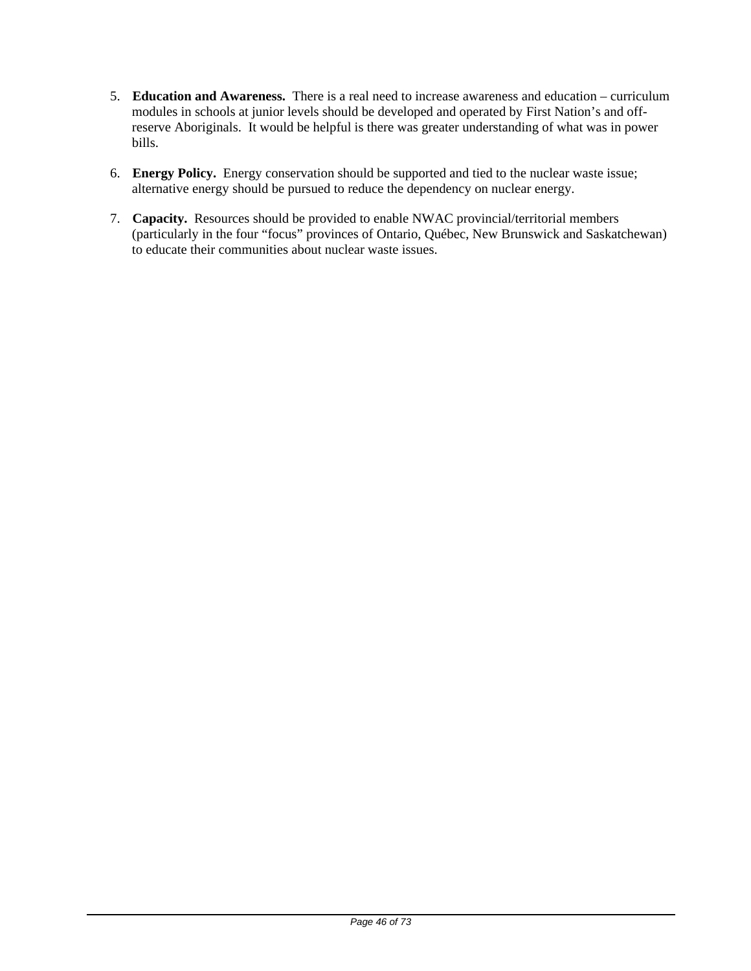- 5. **Education and Awareness.** There is a real need to increase awareness and education curriculum modules in schools at junior levels should be developed and operated by First Nation's and offreserve Aboriginals. It would be helpful is there was greater understanding of what was in power bills.
- 6. **Energy Policy.** Energy conservation should be supported and tied to the nuclear waste issue; alternative energy should be pursued to reduce the dependency on nuclear energy.
- 7. **Capacity.** Resources should be provided to enable NWAC provincial/territorial members (particularly in the four "focus" provinces of Ontario, Québec, New Brunswick and Saskatchewan) to educate their communities about nuclear waste issues.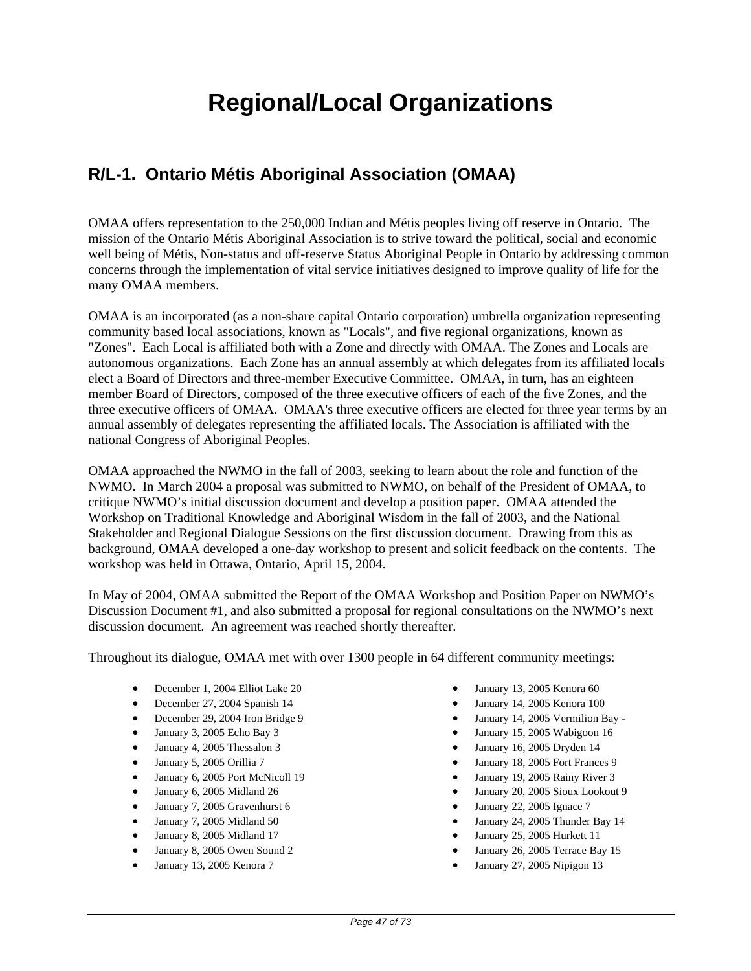# **Regional/Local Organizations**

# **R/L-1. Ontario Métis Aboriginal Association (OMAA)**

OMAA offers representation to the 250,000 Indian and Métis peoples living off reserve in Ontario. The mission of the Ontario Métis Aboriginal Association is to strive toward the political, social and economic well being of Métis, Non-status and off-reserve Status Aboriginal People in Ontario by addressing common concerns through the implementation of vital service initiatives designed to improve quality of life for the many OMAA members.

OMAA is an incorporated (as a non-share capital Ontario corporation) umbrella organization representing community based local associations, known as "Locals", and five regional organizations, known as "Zones". Each Local is affiliated both with a Zone and directly with OMAA. The Zones and Locals are autonomous organizations. Each Zone has an annual assembly at which delegates from its affiliated locals elect a Board of Directors and three-member Executive Committee. OMAA, in turn, has an eighteen member Board of Directors, composed of the three executive officers of each of the five Zones, and the three executive officers of OMAA. OMAA's three executive officers are elected for three year terms by an annual assembly of delegates representing the affiliated locals. The Association is affiliated with the national Congress of Aboriginal Peoples.

OMAA approached the NWMO in the fall of 2003, seeking to learn about the role and function of the NWMO. In March 2004 a proposal was submitted to NWMO, on behalf of the President of OMAA, to critique NWMO's initial discussion document and develop a position paper. OMAA attended the Workshop on Traditional Knowledge and Aboriginal Wisdom in the fall of 2003, and the National Stakeholder and Regional Dialogue Sessions on the first discussion document. Drawing from this as background, OMAA developed a one-day workshop to present and solicit feedback on the contents. The workshop was held in Ottawa, Ontario, April 15, 2004.

In May of 2004, OMAA submitted the Report of the OMAA Workshop and Position Paper on NWMO's Discussion Document #1, and also submitted a proposal for regional consultations on the NWMO's next discussion document. An agreement was reached shortly thereafter.

Throughout its dialogue, OMAA met with over 1300 people in 64 different community meetings:

- December 1, 2004 Elliot Lake 20
- December 27, 2004 Spanish 14
- December 29, 2004 Iron Bridge 9
- January 3, 2005 Echo Bay 3
- January 4, 2005 Thessalon 3
- January 5, 2005 Orillia 7
- January 6, 2005 Port McNicoll 19
- January 6, 2005 Midland 26
- January 7, 2005 Gravenhurst 6
- January 7, 2005 Midland 50
- January 8, 2005 Midland 17
- January 8, 2005 Owen Sound 2
- January 13, 2005 Kenora 7
- January 13, 2005 Kenora 60
- January 14, 2005 Kenora 100
- January 14, 2005 Vermilion Bay -
- January 15, 2005 Wabigoon 16
- January 16, 2005 Dryden 14
- January 18, 2005 Fort Frances 9
- January 19, 2005 Rainy River 3
- January 20, 2005 Sioux Lookout 9
- January 22, 2005 Ignace 7
- January 24, 2005 Thunder Bay 14
- January 25, 2005 Hurkett 11
- January 26, 2005 Terrace Bay 15
- January 27, 2005 Nipigon 13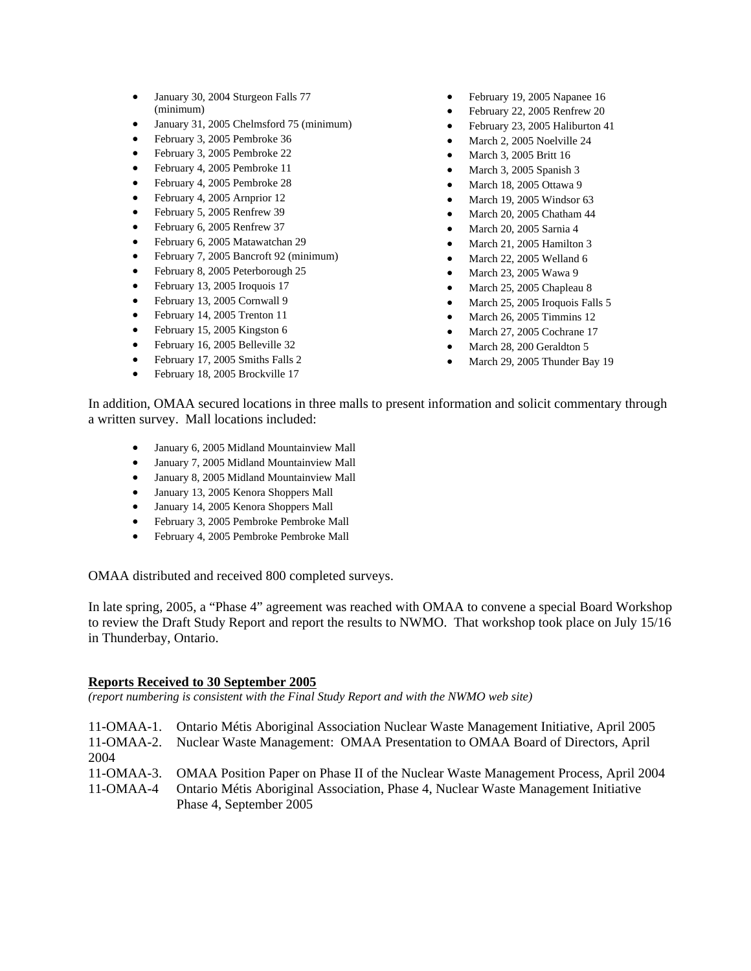- January 30, 2004 Sturgeon Falls 77 (minimum)
- January 31, 2005 Chelmsford 75 (minimum)
- February 3, 2005 Pembroke 36
- February 3, 2005 Pembroke 22
- February 4, 2005 Pembroke 11
- February 4, 2005 Pembroke 28
- February 4, 2005 Arnprior 12
- February 5, 2005 Renfrew 39
- February 6, 2005 Renfrew 37
- February 6, 2005 Matawatchan 29
- February 7, 2005 Bancroft 92 (minimum)
- February 8, 2005 Peterborough 25
- February 13, 2005 Iroquois 17
- February 13, 2005 Cornwall 9
- February 14, 2005 Trenton 11
- February 15, 2005 Kingston 6
- February 16, 2005 Belleville 32
- February 17, 2005 Smiths Falls 2
- February 18, 2005 Brockville 17
- February 19, 2005 Napanee 16
- February 22, 2005 Renfrew 20
- February 23, 2005 Haliburton 41
- March 2, 2005 Noelville 24
- March 3, 2005 Britt 16
- March 3, 2005 Spanish 3
- March 18, 2005 Ottawa 9
- March 19, 2005 Windsor 63
- March 20, 2005 Chatham 44
- March 20, 2005 Sarnia 4
- March 21, 2005 Hamilton 3
- March 22, 2005 Welland 6
- March 23, 2005 Wawa 9
- March 25, 2005 Chapleau 8
- March 25, 2005 Iroquois Falls 5
- March 26, 2005 Timmins 12
- March 27, 2005 Cochrane 17
- March 28, 200 Geraldton 5
- March 29, 2005 Thunder Bay 19

In addition, OMAA secured locations in three malls to present information and solicit commentary through a written survey. Mall locations included:

- January 6, 2005 Midland Mountainview Mall
- January 7, 2005 Midland Mountainview Mall
- January 8, 2005 Midland Mountainview Mall
- January 13, 2005 Kenora Shoppers Mall
- January 14, 2005 Kenora Shoppers Mall
- February 3, 2005 Pembroke Pembroke Mall
- February 4, 2005 Pembroke Pembroke Mall

OMAA distributed and received 800 completed surveys.

In late spring, 2005, a "Phase 4" agreement was reached with OMAA to convene a special Board Workshop to review the Draft Study Report and report the results to NWMO. That workshop took place on July 15/16 in Thunderbay, Ontario.

#### **Reports Received to 30 September 2005**

*(report numbering is consistent with the Final Study Report and with the NWMO web site)* 

| 11-OMAA-1.<br>11-OMAA-2.<br>2004 | Ontario Métis Aboriginal Association Nuclear Waste Management Initiative, April 2005<br>Nuclear Waste Management: OMAA Presentation to OMAA Board of Directors, April                                           |
|----------------------------------|-----------------------------------------------------------------------------------------------------------------------------------------------------------------------------------------------------------------|
| 11-OMAA-4                        | 11-OMAA-3. OMAA Position Paper on Phase II of the Nuclear Waste Management Process, April 2004<br>Ontario Métis Aboriginal Association, Phase 4, Nuclear Waste Management Initiative<br>Phase 4, September 2005 |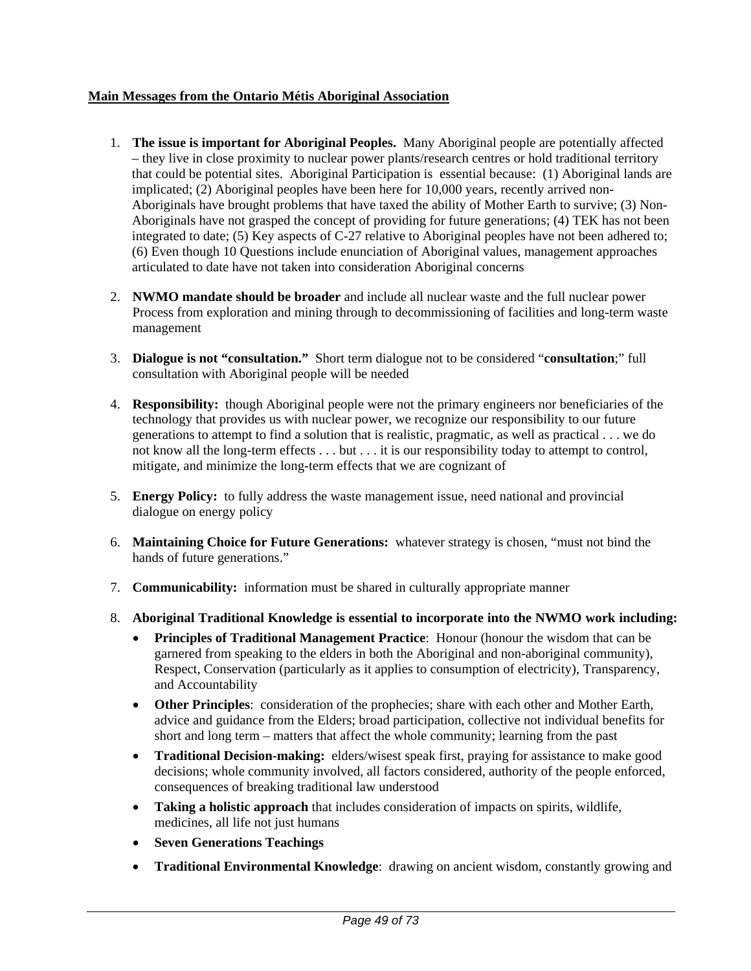## **Main Messages from the Ontario Métis Aboriginal Association**

- 1. **The issue is important for Aboriginal Peoples.** Many Aboriginal people are potentially affected – they live in close proximity to nuclear power plants/research centres or hold traditional territory that could be potential sites. Aboriginal Participation is essential because: (1) Aboriginal lands are implicated; (2) Aboriginal peoples have been here for 10,000 years, recently arrived non-Aboriginals have brought problems that have taxed the ability of Mother Earth to survive; (3) Non-Aboriginals have not grasped the concept of providing for future generations; (4) TEK has not been integrated to date; (5) Key aspects of C-27 relative to Aboriginal peoples have not been adhered to; (6) Even though 10 Questions include enunciation of Aboriginal values, management approaches articulated to date have not taken into consideration Aboriginal concerns
- 2. **NWMO mandate should be broader** and include all nuclear waste and the full nuclear power Process from exploration and mining through to decommissioning of facilities and long-term waste management
- 3. **Dialogue is not "consultation."** Short term dialogue not to be considered "**consultation**;" full consultation with Aboriginal people will be needed
- 4. **Responsibility:** though Aboriginal people were not the primary engineers nor beneficiaries of the technology that provides us with nuclear power, we recognize our responsibility to our future generations to attempt to find a solution that is realistic, pragmatic, as well as practical . . . we do not know all the long-term effects . . . but . . . it is our responsibility today to attempt to control, mitigate, and minimize the long-term effects that we are cognizant of
- 5. **Energy Policy:** to fully address the waste management issue, need national and provincial dialogue on energy policy
- 6. **Maintaining Choice for Future Generations:** whatever strategy is chosen, "must not bind the hands of future generations."
- 7. **Communicability:** information must be shared in culturally appropriate manner
- 8. **Aboriginal Traditional Knowledge is essential to incorporate into the NWMO work including:**
	- **Principles of Traditional Management Practice**: Honour (honour the wisdom that can be garnered from speaking to the elders in both the Aboriginal and non-aboriginal community), Respect, Conservation (particularly as it applies to consumption of electricity), Transparency, and Accountability
	- **Other Principles**: consideration of the prophecies; share with each other and Mother Earth, advice and guidance from the Elders; broad participation, collective not individual benefits for short and long term – matters that affect the whole community; learning from the past
	- **Traditional Decision-making:** elders/wisest speak first, praying for assistance to make good decisions; whole community involved, all factors considered, authority of the people enforced, consequences of breaking traditional law understood
	- **Taking a holistic approach** that includes consideration of impacts on spirits, wildlife, medicines, all life not just humans
	- **Seven Generations Teachings**
	- **Traditional Environmental Knowledge**: drawing on ancient wisdom, constantly growing and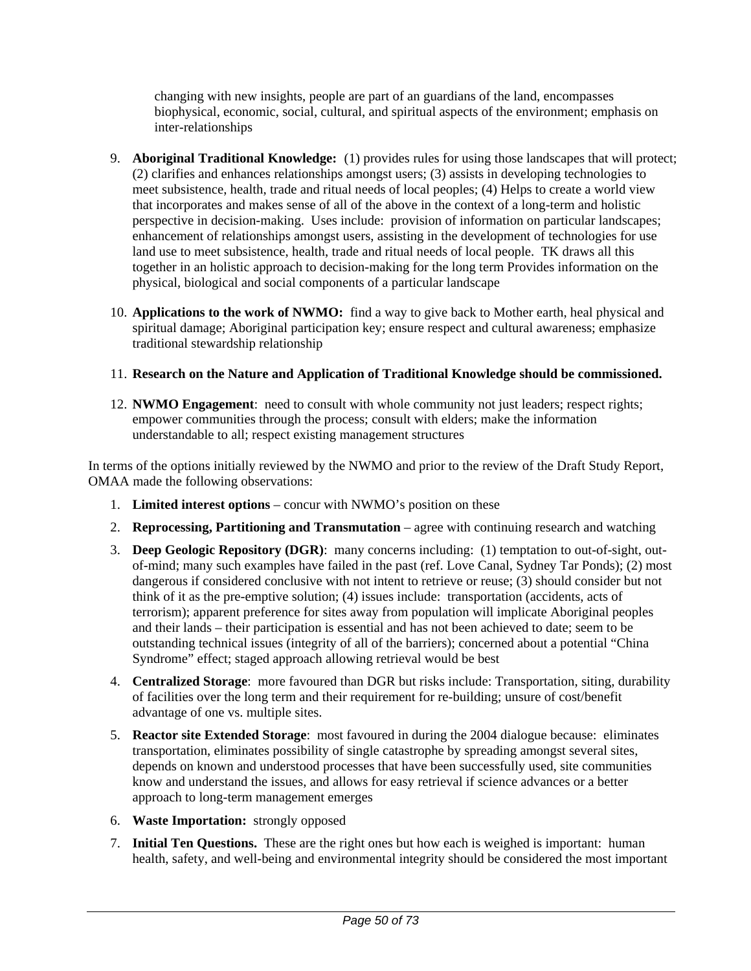changing with new insights, people are part of an guardians of the land, encompasses biophysical, economic, social, cultural, and spiritual aspects of the environment; emphasis on inter-relationships

- 9. **Aboriginal Traditional Knowledge:** (1) provides rules for using those landscapes that will protect; (2) clarifies and enhances relationships amongst users; (3) assists in developing technologies to meet subsistence, health, trade and ritual needs of local peoples; (4) Helps to create a world view that incorporates and makes sense of all of the above in the context of a long-term and holistic perspective in decision-making. Uses include: provision of information on particular landscapes; enhancement of relationships amongst users, assisting in the development of technologies for use land use to meet subsistence, health, trade and ritual needs of local people. TK draws all this together in an holistic approach to decision-making for the long term Provides information on the physical, biological and social components of a particular landscape
- 10. **Applications to the work of NWMO:** find a way to give back to Mother earth, heal physical and spiritual damage; Aboriginal participation key; ensure respect and cultural awareness; emphasize traditional stewardship relationship

## 11. **Research on the Nature and Application of Traditional Knowledge should be commissioned.**

12. **NWMO Engagement**: need to consult with whole community not just leaders; respect rights; empower communities through the process; consult with elders; make the information understandable to all; respect existing management structures

In terms of the options initially reviewed by the NWMO and prior to the review of the Draft Study Report, OMAA made the following observations:

- 1. **Limited interest options** concur with NWMO's position on these
- 2. **Reprocessing, Partitioning and Transmutation** agree with continuing research and watching
- 3. **Deep Geologic Repository (DGR)**: many concerns including: (1) temptation to out-of-sight, outof-mind; many such examples have failed in the past (ref. Love Canal, Sydney Tar Ponds); (2) most dangerous if considered conclusive with not intent to retrieve or reuse; (3) should consider but not think of it as the pre-emptive solution; (4) issues include: transportation (accidents, acts of terrorism); apparent preference for sites away from population will implicate Aboriginal peoples and their lands – their participation is essential and has not been achieved to date; seem to be outstanding technical issues (integrity of all of the barriers); concerned about a potential "China Syndrome" effect; staged approach allowing retrieval would be best
- 4. **Centralized Storage**: more favoured than DGR but risks include: Transportation, siting, durability of facilities over the long term and their requirement for re-building; unsure of cost/benefit advantage of one vs. multiple sites.
- 5. **Reactor site Extended Storage**: most favoured in during the 2004 dialogue because: eliminates transportation, eliminates possibility of single catastrophe by spreading amongst several sites, depends on known and understood processes that have been successfully used, site communities know and understand the issues, and allows for easy retrieval if science advances or a better approach to long-term management emerges
- 6. **Waste Importation:** strongly opposed
- 7. **Initial Ten Questions.** These are the right ones but how each is weighed is important: human health, safety, and well-being and environmental integrity should be considered the most important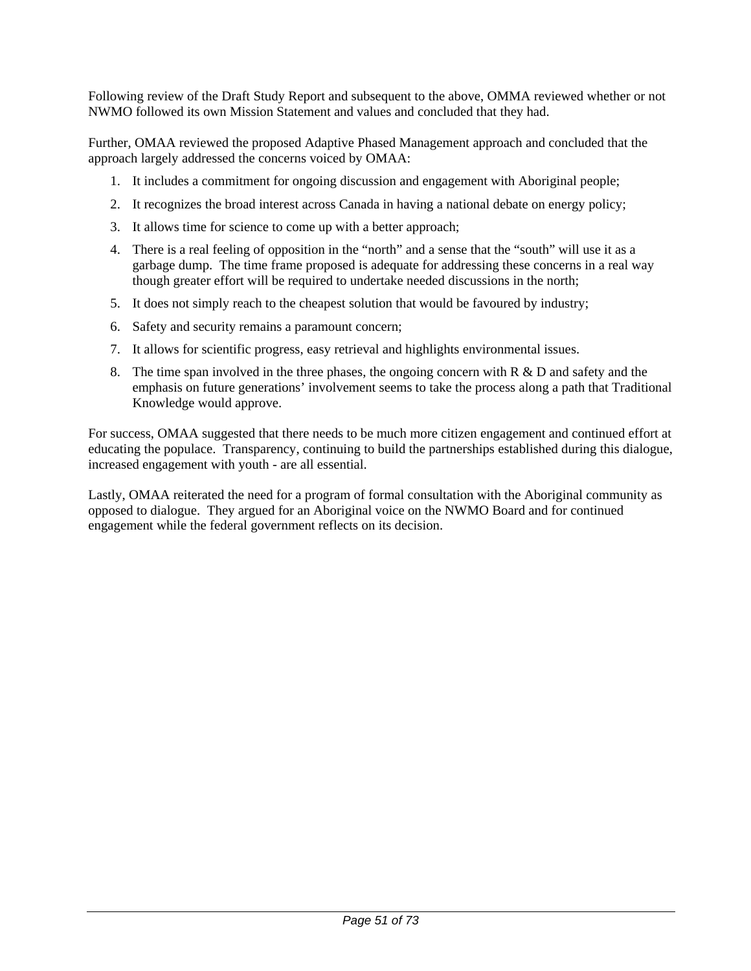Following review of the Draft Study Report and subsequent to the above, OMMA reviewed whether or not NWMO followed its own Mission Statement and values and concluded that they had.

Further, OMAA reviewed the proposed Adaptive Phased Management approach and concluded that the approach largely addressed the concerns voiced by OMAA:

- 1. It includes a commitment for ongoing discussion and engagement with Aboriginal people;
- 2. It recognizes the broad interest across Canada in having a national debate on energy policy;
- 3. It allows time for science to come up with a better approach;
- 4. There is a real feeling of opposition in the "north" and a sense that the "south" will use it as a garbage dump. The time frame proposed is adequate for addressing these concerns in a real way though greater effort will be required to undertake needed discussions in the north;
- 5. It does not simply reach to the cheapest solution that would be favoured by industry;
- 6. Safety and security remains a paramount concern;
- 7. It allows for scientific progress, easy retrieval and highlights environmental issues.
- 8. The time span involved in the three phases, the ongoing concern with  $R \& D$  and safety and the emphasis on future generations' involvement seems to take the process along a path that Traditional Knowledge would approve.

For success, OMAA suggested that there needs to be much more citizen engagement and continued effort at educating the populace. Transparency, continuing to build the partnerships established during this dialogue, increased engagement with youth - are all essential.

Lastly, OMAA reiterated the need for a program of formal consultation with the Aboriginal community as opposed to dialogue. They argued for an Aboriginal voice on the NWMO Board and for continued engagement while the federal government reflects on its decision.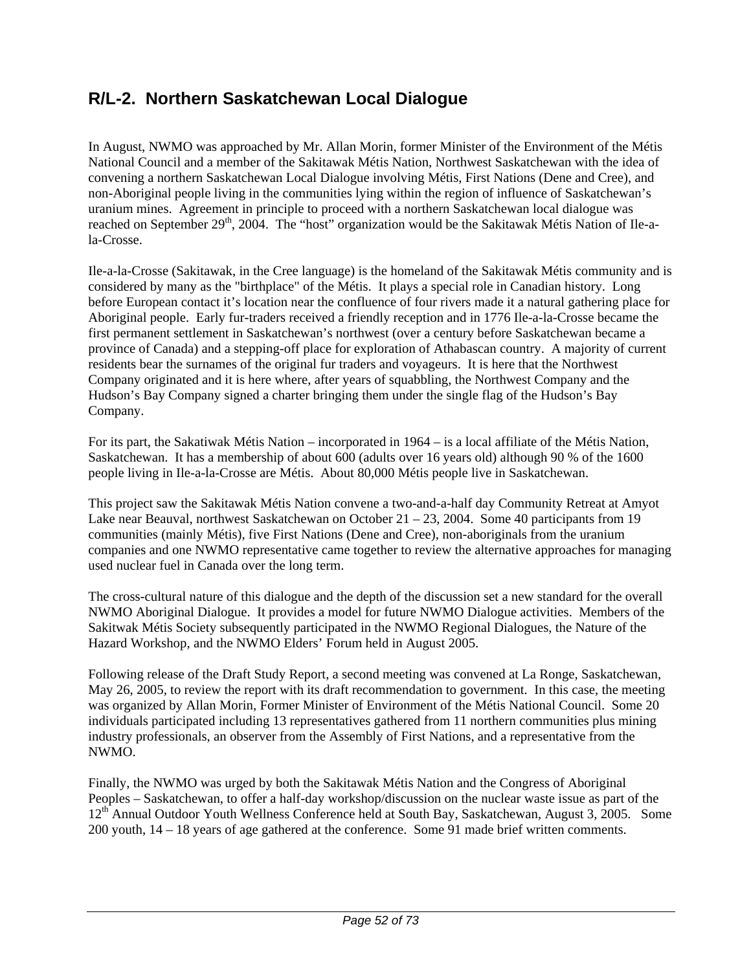# **R/L-2. Northern Saskatchewan Local Dialogue**

In August, NWMO was approached by Mr. Allan Morin, former Minister of the Environment of the Métis National Council and a member of the Sakitawak Métis Nation, Northwest Saskatchewan with the idea of convening a northern Saskatchewan Local Dialogue involving Métis, First Nations (Dene and Cree), and non-Aboriginal people living in the communities lying within the region of influence of Saskatchewan's uranium mines. Agreement in principle to proceed with a northern Saskatchewan local dialogue was reached on September 29<sup>th</sup>, 2004. The "host" organization would be the Sakitawak Métis Nation of Ile-ala-Crosse.

Ile-a-la-Crosse (Sakitawak, in the Cree language) is the homeland of the Sakitawak Métis community and is considered by many as the "birthplace" of the Métis. It plays a special role in Canadian history. Long before European contact it's location near the confluence of four rivers made it a natural gathering place for Aboriginal people. Early fur-traders received a friendly reception and in 1776 Ile-a-la-Crosse became the first permanent settlement in Saskatchewan's northwest (over a century before Saskatchewan became a province of Canada) and a stepping-off place for exploration of Athabascan country. A majority of current residents bear the surnames of the original fur traders and voyageurs. It is here that the Northwest Company originated and it is here where, after years of squabbling, the Northwest Company and the Hudson's Bay Company signed a charter bringing them under the single flag of the Hudson's Bay Company.

For its part, the Sakatiwak Métis Nation – incorporated in 1964 – is a local affiliate of the Métis Nation, Saskatchewan. It has a membership of about 600 (adults over 16 years old) although 90 % of the 1600 people living in Ile-a-la-Crosse are Métis. About 80,000 Métis people live in Saskatchewan.

This project saw the Sakitawak Métis Nation convene a two-and-a-half day Community Retreat at Amyot Lake near Beauval, northwest Saskatchewan on October 21 – 23, 2004. Some 40 participants from 19 communities (mainly Métis), five First Nations (Dene and Cree), non-aboriginals from the uranium companies and one NWMO representative came together to review the alternative approaches for managing used nuclear fuel in Canada over the long term.

The cross-cultural nature of this dialogue and the depth of the discussion set a new standard for the overall NWMO Aboriginal Dialogue. It provides a model for future NWMO Dialogue activities. Members of the Sakitwak Métis Society subsequently participated in the NWMO Regional Dialogues, the Nature of the Hazard Workshop, and the NWMO Elders' Forum held in August 2005.

Following release of the Draft Study Report, a second meeting was convened at La Ronge, Saskatchewan, May 26, 2005, to review the report with its draft recommendation to government. In this case, the meeting was organized by Allan Morin, Former Minister of Environment of the Métis National Council. Some 20 individuals participated including 13 representatives gathered from 11 northern communities plus mining industry professionals, an observer from the Assembly of First Nations, and a representative from the NWMO.

Finally, the NWMO was urged by both the Sakitawak Métis Nation and the Congress of Aboriginal Peoples – Saskatchewan, to offer a half-day workshop/discussion on the nuclear waste issue as part of the 12<sup>th</sup> Annual Outdoor Youth Wellness Conference held at South Bay, Saskatchewan, August 3, 2005. Some 200 youth, 14 – 18 years of age gathered at the conference. Some 91 made brief written comments.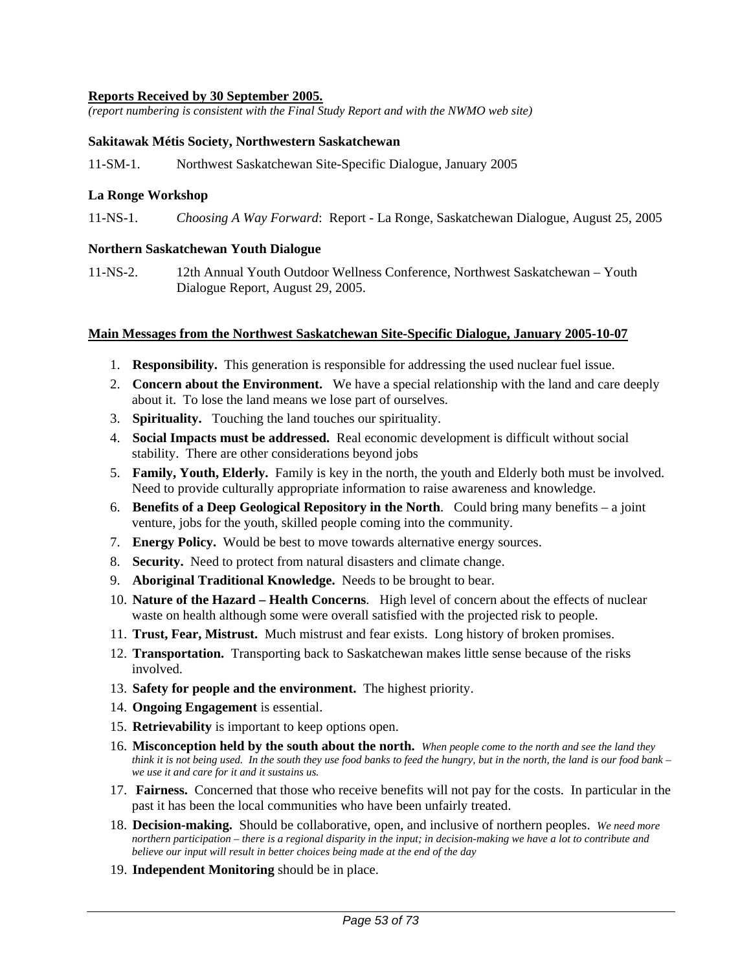#### **Reports Received by 30 September 2005.**

*(report numbering is consistent with the Final Study Report and with the NWMO web site)* 

#### **Sakitawak Métis Society, Northwestern Saskatchewan**

11-SM-1. Northwest Saskatchewan Site-Specific Dialogue, January 2005

#### **La Ronge Workshop**

11-NS-1. *Choosing A Way Forward*: Report - La Ronge, Saskatchewan Dialogue, August 25, 2005

#### **Northern Saskatchewan Youth Dialogue**

11-NS-2. 12th Annual Youth Outdoor Wellness Conference, Northwest Saskatchewan – Youth Dialogue Report, August 29, 2005.

#### **Main Messages from the Northwest Saskatchewan Site-Specific Dialogue, January 2005-10-07**

- 1. **Responsibility.** This generation is responsible for addressing the used nuclear fuel issue.
- 2. **Concern about the Environment.** We have a special relationship with the land and care deeply about it. To lose the land means we lose part of ourselves.
- 3. **Spirituality.** Touching the land touches our spirituality.
- 4. **Social Impacts must be addressed.** Real economic development is difficult without social stability. There are other considerations beyond jobs
- 5. **Family, Youth, Elderly.** Family is key in the north, the youth and Elderly both must be involved. Need to provide culturally appropriate information to raise awareness and knowledge.
- 6. **Benefits of a Deep Geological Repository in the North**. Could bring many benefits a joint venture, jobs for the youth, skilled people coming into the community.
- 7. **Energy Policy.** Would be best to move towards alternative energy sources.
- 8. **Security.** Need to protect from natural disasters and climate change.
- 9. **Aboriginal Traditional Knowledge.** Needs to be brought to bear.
- 10. **Nature of the Hazard Health Concerns**. High level of concern about the effects of nuclear waste on health although some were overall satisfied with the projected risk to people.
- 11. **Trust, Fear, Mistrust.** Much mistrust and fear exists. Long history of broken promises.
- 12. **Transportation.** Transporting back to Saskatchewan makes little sense because of the risks involved.
- 13. **Safety for people and the environment.** The highest priority.
- 14. **Ongoing Engagement** is essential.
- 15. **Retrievability** is important to keep options open.
- 16. **Misconception held by the south about the north.** *When people come to the north and see the land they think it is not being used. In the south they use food banks to feed the hungry, but in the north, the land is our food bank – we use it and care for it and it sustains us.*
- 17. **Fairness.** Concerned that those who receive benefits will not pay for the costs. In particular in the past it has been the local communities who have been unfairly treated.
- 18. **Decision-making.** Should be collaborative, open, and inclusive of northern peoples. *We need more northern participation – there is a regional disparity in the input; in decision-making we have a lot to contribute and believe our input will result in better choices being made at the end of the day*
- 19. **Independent Monitoring** should be in place.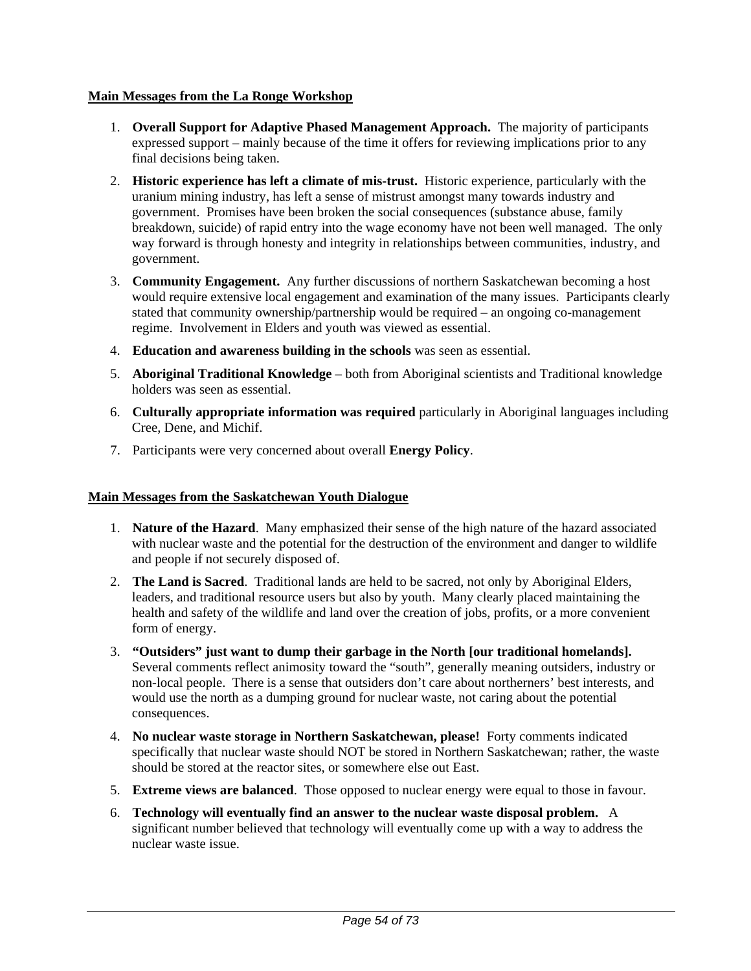### **Main Messages from the La Ronge Workshop**

- 1. **Overall Support for Adaptive Phased Management Approach.** The majority of participants expressed support – mainly because of the time it offers for reviewing implications prior to any final decisions being taken.
- 2. **Historic experience has left a climate of mis-trust.** Historic experience, particularly with the uranium mining industry, has left a sense of mistrust amongst many towards industry and government. Promises have been broken the social consequences (substance abuse, family breakdown, suicide) of rapid entry into the wage economy have not been well managed. The only way forward is through honesty and integrity in relationships between communities, industry, and government.
- 3. **Community Engagement.** Any further discussions of northern Saskatchewan becoming a host would require extensive local engagement and examination of the many issues. Participants clearly stated that community ownership/partnership would be required – an ongoing co-management regime. Involvement in Elders and youth was viewed as essential.
- 4. **Education and awareness building in the schools** was seen as essential.
- 5. **Aboriginal Traditional Knowledge** both from Aboriginal scientists and Traditional knowledge holders was seen as essential.
- 6. **Culturally appropriate information was required** particularly in Aboriginal languages including Cree, Dene, and Michif.
- 7. Participants were very concerned about overall **Energy Policy**.

## **Main Messages from the Saskatchewan Youth Dialogue**

- 1. **Nature of the Hazard**. Many emphasized their sense of the high nature of the hazard associated with nuclear waste and the potential for the destruction of the environment and danger to wildlife and people if not securely disposed of.
- 2. **The Land is Sacred**. Traditional lands are held to be sacred, not only by Aboriginal Elders, leaders, and traditional resource users but also by youth. Many clearly placed maintaining the health and safety of the wildlife and land over the creation of jobs, profits, or a more convenient form of energy.
- 3. **"Outsiders" just want to dump their garbage in the North [our traditional homelands].**  Several comments reflect animosity toward the "south", generally meaning outsiders, industry or non-local people. There is a sense that outsiders don't care about northerners' best interests, and would use the north as a dumping ground for nuclear waste, not caring about the potential consequences.
- 4. **No nuclear waste storage in Northern Saskatchewan, please!** Forty comments indicated specifically that nuclear waste should NOT be stored in Northern Saskatchewan; rather, the waste should be stored at the reactor sites, or somewhere else out East.
- 5. **Extreme views are balanced**. Those opposed to nuclear energy were equal to those in favour.
- 6. **Technology will eventually find an answer to the nuclear waste disposal problem.** A significant number believed that technology will eventually come up with a way to address the nuclear waste issue.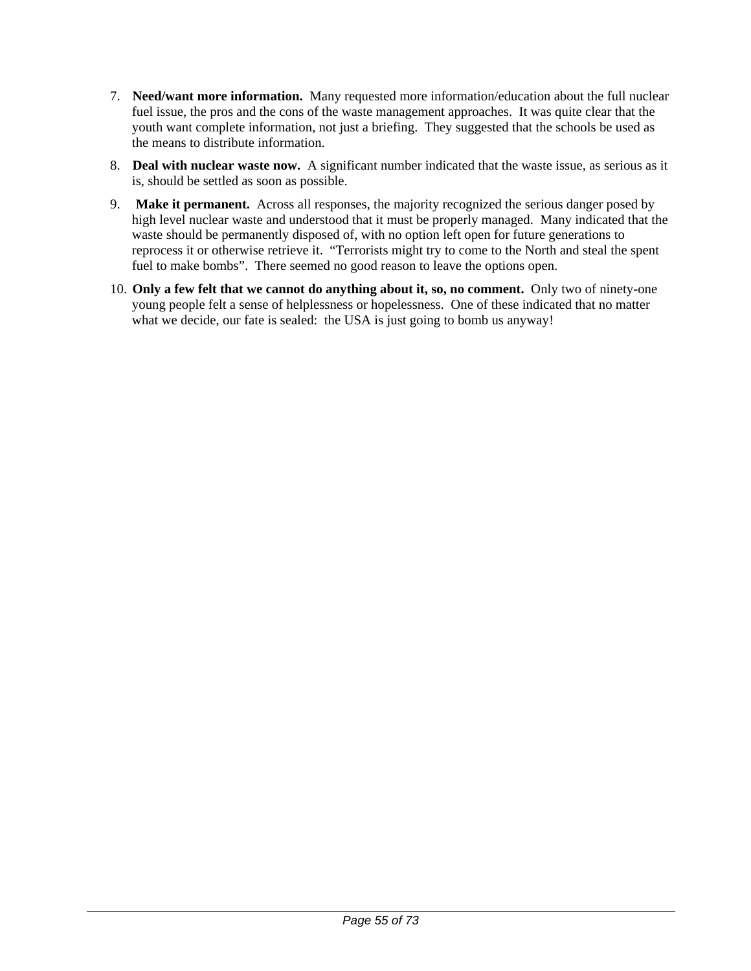- 7. **Need/want more information.** Many requested more information/education about the full nuclear fuel issue, the pros and the cons of the waste management approaches. It was quite clear that the youth want complete information, not just a briefing. They suggested that the schools be used as the means to distribute information.
- 8. **Deal with nuclear waste now.** A significant number indicated that the waste issue, as serious as it is, should be settled as soon as possible.
- 9. **Make it permanent.** Across all responses, the majority recognized the serious danger posed by high level nuclear waste and understood that it must be properly managed. Many indicated that the waste should be permanently disposed of, with no option left open for future generations to reprocess it or otherwise retrieve it. "Terrorists might try to come to the North and steal the spent fuel to make bombs". There seemed no good reason to leave the options open.
- 10. **Only a few felt that we cannot do anything about it, so, no comment.** Only two of ninety-one young people felt a sense of helplessness or hopelessness. One of these indicated that no matter what we decide, our fate is sealed: the USA is just going to bomb us anyway!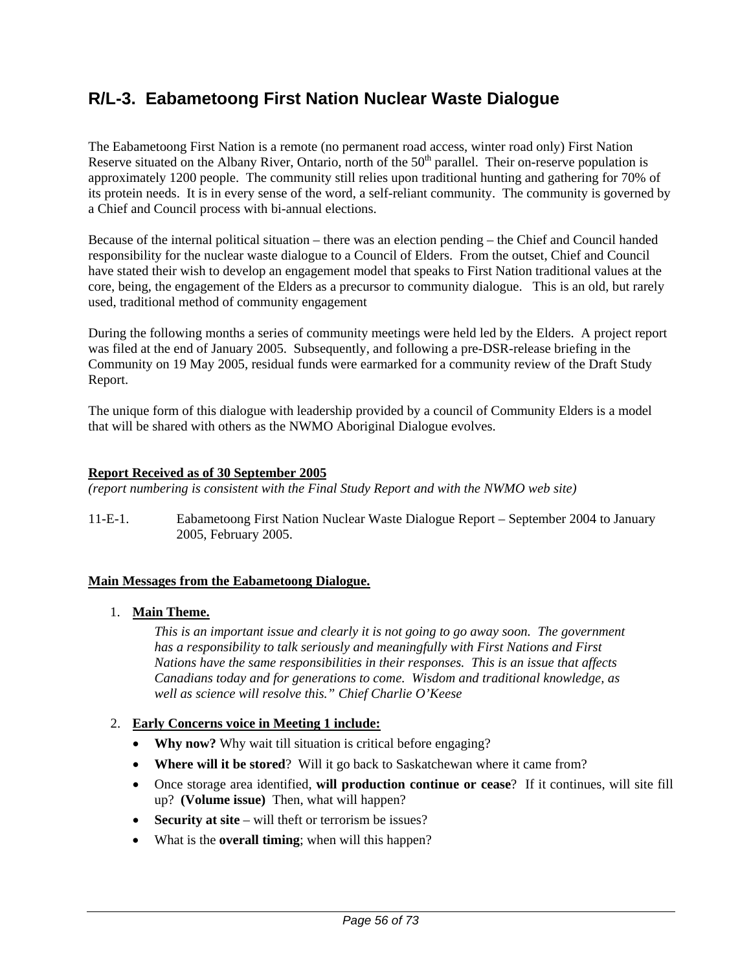# **R/L-3. Eabametoong First Nation Nuclear Waste Dialogue**

The Eabametoong First Nation is a remote (no permanent road access, winter road only) First Nation Reserve situated on the Albany River, Ontario, north of the  $50<sup>th</sup>$  parallel. Their on-reserve population is approximately 1200 people. The community still relies upon traditional hunting and gathering for 70% of its protein needs. It is in every sense of the word, a self-reliant community. The community is governed by a Chief and Council process with bi-annual elections.

Because of the internal political situation – there was an election pending – the Chief and Council handed responsibility for the nuclear waste dialogue to a Council of Elders. From the outset, Chief and Council have stated their wish to develop an engagement model that speaks to First Nation traditional values at the core, being, the engagement of the Elders as a precursor to community dialogue. This is an old, but rarely used, traditional method of community engagement

During the following months a series of community meetings were held led by the Elders. A project report was filed at the end of January 2005. Subsequently, and following a pre-DSR-release briefing in the Community on 19 May 2005, residual funds were earmarked for a community review of the Draft Study Report.

The unique form of this dialogue with leadership provided by a council of Community Elders is a model that will be shared with others as the NWMO Aboriginal Dialogue evolves.

#### **Report Received as of 30 September 2005**

*(report numbering is consistent with the Final Study Report and with the NWMO web site)* 

11-E-1. Eabametoong First Nation Nuclear Waste Dialogue Report – September 2004 to January 2005, February 2005.

#### **Main Messages from the Eabametoong Dialogue.**

1. **Main Theme.**

*This is an important issue and clearly it is not going to go away soon. The government has a responsibility to talk seriously and meaningfully with First Nations and First Nations have the same responsibilities in their responses. This is an issue that affects Canadians today and for generations to come. Wisdom and traditional knowledge, as well as science will resolve this." Chief Charlie O'Keese*

#### 2. **Early Concerns voice in Meeting 1 include:**

- **Why now?** Why wait till situation is critical before engaging?
- **Where will it be stored**? Will it go back to Saskatchewan where it came from?
- Once storage area identified, **will production continue or cease**? If it continues, will site fill up? **(Volume issue)** Then, what will happen?
- **Security at site** will theft or terrorism be issues?
- What is the **overall timing**; when will this happen?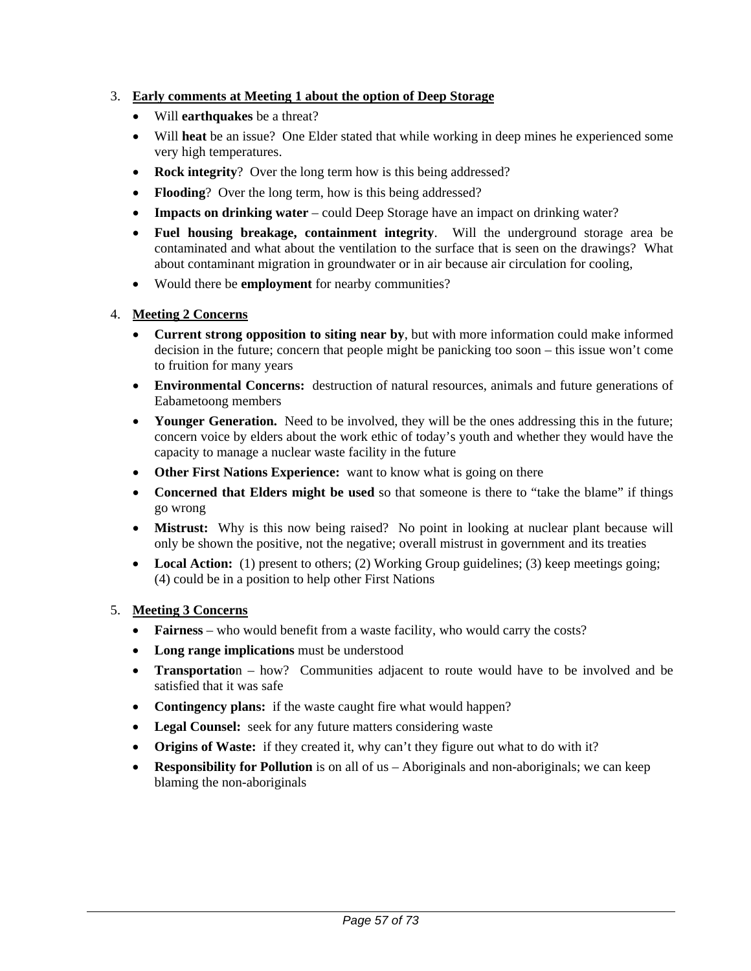# 3. **Early comments at Meeting 1 about the option of Deep Storage**

- Will **earthquakes** be a threat?
- Will **heat** be an issue? One Elder stated that while working in deep mines he experienced some very high temperatures.
- **Rock integrity**? Over the long term how is this being addressed?
- **Flooding**? Over the long term, how is this being addressed?
- **Impacts on drinking water** could Deep Storage have an impact on drinking water?
- **Fuel housing breakage, containment integrity**. Will the underground storage area be contaminated and what about the ventilation to the surface that is seen on the drawings? What about contaminant migration in groundwater or in air because air circulation for cooling,
- Would there be **employment** for nearby communities?

## 4. **Meeting 2 Concerns**

- **Current strong opposition to siting near by**, but with more information could make informed decision in the future; concern that people might be panicking too soon – this issue won't come to fruition for many years
- **Environmental Concerns:** destruction of natural resources, animals and future generations of Eabametoong members
- **Younger Generation.** Need to be involved, they will be the ones addressing this in the future; concern voice by elders about the work ethic of today's youth and whether they would have the capacity to manage a nuclear waste facility in the future
- **Other First Nations Experience:** want to know what is going on there
- **Concerned that Elders might be used** so that someone is there to "take the blame" if things go wrong
- **Mistrust:** Why is this now being raised? No point in looking at nuclear plant because will only be shown the positive, not the negative; overall mistrust in government and its treaties
- Local Action: (1) present to others; (2) Working Group guidelines; (3) keep meetings going; (4) could be in a position to help other First Nations

## 5. **Meeting 3 Concerns**

- **Fairness** who would benefit from a waste facility, who would carry the costs?
- **Long range implications** must be understood
- **Transportatio**n how? Communities adjacent to route would have to be involved and be satisfied that it was safe
- **Contingency plans:** if the waste caught fire what would happen?
- **Legal Counsel:** seek for any future matters considering waste
- **Origins of Waste:** if they created it, why can't they figure out what to do with it?
- **Responsibility for Pollution** is on all of us Aboriginals and non-aboriginals; we can keep blaming the non-aboriginals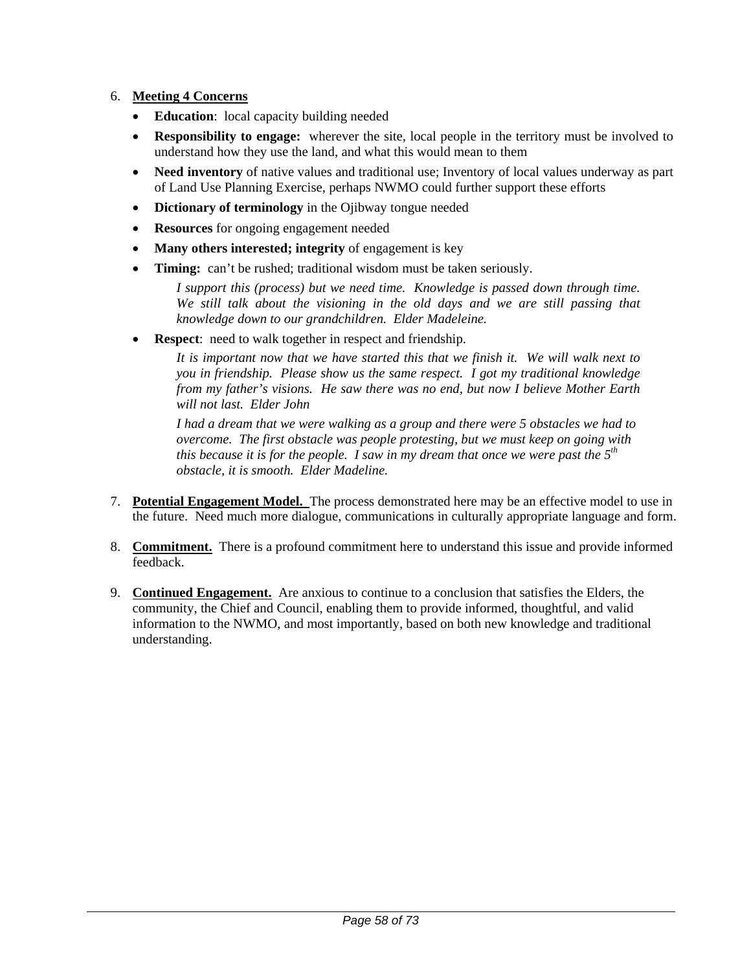## 6. **Meeting 4 Concerns**

- **Education**: local capacity building needed
- **Responsibility to engage:** wherever the site, local people in the territory must be involved to understand how they use the land, and what this would mean to them
- **Need inventory** of native values and traditional use; Inventory of local values underway as part of Land Use Planning Exercise, perhaps NWMO could further support these efforts
- **Dictionary of terminology** in the Ojibway tongue needed
- **Resources** for ongoing engagement needed
- **Many others interested; integrity** of engagement is key
- **Timing:** can't be rushed; traditional wisdom must be taken seriously.

*I support this (process) but we need time. Knowledge is passed down through time. We still talk about the visioning in the old days and we are still passing that knowledge down to our grandchildren. Elder Madeleine.* 

**Respect:** need to walk together in respect and friendship.

*It is important now that we have started this that we finish it. We will walk next to you in friendship. Please show us the same respect. I got my traditional knowledge from my father's visions. He saw there was no end, but now I believe Mother Earth will not last. Elder John*

*I had a dream that we were walking as a group and there were 5 obstacles we had to overcome. The first obstacle was people protesting, but we must keep on going with this because it is for the people. I saw in my dream that once we were past the 5th obstacle, it is smooth. Elder Madeline.*

- 7. **Potential Engagement Model.** The process demonstrated here may be an effective model to use in the future. Need much more dialogue, communications in culturally appropriate language and form.
- 8. **Commitment.** There is a profound commitment here to understand this issue and provide informed feedback.
- 9. **Continued Engagement.** Are anxious to continue to a conclusion that satisfies the Elders, the community, the Chief and Council, enabling them to provide informed, thoughtful, and valid information to the NWMO, and most importantly, based on both new knowledge and traditional understanding.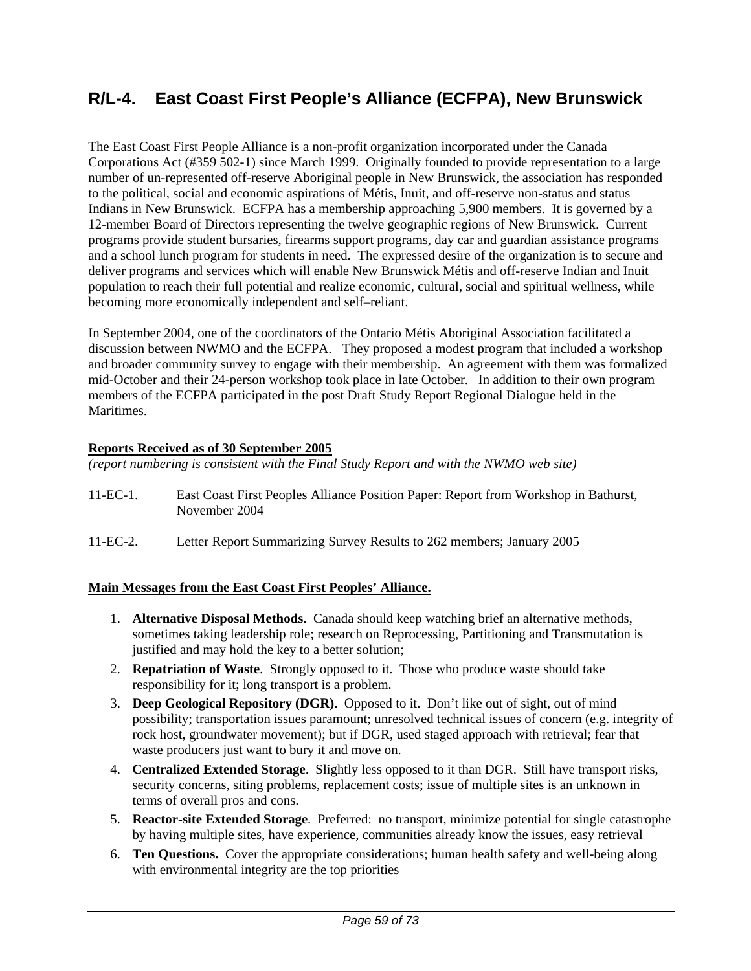# **R/L-4. East Coast First People's Alliance (ECFPA), New Brunswick**

The East Coast First People Alliance is a non-profit organization incorporated under the Canada Corporations Act (#359 502-1) since March 1999. Originally founded to provide representation to a large number of un-represented off-reserve Aboriginal people in New Brunswick, the association has responded to the political, social and economic aspirations of Métis, Inuit, and off-reserve non-status and status Indians in New Brunswick. ECFPA has a membership approaching 5,900 members. It is governed by a 12-member Board of Directors representing the twelve geographic regions of New Brunswick. Current programs provide student bursaries, firearms support programs, day car and guardian assistance programs and a school lunch program for students in need. The expressed desire of the organization is to secure and deliver programs and services which will enable New Brunswick Métis and off-reserve Indian and Inuit population to reach their full potential and realize economic, cultural, social and spiritual wellness, while becoming more economically independent and self–reliant.

In September 2004, one of the coordinators of the Ontario Métis Aboriginal Association facilitated a discussion between NWMO and the ECFPA. They proposed a modest program that included a workshop and broader community survey to engage with their membership. An agreement with them was formalized mid-October and their 24-person workshop took place in late October. In addition to their own program members of the ECFPA participated in the post Draft Study Report Regional Dialogue held in the **Maritimes** 

### **Reports Received as of 30 September 2005**

*(report numbering is consistent with the Final Study Report and with the NWMO web site)* 

- 11-EC-1. East Coast First Peoples Alliance Position Paper: Report from Workshop in Bathurst, November 2004
- 11-EC-2. Letter Report Summarizing Survey Results to 262 members; January 2005

## **Main Messages from the East Coast First Peoples' Alliance.**

- 1. **Alternative Disposal Methods.** Canada should keep watching brief an alternative methods, sometimes taking leadership role; research on Reprocessing, Partitioning and Transmutation is justified and may hold the key to a better solution;
- 2. **Repatriation of Waste**. Strongly opposed to it. Those who produce waste should take responsibility for it; long transport is a problem.
- 3. **Deep Geological Repository (DGR).** Opposed to it. Don't like out of sight, out of mind possibility; transportation issues paramount; unresolved technical issues of concern (e.g. integrity of rock host, groundwater movement); but if DGR, used staged approach with retrieval; fear that waste producers just want to bury it and move on.
- 4. **Centralized Extended Storage**. Slightly less opposed to it than DGR. Still have transport risks, security concerns, siting problems, replacement costs; issue of multiple sites is an unknown in terms of overall pros and cons.
- 5. **Reactor-site Extended Storage**. Preferred: no transport, minimize potential for single catastrophe by having multiple sites, have experience, communities already know the issues, easy retrieval
- 6. **Ten Questions.** Cover the appropriate considerations; human health safety and well-being along with environmental integrity are the top priorities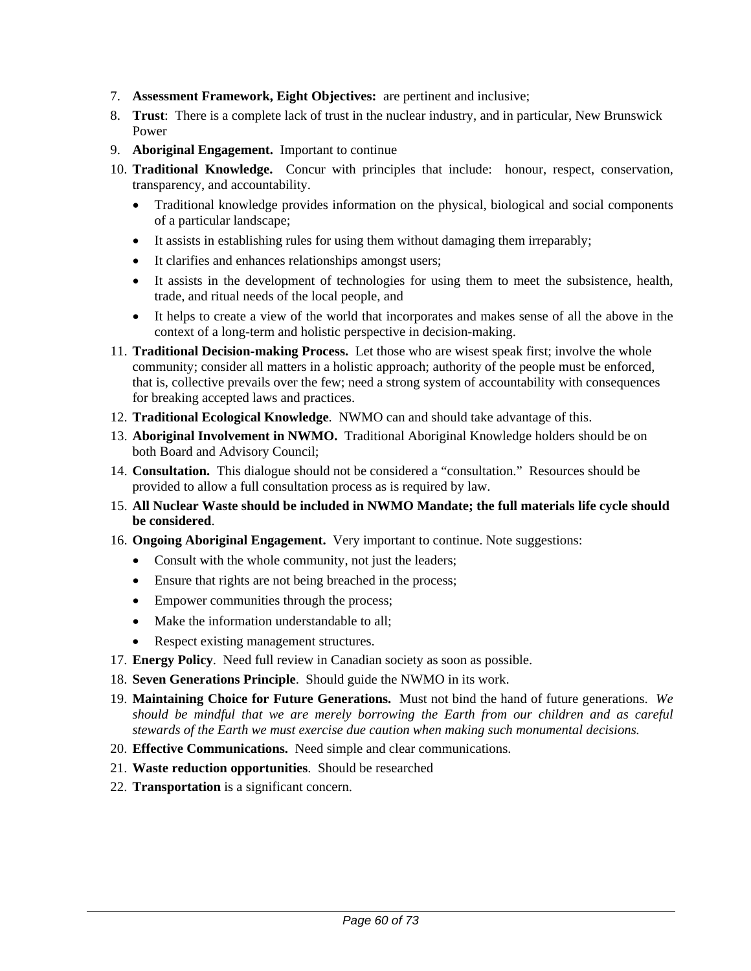- 7. **Assessment Framework, Eight Objectives:** are pertinent and inclusive;
- 8. **Trust**: There is a complete lack of trust in the nuclear industry, and in particular, New Brunswick Power
- 9. **Aboriginal Engagement.** Important to continue
- 10. **Traditional Knowledge.** Concur with principles that include: honour, respect, conservation, transparency, and accountability.
	- Traditional knowledge provides information on the physical, biological and social components of a particular landscape;
	- It assists in establishing rules for using them without damaging them irreparably;
	- It clarifies and enhances relationships amongst users;
	- It assists in the development of technologies for using them to meet the subsistence, health, trade, and ritual needs of the local people, and
	- It helps to create a view of the world that incorporates and makes sense of all the above in the context of a long-term and holistic perspective in decision-making.
- 11. **Traditional Decision-making Process.** Let those who are wisest speak first; involve the whole community; consider all matters in a holistic approach; authority of the people must be enforced, that is, collective prevails over the few; need a strong system of accountability with consequences for breaking accepted laws and practices.
- 12. **Traditional Ecological Knowledge**. NWMO can and should take advantage of this.
- 13. **Aboriginal Involvement in NWMO.** Traditional Aboriginal Knowledge holders should be on both Board and Advisory Council;
- 14. **Consultation.** This dialogue should not be considered a "consultation." Resources should be provided to allow a full consultation process as is required by law.
- 15. **All Nuclear Waste should be included in NWMO Mandate; the full materials life cycle should be considered**.
- 16. **Ongoing Aboriginal Engagement.** Very important to continue. Note suggestions:
	- Consult with the whole community, not just the leaders;
	- Ensure that rights are not being breached in the process;
	- Empower communities through the process;
	- Make the information understandable to all;
	- Respect existing management structures.
- 17. **Energy Policy**. Need full review in Canadian society as soon as possible.
- 18. **Seven Generations Principle**. Should guide the NWMO in its work.
- 19. **Maintaining Choice for Future Generations.** Must not bind the hand of future generations. *We should be mindful that we are merely borrowing the Earth from our children and as careful stewards of the Earth we must exercise due caution when making such monumental decisions.*
- 20. **Effective Communications.** Need simple and clear communications.
- 21. **Waste reduction opportunities**. Should be researched
- 22. **Transportation** is a significant concern.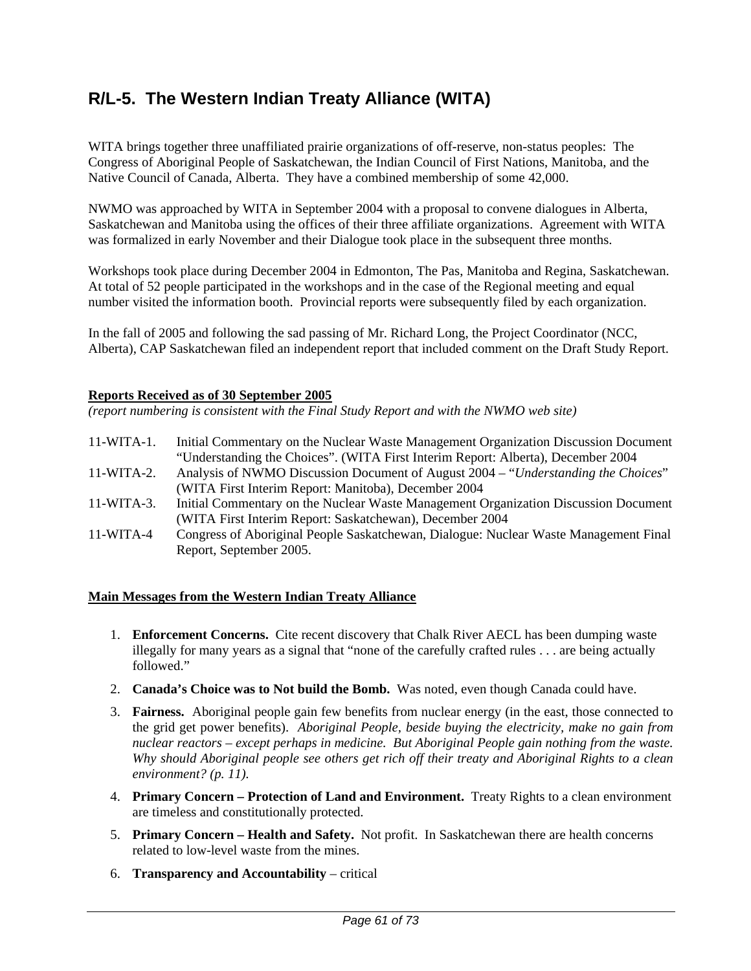# **R/L-5. The Western Indian Treaty Alliance (WITA)**

WITA brings together three unaffiliated prairie organizations of off-reserve, non-status peoples: The Congress of Aboriginal People of Saskatchewan, the Indian Council of First Nations, Manitoba, and the Native Council of Canada, Alberta. They have a combined membership of some 42,000.

NWMO was approached by WITA in September 2004 with a proposal to convene dialogues in Alberta, Saskatchewan and Manitoba using the offices of their three affiliate organizations. Agreement with WITA was formalized in early November and their Dialogue took place in the subsequent three months.

Workshops took place during December 2004 in Edmonton, The Pas, Manitoba and Regina, Saskatchewan. At total of 52 people participated in the workshops and in the case of the Regional meeting and equal number visited the information booth. Provincial reports were subsequently filed by each organization.

In the fall of 2005 and following the sad passing of Mr. Richard Long, the Project Coordinator (NCC, Alberta), CAP Saskatchewan filed an independent report that included comment on the Draft Study Report.

#### **Reports Received as of 30 September 2005**

*(report numbering is consistent with the Final Study Report and with the NWMO web site)* 

- 11-WITA-1. Initial Commentary on the Nuclear Waste Management Organization Discussion Document "Understanding the Choices". (WITA First Interim Report: Alberta), December 2004
- 11-WITA-2. Analysis of NWMO Discussion Document of August 2004 "*Understanding the Choices*" (WITA First Interim Report: Manitoba), December 2004
- 11-WITA-3. Initial Commentary on the Nuclear Waste Management Organization Discussion Document (WITA First Interim Report: Saskatchewan), December 2004
- 11-WITA-4 Congress of Aboriginal People Saskatchewan, Dialogue: Nuclear Waste Management Final Report, September 2005.

#### **Main Messages from the Western Indian Treaty Alliance**

- 1. **Enforcement Concerns.** Cite recent discovery that Chalk River AECL has been dumping waste illegally for many years as a signal that "none of the carefully crafted rules . . . are being actually followed."
- 2. **Canada's Choice was to Not build the Bomb.** Was noted, even though Canada could have.
- 3. **Fairness.** Aboriginal people gain few benefits from nuclear energy (in the east, those connected to the grid get power benefits). *Aboriginal People, beside buying the electricity, make no gain from nuclear reactors – except perhaps in medicine. But Aboriginal People gain nothing from the waste. Why should Aboriginal people see others get rich off their treaty and Aboriginal Rights to a clean environment? (p. 11).*
- 4. **Primary Concern Protection of Land and Environment.** Treaty Rights to a clean environment are timeless and constitutionally protected.
- 5. **Primary Concern Health and Safety.** Not profit. In Saskatchewan there are health concerns related to low-level waste from the mines.
- 6. **Transparency and Accountability** critical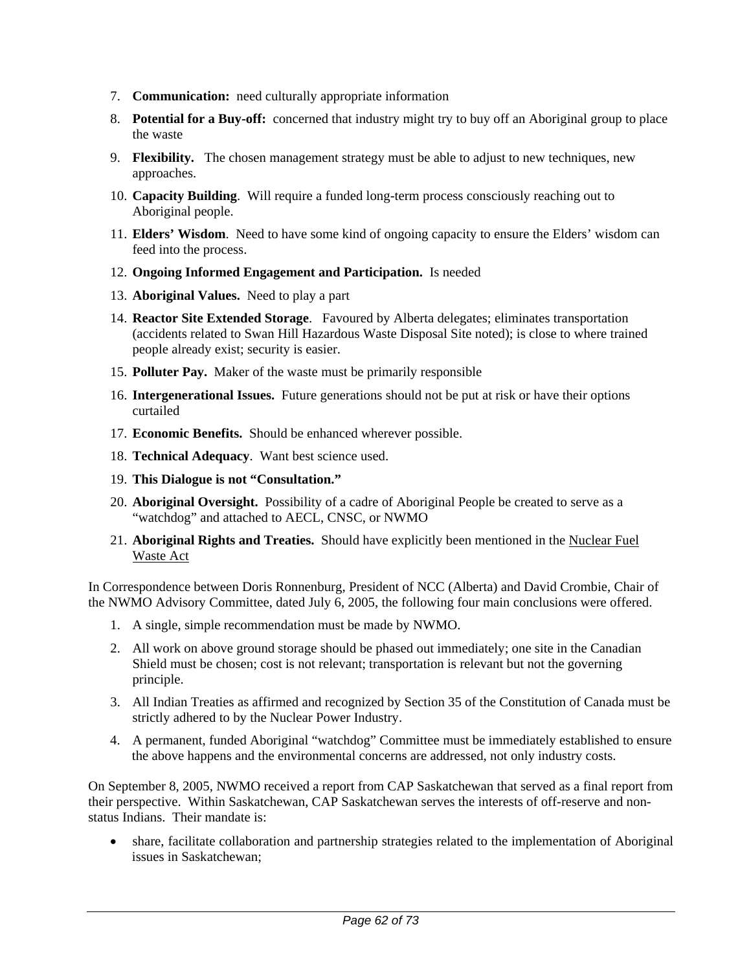- 7. **Communication:** need culturally appropriate information
- 8. **Potential for a Buy-off:** concerned that industry might try to buy off an Aboriginal group to place the waste
- 9. **Flexibility.** The chosen management strategy must be able to adjust to new techniques, new approaches.
- 10. **Capacity Building**. Will require a funded long-term process consciously reaching out to Aboriginal people.
- 11. **Elders' Wisdom**. Need to have some kind of ongoing capacity to ensure the Elders' wisdom can feed into the process.
- 12. **Ongoing Informed Engagement and Participation.** Is needed
- 13. **Aboriginal Values.** Need to play a part
- 14. **Reactor Site Extended Storage**. Favoured by Alberta delegates; eliminates transportation (accidents related to Swan Hill Hazardous Waste Disposal Site noted); is close to where trained people already exist; security is easier.
- 15. **Polluter Pay.** Maker of the waste must be primarily responsible
- 16. **Intergenerational Issues.** Future generations should not be put at risk or have their options curtailed
- 17. **Economic Benefits.** Should be enhanced wherever possible.
- 18. **Technical Adequacy**. Want best science used.
- 19. **This Dialogue is not "Consultation."**
- 20. **Aboriginal Oversight.** Possibility of a cadre of Aboriginal People be created to serve as a "watchdog" and attached to AECL, CNSC, or NWMO
- 21. **Aboriginal Rights and Treaties.** Should have explicitly been mentioned in the Nuclear Fuel Waste Act

In Correspondence between Doris Ronnenburg, President of NCC (Alberta) and David Crombie, Chair of the NWMO Advisory Committee, dated July 6, 2005, the following four main conclusions were offered.

- 1. A single, simple recommendation must be made by NWMO.
- 2. All work on above ground storage should be phased out immediately; one site in the Canadian Shield must be chosen; cost is not relevant; transportation is relevant but not the governing principle.
- 3. All Indian Treaties as affirmed and recognized by Section 35 of the Constitution of Canada must be strictly adhered to by the Nuclear Power Industry.
- 4. A permanent, funded Aboriginal "watchdog" Committee must be immediately established to ensure the above happens and the environmental concerns are addressed, not only industry costs.

On September 8, 2005, NWMO received a report from CAP Saskatchewan that served as a final report from their perspective. Within Saskatchewan, CAP Saskatchewan serves the interests of off-reserve and nonstatus Indians. Their mandate is:

• share, facilitate collaboration and partnership strategies related to the implementation of Aboriginal issues in Saskatchewan;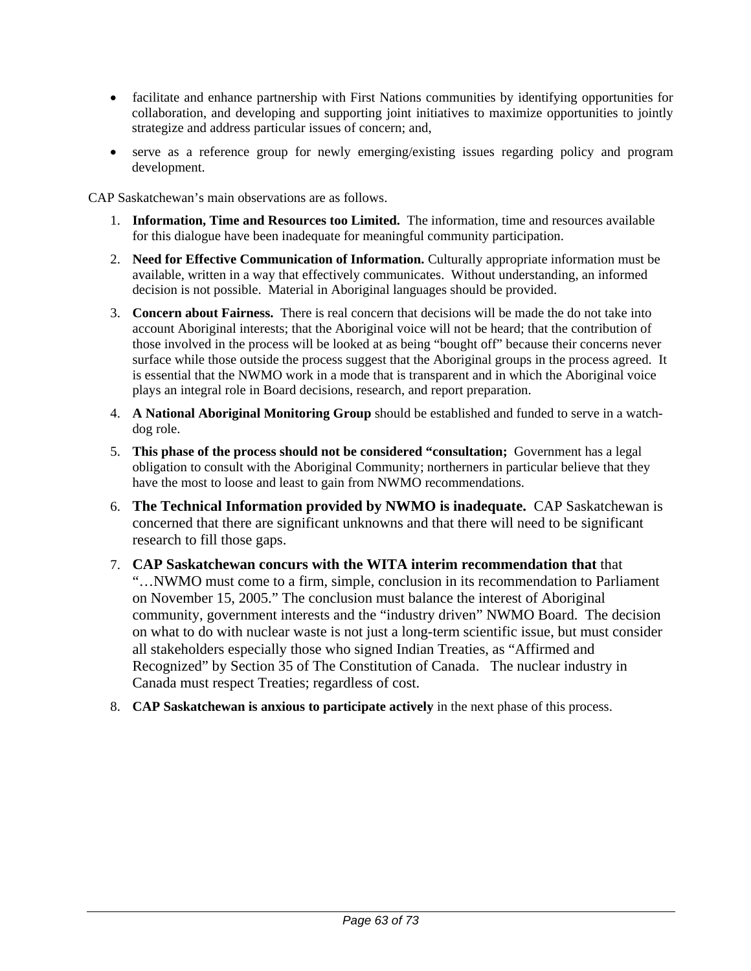- facilitate and enhance partnership with First Nations communities by identifying opportunities for collaboration, and developing and supporting joint initiatives to maximize opportunities to jointly strategize and address particular issues of concern; and,
- serve as a reference group for newly emerging/existing issues regarding policy and program development.

CAP Saskatchewan's main observations are as follows.

- 1. **Information, Time and Resources too Limited.** The information, time and resources available for this dialogue have been inadequate for meaningful community participation.
- 2. **Need for Effective Communication of Information.** Culturally appropriate information must be available, written in a way that effectively communicates. Without understanding, an informed decision is not possible. Material in Aboriginal languages should be provided.
- 3. **Concern about Fairness.** There is real concern that decisions will be made the do not take into account Aboriginal interests; that the Aboriginal voice will not be heard; that the contribution of those involved in the process will be looked at as being "bought off" because their concerns never surface while those outside the process suggest that the Aboriginal groups in the process agreed. It is essential that the NWMO work in a mode that is transparent and in which the Aboriginal voice plays an integral role in Board decisions, research, and report preparation.
- 4. **A National Aboriginal Monitoring Group** should be established and funded to serve in a watchdog role.
- 5. **This phase of the process should not be considered "consultation;** Government has a legal obligation to consult with the Aboriginal Community; northerners in particular believe that they have the most to loose and least to gain from NWMO recommendations.
- 6. **The Technical Information provided by NWMO is inadequate.** CAP Saskatchewan is concerned that there are significant unknowns and that there will need to be significant research to fill those gaps.
- 7. **CAP Saskatchewan concurs with the WITA interim recommendation that** that "…NWMO must come to a firm, simple, conclusion in its recommendation to Parliament on November 15, 2005." The conclusion must balance the interest of Aboriginal community, government interests and the "industry driven" NWMO Board. The decision on what to do with nuclear waste is not just a long-term scientific issue, but must consider all stakeholders especially those who signed Indian Treaties, as "Affirmed and Recognized" by Section 35 of The Constitution of Canada. The nuclear industry in Canada must respect Treaties; regardless of cost.
- 8. **CAP Saskatchewan is anxious to participate actively** in the next phase of this process.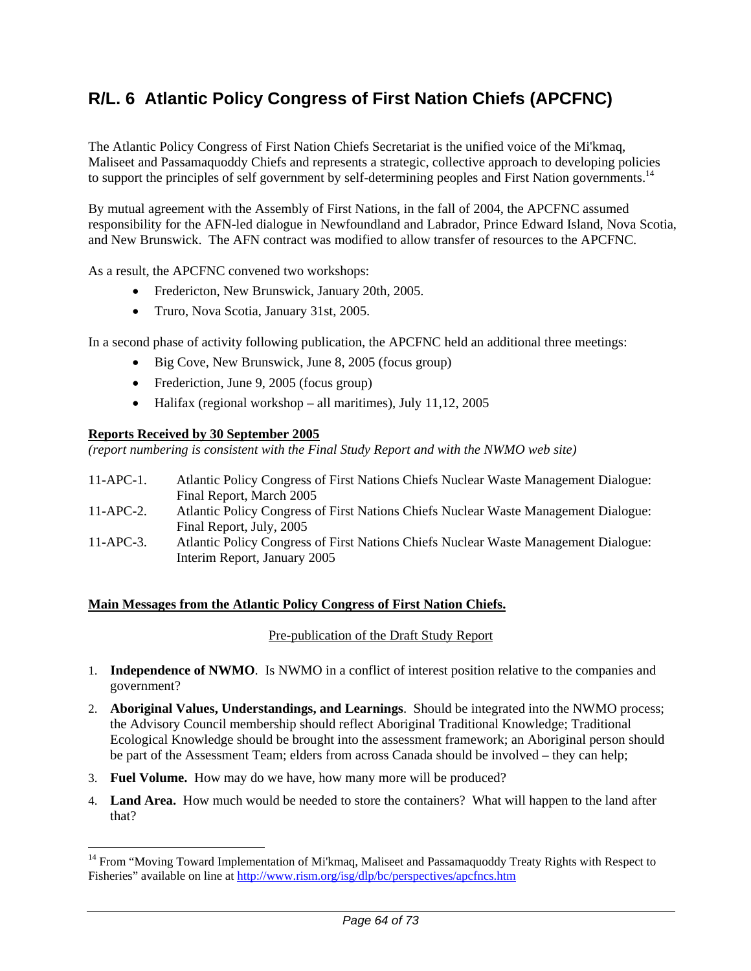# **R/L. 6 Atlantic Policy Congress of First Nation Chiefs (APCFNC)**

The Atlantic Policy Congress of First Nation Chiefs Secretariat is the unified voice of the Mi'kmaq, Maliseet and Passamaquoddy Chiefs and represents a strategic, collective approach to developing policies to support the principles of self government by self-determining peoples and First Nation governments.<sup>14</sup>

By mutual agreement with the Assembly of First Nations, in the fall of 2004, the APCFNC assumed responsibility for the AFN-led dialogue in Newfoundland and Labrador, Prince Edward Island, Nova Scotia, and New Brunswick. The AFN contract was modified to allow transfer of resources to the APCFNC.

As a result, the APCFNC convened two workshops:

- Fredericton, New Brunswick, January 20th, 2005.
- Truro, Nova Scotia, January 31st, 2005.

In a second phase of activity following publication, the APCFNC held an additional three meetings:

- Big Cove, New Brunswick, June 8, 2005 (focus group)
- Frederiction, June 9, 2005 (focus group)
- Halifax (regional workshop all maritimes), July 11,12, 2005

#### **Reports Received by 30 September 2005**

 $\overline{a}$ 

*(report numbering is consistent with the Final Study Report and with the NWMO web site)* 

- 11-APC-1. Atlantic Policy Congress of First Nations Chiefs Nuclear Waste Management Dialogue: Final Report, March 2005
- 11-APC-2. Atlantic Policy Congress of First Nations Chiefs Nuclear Waste Management Dialogue: Final Report, July, 2005
- 11-APC-3. Atlantic Policy Congress of First Nations Chiefs Nuclear Waste Management Dialogue: Interim Report, January 2005

#### **Main Messages from the Atlantic Policy Congress of First Nation Chiefs.**

#### Pre-publication of the Draft Study Report

- 1. **Independence of NWMO**. Is NWMO in a conflict of interest position relative to the companies and government?
- 2. **Aboriginal Values, Understandings, and Learnings**. Should be integrated into the NWMO process; the Advisory Council membership should reflect Aboriginal Traditional Knowledge; Traditional Ecological Knowledge should be brought into the assessment framework; an Aboriginal person should be part of the Assessment Team; elders from across Canada should be involved – they can help;
- 3. **Fuel Volume.** How may do we have, how many more will be produced?
- 4. **Land Area.** How much would be needed to store the containers? What will happen to the land after that?

<sup>&</sup>lt;sup>14</sup> From "Moving Toward Implementation of Mi'kmaq, Maliseet and Passamaquoddy Treaty Rights with Respect to Fisheries" available on line at http://www.rism.org/isg/dlp/bc/perspectives/apcfncs.htm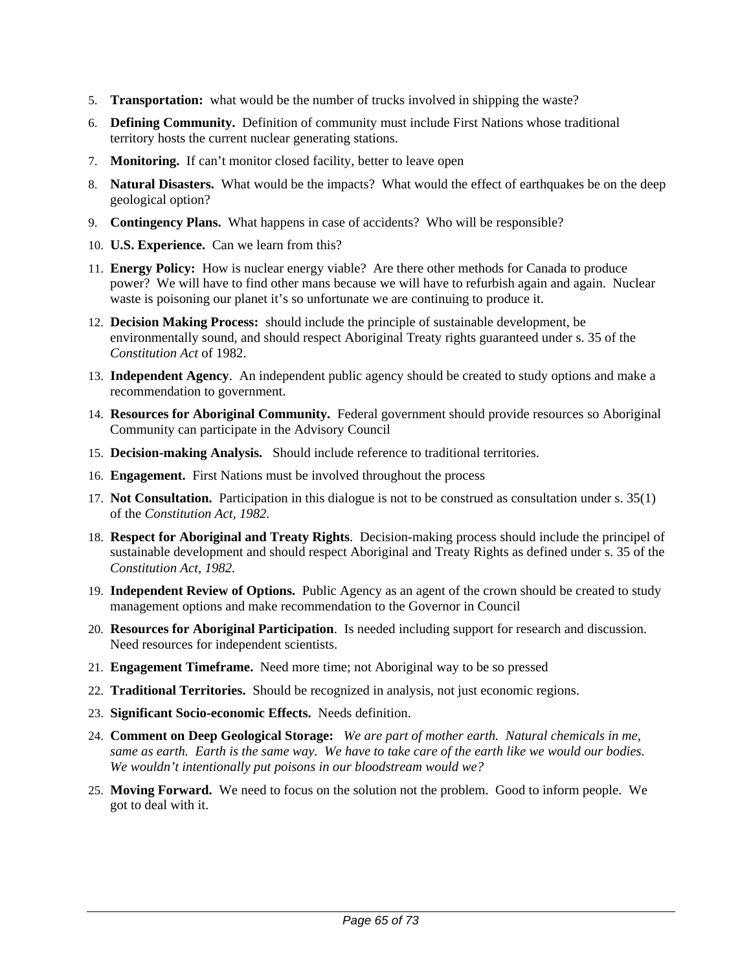- 5. **Transportation:** what would be the number of trucks involved in shipping the waste?
- 6. **Defining Community.** Definition of community must include First Nations whose traditional territory hosts the current nuclear generating stations.
- 7. **Monitoring.** If can't monitor closed facility, better to leave open
- 8. **Natural Disasters.** What would be the impacts? What would the effect of earthquakes be on the deep geological option?
- 9. **Contingency Plans.** What happens in case of accidents? Who will be responsible?
- 10. **U.S. Experience.** Can we learn from this?
- 11. **Energy Policy:** How is nuclear energy viable? Are there other methods for Canada to produce power? We will have to find other mans because we will have to refurbish again and again. Nuclear waste is poisoning our planet it's so unfortunate we are continuing to produce it.
- 12. **Decision Making Process:** should include the principle of sustainable development, be environmentally sound, and should respect Aboriginal Treaty rights guaranteed under s. 35 of the *Constitution Act* of 1982.
- 13. **Independent Agency**. An independent public agency should be created to study options and make a recommendation to government.
- 14. **Resources for Aboriginal Community.** Federal government should provide resources so Aboriginal Community can participate in the Advisory Council
- 15. **Decision-making Analysis.** Should include reference to traditional territories.
- 16. **Engagement.** First Nations must be involved throughout the process
- 17. **Not Consultation.** Participation in this dialogue is not to be construed as consultation under s. 35(1) of the *Constitution Act, 1982.*
- 18. **Respect for Aboriginal and Treaty Rights**. Decision-making process should include the principel of sustainable development and should respect Aboriginal and Treaty Rights as defined under s. 35 of the *Constitution Act, 1982.*
- 19. **Independent Review of Options.** Public Agency as an agent of the crown should be created to study management options and make recommendation to the Governor in Council
- 20. **Resources for Aboriginal Participation**. Is needed including support for research and discussion. Need resources for independent scientists.
- 21. **Engagement Timeframe.** Need more time; not Aboriginal way to be so pressed
- 22. **Traditional Territories.** Should be recognized in analysis, not just economic regions.
- 23. **Significant Socio-economic Effects.** Needs definition.
- 24. **Comment on Deep Geological Storage:** *We are part of mother earth. Natural chemicals in me, same as earth. Earth is the same way. We have to take care of the earth like we would our bodies. We wouldn't intentionally put poisons in our bloodstream would we?*
- 25. **Moving Forward.** We need to focus on the solution not the problem. Good to inform people. We got to deal with it.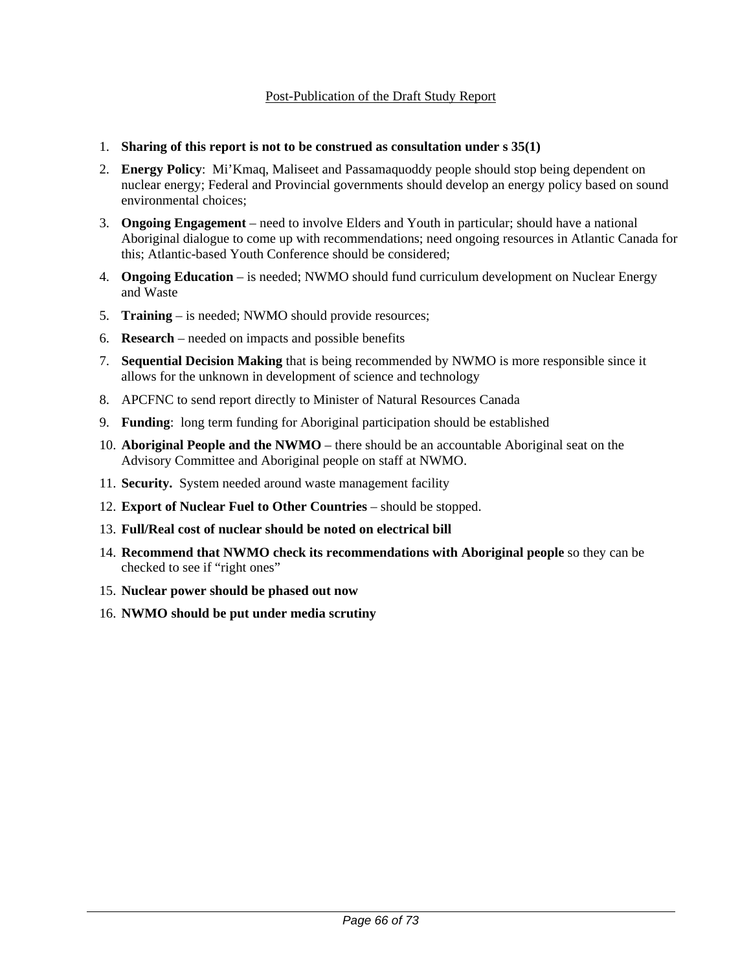### Post-Publication of the Draft Study Report

#### 1. **Sharing of this report is not to be construed as consultation under s 35(1)**

- 2. **Energy Policy**: Mi'Kmaq, Maliseet and Passamaquoddy people should stop being dependent on nuclear energy; Federal and Provincial governments should develop an energy policy based on sound environmental choices;
- 3. **Ongoing Engagement** need to involve Elders and Youth in particular; should have a national Aboriginal dialogue to come up with recommendations; need ongoing resources in Atlantic Canada for this; Atlantic-based Youth Conference should be considered;
- 4. **Ongoing Education** is needed; NWMO should fund curriculum development on Nuclear Energy and Waste
- 5. **Training** is needed; NWMO should provide resources;
- 6. **Research** needed on impacts and possible benefits
- 7. **Sequential Decision Making** that is being recommended by NWMO is more responsible since it allows for the unknown in development of science and technology
- 8. APCFNC to send report directly to Minister of Natural Resources Canada
- 9. **Funding**: long term funding for Aboriginal participation should be established
- 10. **Aboriginal People and the NWMO** there should be an accountable Aboriginal seat on the Advisory Committee and Aboriginal people on staff at NWMO.
- 11. **Security.** System needed around waste management facility
- 12. **Export of Nuclear Fuel to Other Countries** should be stopped.
- 13. **Full/Real cost of nuclear should be noted on electrical bill**
- 14. **Recommend that NWMO check its recommendations with Aboriginal people** so they can be checked to see if "right ones"
- 15. **Nuclear power should be phased out now**
- 16. **NWMO should be put under media scrutiny**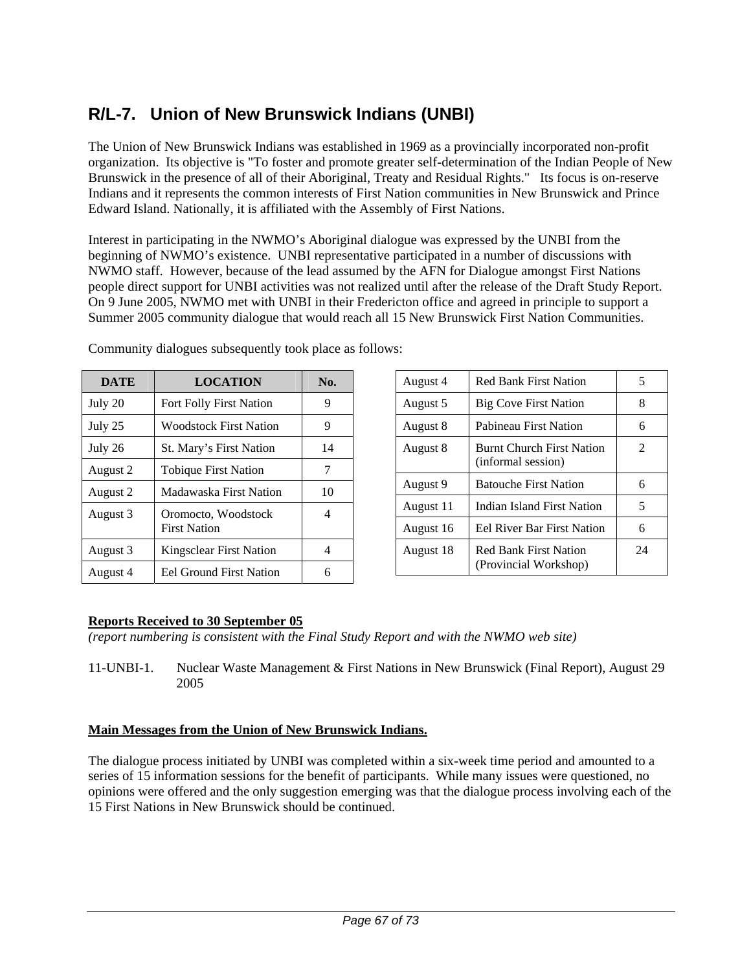# **R/L-7. Union of New Brunswick Indians (UNBI)**

The Union of New Brunswick Indians was established in 1969 as a provincially incorporated non-profit organization. Its objective is "To foster and promote greater self-determination of the Indian People of New Brunswick in the presence of all of their Aboriginal, Treaty and Residual Rights." Its focus is on-reserve Indians and it represents the common interests of First Nation communities in New Brunswick and Prince Edward Island. Nationally, it is affiliated with the Assembly of First Nations.

Interest in participating in the NWMO's Aboriginal dialogue was expressed by the UNBI from the beginning of NWMO's existence. UNBI representative participated in a number of discussions with NWMO staff. However, because of the lead assumed by the AFN for Dialogue amongst First Nations people direct support for UNBI activities was not realized until after the release of the Draft Study Report. On 9 June 2005, NWMO met with UNBI in their Fredericton office and agreed in principle to support a Summer 2005 community dialogue that would reach all 15 New Brunswick First Nation Communities.

| <b>DATE</b> | <b>LOCATION</b>                            | No. |
|-------------|--------------------------------------------|-----|
| July 20     | Fort Folly First Nation                    | 9   |
| July 25     | <b>Woodstock First Nation</b>              | 9   |
| July 26     | St. Mary's First Nation                    | 14  |
| August 2    | <b>Tobique First Nation</b>                | 7   |
| August 2    | Madawaska First Nation                     | 10  |
| August 3    | Oromocto, Woodstock<br><b>First Nation</b> | 4   |
| August 3    | <b>Kingsclear First Nation</b>             | 4   |
| August 4    | <b>Eel Ground First Nation</b>             |     |

Community dialogues subsequently took place as follows:

| August 4  | <b>Red Bank First Nation</b>                           | 5  |
|-----------|--------------------------------------------------------|----|
| August 5  | <b>Big Cove First Nation</b>                           | 8  |
| August 8  | Pabineau First Nation                                  | 6  |
| August 8  | <b>Burnt Church First Nation</b><br>(informal session) | 2  |
| August 9  | <b>Batouche First Nation</b>                           | 6  |
| August 11 | Indian Island First Nation                             | 5  |
| August 16 | <b>Eel River Bar First Nation</b>                      | 6  |
| August 18 | <b>Red Bank First Nation</b><br>(Provincial Workshop)  | 24 |

# **Reports Received to 30 September 05**

*(report numbering is consistent with the Final Study Report and with the NWMO web site)* 

11-UNBI-1. Nuclear Waste Management & First Nations in New Brunswick (Final Report), August 29 2005

## **Main Messages from the Union of New Brunswick Indians.**

The dialogue process initiated by UNBI was completed within a six-week time period and amounted to a series of 15 information sessions for the benefit of participants. While many issues were questioned, no opinions were offered and the only suggestion emerging was that the dialogue process involving each of the 15 First Nations in New Brunswick should be continued.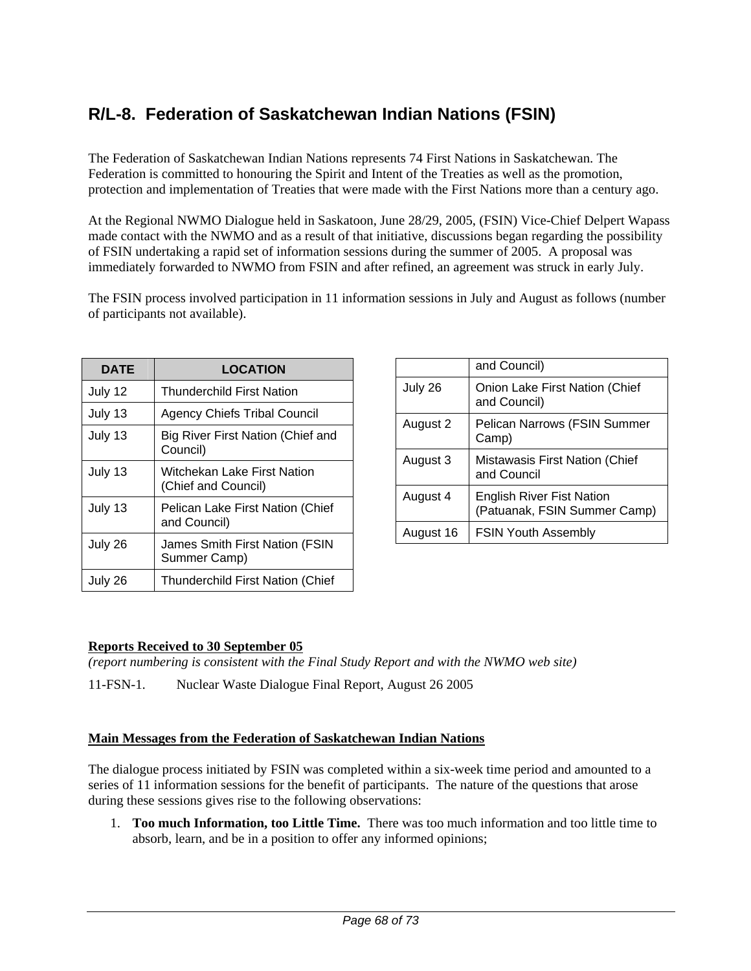# **R/L-8. Federation of Saskatchewan Indian Nations (FSIN)**

The Federation of Saskatchewan Indian Nations represents 74 First Nations in Saskatchewan. The Federation is committed to honouring the Spirit and Intent of the Treaties as well as the promotion, protection and implementation of Treaties that were made with the First Nations more than a century ago.

At the Regional NWMO Dialogue held in Saskatoon, June 28/29, 2005, (FSIN) Vice-Chief Delpert Wapass made contact with the NWMO and as a result of that initiative, discussions began regarding the possibility of FSIN undertaking a rapid set of information sessions during the summer of 2005. A proposal was immediately forwarded to NWMO from FSIN and after refined, an agreement was struck in early July.

The FSIN process involved participation in 11 information sessions in July and August as follows (number of participants not available).

| DATE    | <b>LOCATION</b>                                    |
|---------|----------------------------------------------------|
| July 12 | <b>Thunderchild First Nation</b>                   |
| July 13 | <b>Agency Chiefs Tribal Council</b>                |
| July 13 | Big River First Nation (Chief and<br>Council)      |
| July 13 | Witchekan Lake First Nation<br>(Chief and Council) |
| July 13 | Pelican Lake First Nation (Chief<br>and Council)   |
| July 26 | James Smith First Nation (FSIN<br>Summer Camp)     |
| July 26 | <b>Thunderchild First Nation (Chief</b>            |

|           | and Council)                                                     |
|-----------|------------------------------------------------------------------|
| July 26   | Onion Lake First Nation (Chief<br>and Council)                   |
| August 2  | Pelican Narrows (FSIN Summer<br>Camp)                            |
| August 3  | Mistawasis First Nation (Chief<br>and Council                    |
| August 4  | <b>English River Fist Nation</b><br>(Patuanak, FSIN Summer Camp) |
| August 16 | <b>FSIN Youth Assembly</b>                                       |

## **Reports Received to 30 September 05**

*(report numbering is consistent with the Final Study Report and with the NWMO web site)* 

11-FSN-1. Nuclear Waste Dialogue Final Report, August 26 2005

## **Main Messages from the Federation of Saskatchewan Indian Nations**

The dialogue process initiated by FSIN was completed within a six-week time period and amounted to a series of 11 information sessions for the benefit of participants. The nature of the questions that arose during these sessions gives rise to the following observations:

1. **Too much Information, too Little Time.** There was too much information and too little time to absorb, learn, and be in a position to offer any informed opinions;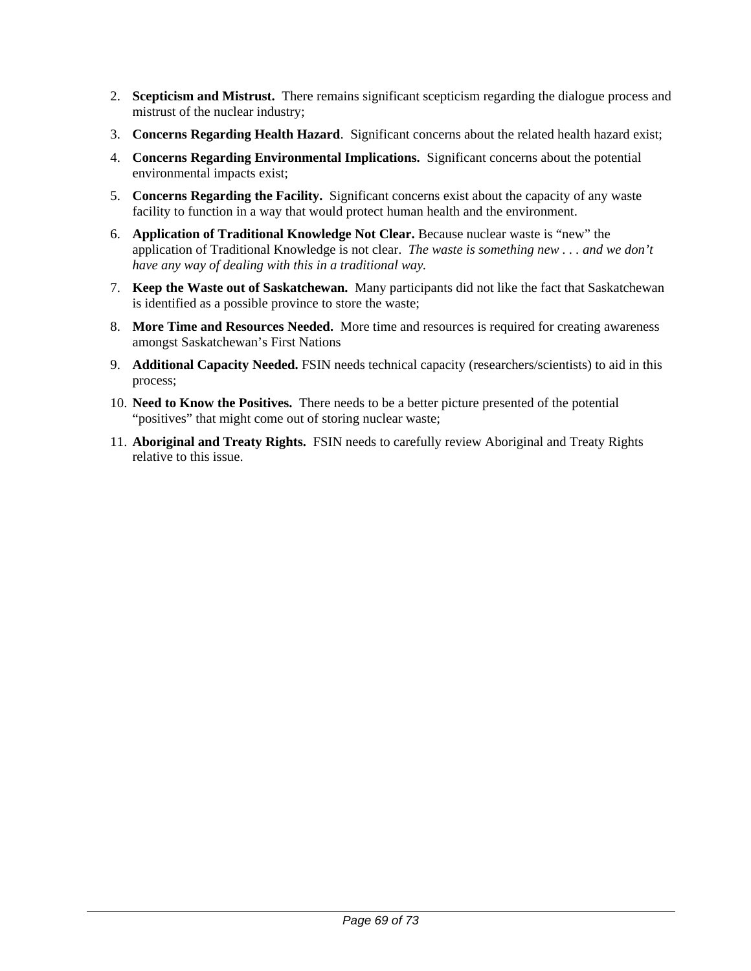- 2. **Scepticism and Mistrust.** There remains significant scepticism regarding the dialogue process and mistrust of the nuclear industry;
- 3. **Concerns Regarding Health Hazard**. Significant concerns about the related health hazard exist;
- 4. **Concerns Regarding Environmental Implications.** Significant concerns about the potential environmental impacts exist;
- 5. **Concerns Regarding the Facility.** Significant concerns exist about the capacity of any waste facility to function in a way that would protect human health and the environment.
- 6. **Application of Traditional Knowledge Not Clear.** Because nuclear waste is "new" the application of Traditional Knowledge is not clear. *The waste is something new . . . and we don't have any way of dealing with this in a traditional way.*
- 7. **Keep the Waste out of Saskatchewan.** Many participants did not like the fact that Saskatchewan is identified as a possible province to store the waste;
- 8. **More Time and Resources Needed.** More time and resources is required for creating awareness amongst Saskatchewan's First Nations
- 9. **Additional Capacity Needed.** FSIN needs technical capacity (researchers/scientists) to aid in this process;
- 10. **Need to Know the Positives.** There needs to be a better picture presented of the potential "positives" that might come out of storing nuclear waste;
- 11. **Aboriginal and Treaty Rights.** FSIN needs to carefully review Aboriginal and Treaty Rights relative to this issue.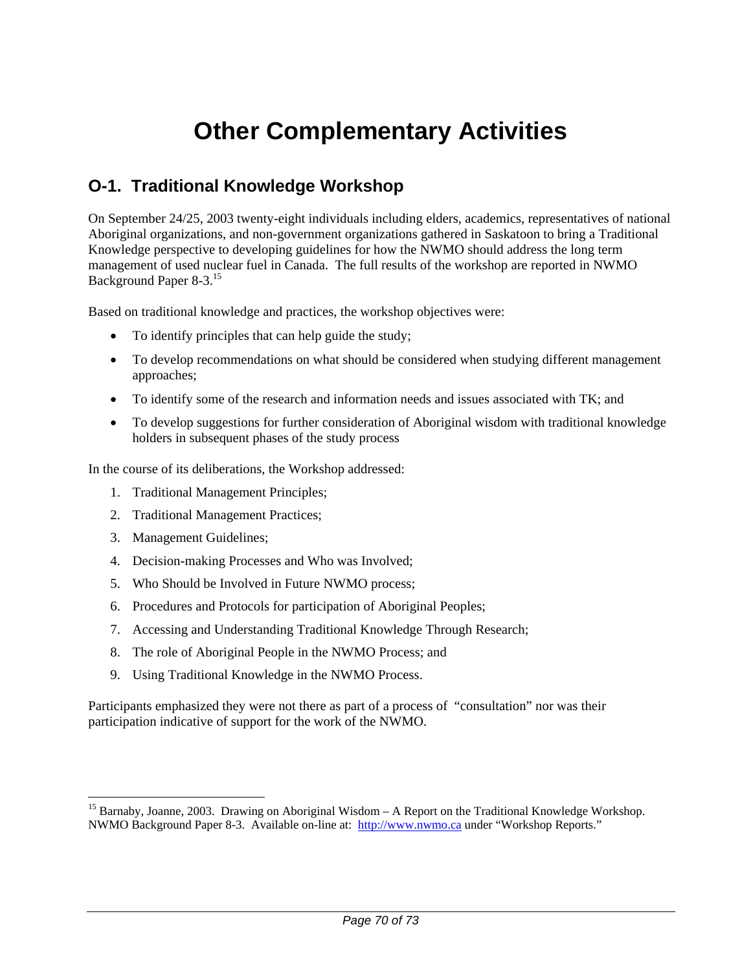# **Other Complementary Activities**

# **O-1. Traditional Knowledge Workshop**

On September 24/25, 2003 twenty-eight individuals including elders, academics, representatives of national Aboriginal organizations, and non-government organizations gathered in Saskatoon to bring a Traditional Knowledge perspective to developing guidelines for how the NWMO should address the long term management of used nuclear fuel in Canada. The full results of the workshop are reported in NWMO Background Paper 8-3.15

Based on traditional knowledge and practices, the workshop objectives were:

- To identify principles that can help guide the study;
- To develop recommendations on what should be considered when studying different management approaches;
- To identify some of the research and information needs and issues associated with TK; and
- To develop suggestions for further consideration of Aboriginal wisdom with traditional knowledge holders in subsequent phases of the study process

In the course of its deliberations, the Workshop addressed:

- 1. Traditional Management Principles;
- 2. Traditional Management Practices;
- 3. Management Guidelines;

 $\overline{a}$ 

- 4. Decision-making Processes and Who was Involved;
- 5. Who Should be Involved in Future NWMO process;
- 6. Procedures and Protocols for participation of Aboriginal Peoples;
- 7. Accessing and Understanding Traditional Knowledge Through Research;
- 8. The role of Aboriginal People in the NWMO Process; and
- 9. Using Traditional Knowledge in the NWMO Process.

Participants emphasized they were not there as part of a process of "consultation" nor was their participation indicative of support for the work of the NWMO.

<sup>&</sup>lt;sup>15</sup> Barnaby, Joanne, 2003. Drawing on Aboriginal Wisdom – A Report on the Traditional Knowledge Workshop. NWMO Background Paper 8-3. Available on-line at: http://www.nwmo.ca under "Workshop Reports."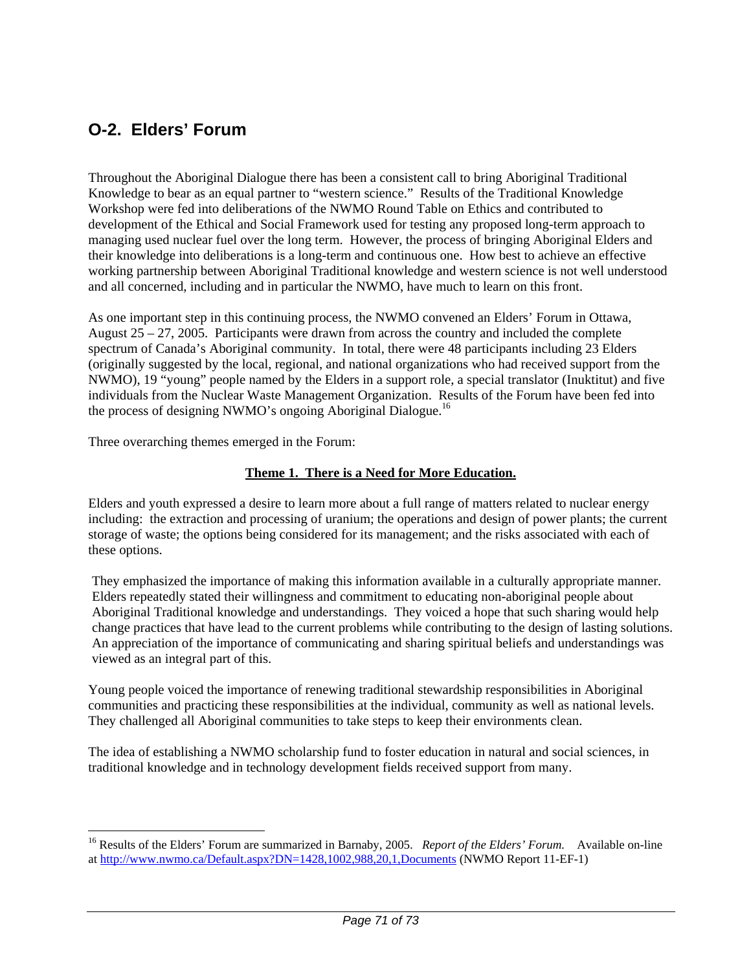# **O-2. Elders' Forum**

Throughout the Aboriginal Dialogue there has been a consistent call to bring Aboriginal Traditional Knowledge to bear as an equal partner to "western science." Results of the Traditional Knowledge Workshop were fed into deliberations of the NWMO Round Table on Ethics and contributed to development of the Ethical and Social Framework used for testing any proposed long-term approach to managing used nuclear fuel over the long term. However, the process of bringing Aboriginal Elders and their knowledge into deliberations is a long-term and continuous one. How best to achieve an effective working partnership between Aboriginal Traditional knowledge and western science is not well understood and all concerned, including and in particular the NWMO, have much to learn on this front.

As one important step in this continuing process, the NWMO convened an Elders' Forum in Ottawa, August  $25 - 27$ , 2005. Participants were drawn from across the country and included the complete spectrum of Canada's Aboriginal community. In total, there were 48 participants including 23 Elders (originally suggested by the local, regional, and national organizations who had received support from the NWMO), 19 "young" people named by the Elders in a support role, a special translator (Inuktitut) and five individuals from the Nuclear Waste Management Organization. Results of the Forum have been fed into the process of designing NWMO's ongoing Aboriginal Dialogue.<sup>16</sup>

Three overarching themes emerged in the Forum:

 $\overline{a}$ 

### **Theme 1. There is a Need for More Education.**

Elders and youth expressed a desire to learn more about a full range of matters related to nuclear energy including: the extraction and processing of uranium; the operations and design of power plants; the current storage of waste; the options being considered for its management; and the risks associated with each of these options.

They emphasized the importance of making this information available in a culturally appropriate manner. Elders repeatedly stated their willingness and commitment to educating non-aboriginal people about Aboriginal Traditional knowledge and understandings. They voiced a hope that such sharing would help change practices that have lead to the current problems while contributing to the design of lasting solutions. An appreciation of the importance of communicating and sharing spiritual beliefs and understandings was viewed as an integral part of this.

Young people voiced the importance of renewing traditional stewardship responsibilities in Aboriginal communities and practicing these responsibilities at the individual, community as well as national levels. They challenged all Aboriginal communities to take steps to keep their environments clean.

The idea of establishing a NWMO scholarship fund to foster education in natural and social sciences, in traditional knowledge and in technology development fields received support from many.

<sup>&</sup>lt;sup>16</sup> Results of the Elders' Forum are summarized in Barnaby, 2005. *Report of the Elders' Forum*. Available on-line at http://www.nwmo.ca/Default.aspx?DN=1428,1002,988,20,1,Documents (NWMO Report 11-EF-1)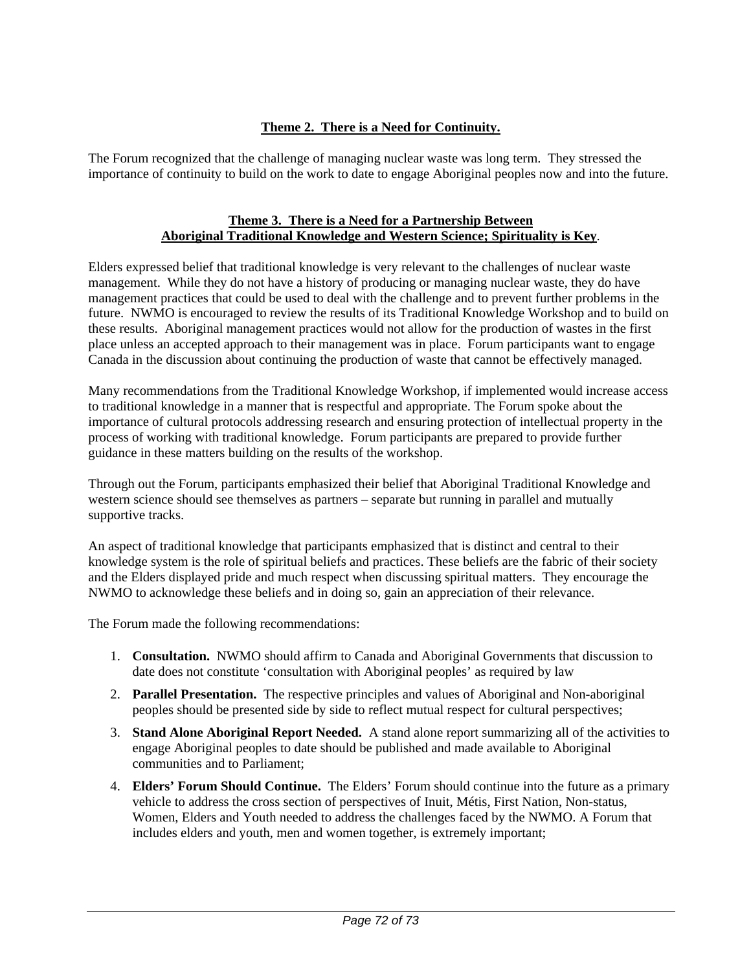# **Theme 2. There is a Need for Continuity.**

The Forum recognized that the challenge of managing nuclear waste was long term. They stressed the importance of continuity to build on the work to date to engage Aboriginal peoples now and into the future.

#### **Theme 3. There is a Need for a Partnership Between Aboriginal Traditional Knowledge and Western Science; Spirituality is Key**.

Elders expressed belief that traditional knowledge is very relevant to the challenges of nuclear waste management. While they do not have a history of producing or managing nuclear waste, they do have management practices that could be used to deal with the challenge and to prevent further problems in the future. NWMO is encouraged to review the results of its Traditional Knowledge Workshop and to build on these results. Aboriginal management practices would not allow for the production of wastes in the first place unless an accepted approach to their management was in place. Forum participants want to engage Canada in the discussion about continuing the production of waste that cannot be effectively managed.

Many recommendations from the Traditional Knowledge Workshop, if implemented would increase access to traditional knowledge in a manner that is respectful and appropriate. The Forum spoke about the importance of cultural protocols addressing research and ensuring protection of intellectual property in the process of working with traditional knowledge. Forum participants are prepared to provide further guidance in these matters building on the results of the workshop.

Through out the Forum, participants emphasized their belief that Aboriginal Traditional Knowledge and western science should see themselves as partners – separate but running in parallel and mutually supportive tracks.

An aspect of traditional knowledge that participants emphasized that is distinct and central to their knowledge system is the role of spiritual beliefs and practices. These beliefs are the fabric of their society and the Elders displayed pride and much respect when discussing spiritual matters. They encourage the NWMO to acknowledge these beliefs and in doing so, gain an appreciation of their relevance.

The Forum made the following recommendations:

- 1. **Consultation.** NWMO should affirm to Canada and Aboriginal Governments that discussion to date does not constitute 'consultation with Aboriginal peoples' as required by law
- 2. **Parallel Presentation.** The respective principles and values of Aboriginal and Non-aboriginal peoples should be presented side by side to reflect mutual respect for cultural perspectives;
- 3. **Stand Alone Aboriginal Report Needed.** A stand alone report summarizing all of the activities to engage Aboriginal peoples to date should be published and made available to Aboriginal communities and to Parliament;
- 4. **Elders' Forum Should Continue.** The Elders' Forum should continue into the future as a primary vehicle to address the cross section of perspectives of Inuit, Métis, First Nation, Non-status, Women, Elders and Youth needed to address the challenges faced by the NWMO. A Forum that includes elders and youth, men and women together, is extremely important;